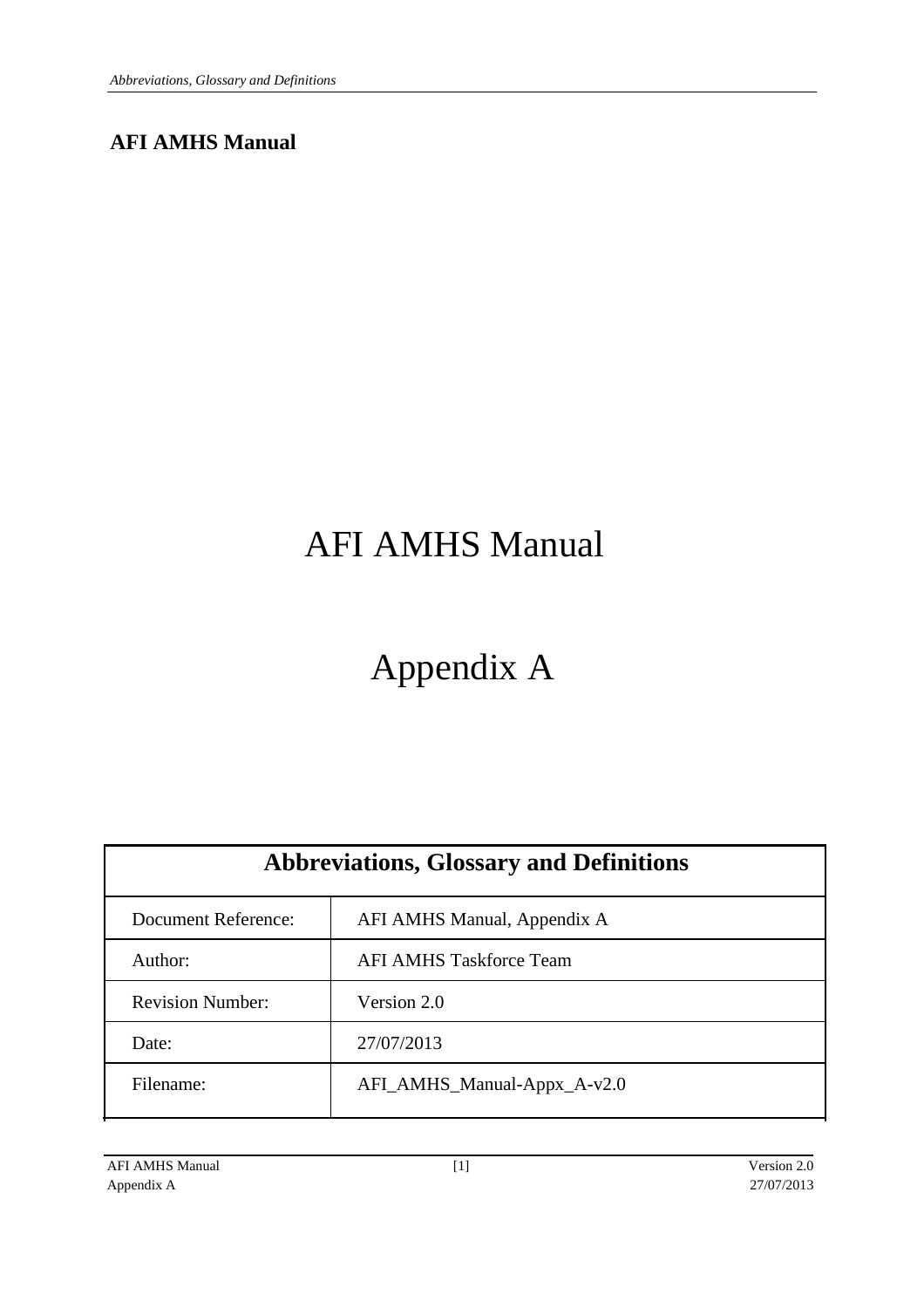# **AFI AMHS Manual**

# AFI AMHS Manual

# Appendix A

| <b>Abbreviations, Glossary and Definitions</b> |                                |
|------------------------------------------------|--------------------------------|
| Document Reference:                            | AFI AMHS Manual, Appendix A    |
| Author:                                        | <b>AFI AMHS Taskforce Team</b> |
| <b>Revision Number:</b>                        | Version 2.0                    |
| Date:                                          | 27/07/2013                     |
| Filename:                                      | AFI_AMHS_Manual-Appx_A-v2.0    |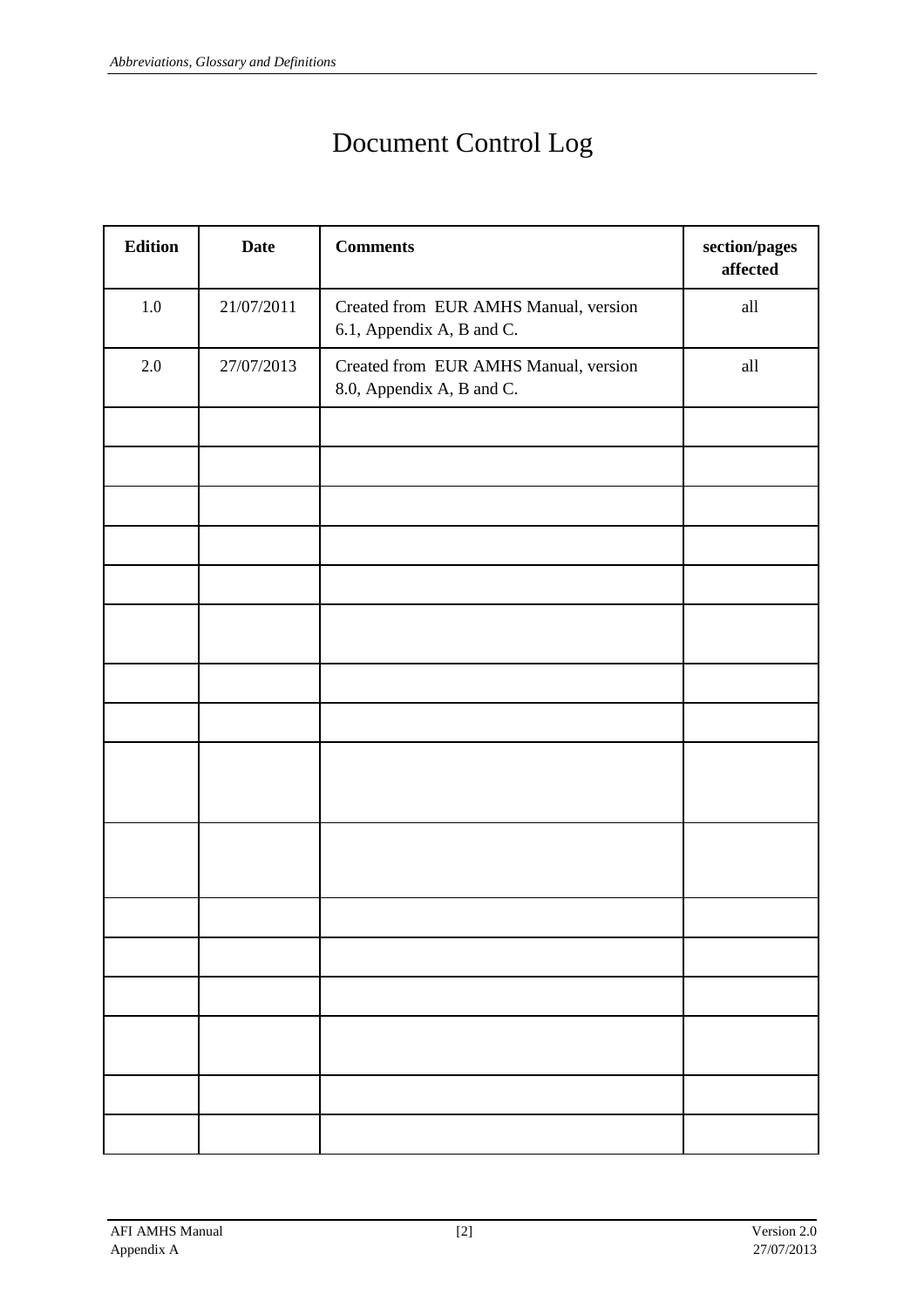# Document Control Log

| <b>Edition</b> | <b>Date</b> | <b>Comments</b>                                                    | section/pages<br>affected |
|----------------|-------------|--------------------------------------------------------------------|---------------------------|
| $1.0\,$        | 21/07/2011  | Created from EUR AMHS Manual, version<br>6.1, Appendix A, B and C. | all                       |
| $2.0\,$        | 27/07/2013  | Created from EUR AMHS Manual, version<br>8.0, Appendix A, B and C. | all                       |
|                |             |                                                                    |                           |
|                |             |                                                                    |                           |
|                |             |                                                                    |                           |
|                |             |                                                                    |                           |
|                |             |                                                                    |                           |
|                |             |                                                                    |                           |
|                |             |                                                                    |                           |
|                |             |                                                                    |                           |
|                |             |                                                                    |                           |
|                |             |                                                                    |                           |
|                |             |                                                                    |                           |
|                |             |                                                                    |                           |
|                |             |                                                                    |                           |
|                |             |                                                                    |                           |
|                |             |                                                                    |                           |
|                |             |                                                                    |                           |
|                |             |                                                                    |                           |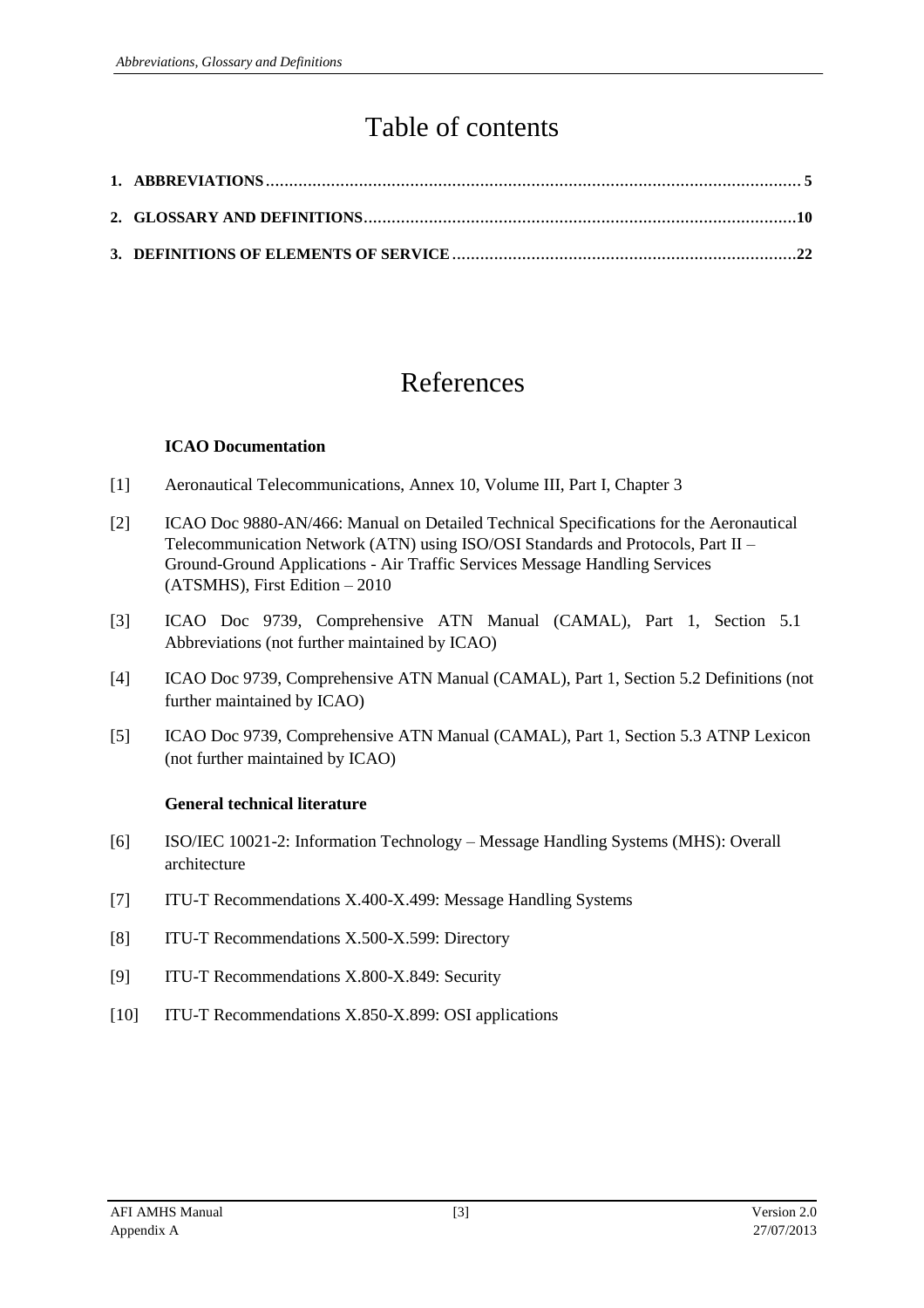# Table of contents

# References

### **ICAO Documentation**

- [1] Aeronautical Telecommunications, Annex 10, Volume III, Part I, Chapter 3
- [2] ICAO Doc 9880-AN/466: Manual on Detailed Technical Specifications for the Aeronautical Telecommunication Network (ATN) using ISO/OSI Standards and Protocols, Part II – Ground-Ground Applications - Air Traffic Services Message Handling Services (ATSMHS), First Edition – 2010
- [3] ICAO Doc 9739, Comprehensive ATN Manual (CAMAL), Part 1, Section 5.1 Abbreviations (not further maintained by ICAO)
- [4] ICAO Doc 9739, Comprehensive ATN Manual (CAMAL), Part 1, Section 5.2 Definitions (not further maintained by ICAO)
- [5] ICAO Doc 9739, Comprehensive ATN Manual (CAMAL), Part 1, Section 5.3 ATNP Lexicon (not further maintained by ICAO)

### **General technical literature**

- [6] ISO/IEC 10021-2: Information Technology Message Handling Systems (MHS): Overall architecture
- [7] ITU-T Recommendations X.400-X.499: Message Handling Systems
- [8] ITU-T Recommendations X.500-X.599: Directory
- [9] ITU-T Recommendations X.800-X.849: Security
- [10] ITU-T Recommendations X.850-X.899: OSI applications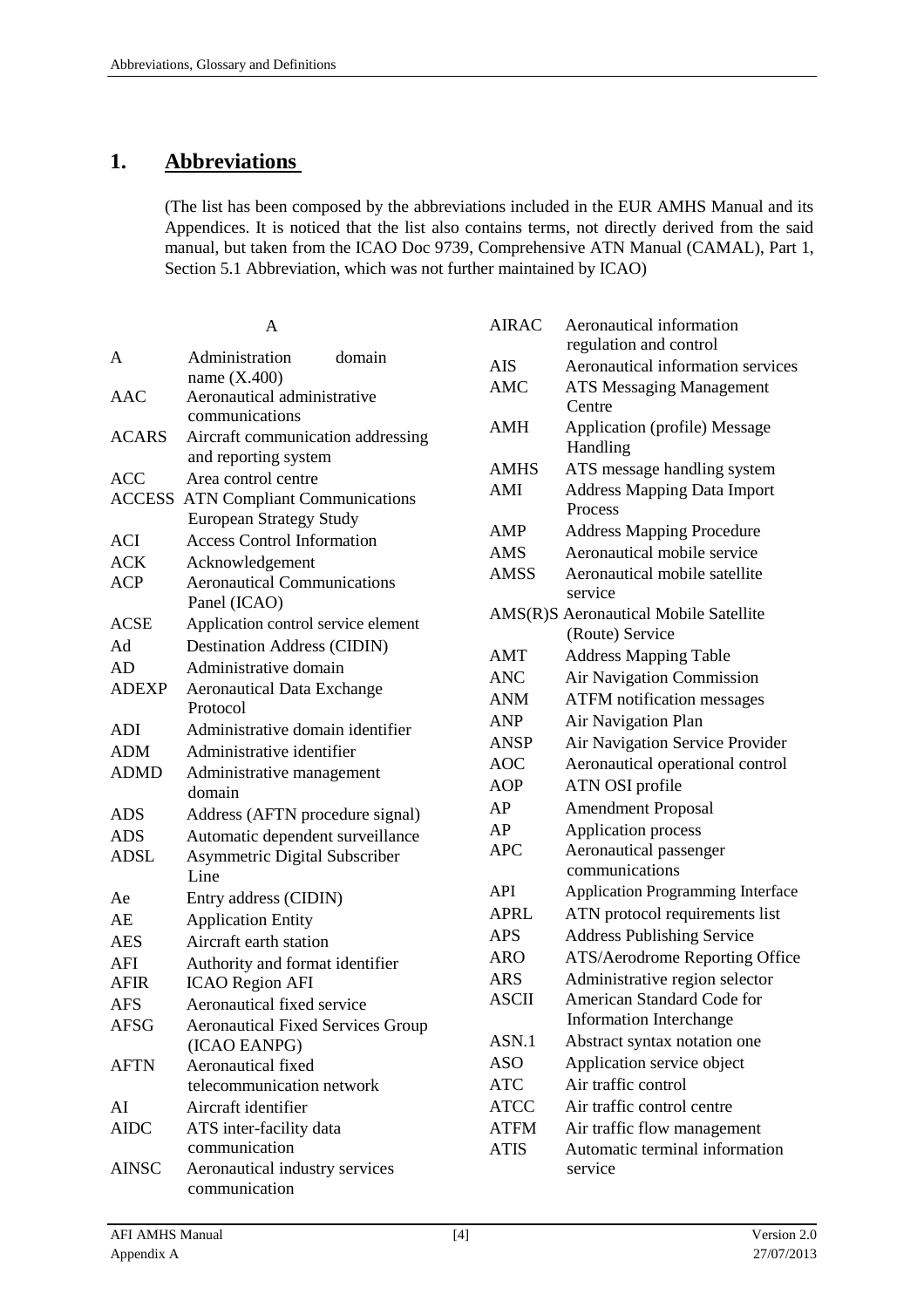# **1. Abbreviations**

(The list has been composed by the abbreviations included in the EUR AMHS Manual and its Appendices. It is noticed that the list also contains terms, not directly derived from the said manual, but taken from the ICAO Doc 9739, Comprehensive ATN Manual (CAMAL), Part 1, Section 5.1 Abbreviation, which was not further maintained by ICAO)

| A             |                                          |  |
|---------------|------------------------------------------|--|
| A             | Administration<br>domain                 |  |
|               | name $(X.400)$                           |  |
| <b>AAC</b>    | Aeronautical administrative              |  |
|               | communications                           |  |
| <b>ACARS</b>  | Aircraft communication addressing        |  |
|               | and reporting system                     |  |
| ACC           | Area control centre                      |  |
| <b>ACCESS</b> | <b>ATN Compliant Communications</b>      |  |
|               | <b>European Strategy Study</b>           |  |
| <b>ACI</b>    | <b>Access Control Information</b>        |  |
| <b>ACK</b>    | Acknowledgement                          |  |
| <b>ACP</b>    | <b>Aeronautical Communications</b>       |  |
|               | Panel (ICAO)                             |  |
| <b>ACSE</b>   | Application control service element      |  |
| Ad            | <b>Destination Address (CIDIN)</b>       |  |
| AD            | Administrative domain                    |  |
| ADEXP         | <b>Aeronautical Data Exchange</b>        |  |
|               | Protocol                                 |  |
| ADI           | Administrative domain identifier         |  |
| <b>ADM</b>    | Administrative identifier                |  |
| <b>ADMD</b>   | Administrative management<br>domain      |  |
| <b>ADS</b>    | Address (AFTN procedure signal)          |  |
| <b>ADS</b>    | Automatic dependent surveillance         |  |
| <b>ADSL</b>   | <b>Asymmetric Digital Subscriber</b>     |  |
|               | Line                                     |  |
| Ae            | Entry address (CIDIN)                    |  |
| AE            | <b>Application Entity</b>                |  |
| <b>AES</b>    | Aircraft earth station                   |  |
| AFI           | Authority and format identifier          |  |
| AFIR          | <b>ICAO Region AFI</b>                   |  |
| <b>AFS</b>    | Aeronautical fixed service               |  |
| <b>AFSG</b>   | <b>Aeronautical Fixed Services Group</b> |  |
|               | (ICAO EANPG)                             |  |
| <b>AFTN</b>   | Aeronautical fixed                       |  |
|               | telecommunication network                |  |
| AI            | Aircraft identifier                      |  |
| <b>AIDC</b>   | ATS inter-facility data                  |  |
|               | communication                            |  |
| <b>AINSC</b>  | Aeronautical industry services           |  |
|               | communication                            |  |

| <b>AIRAC</b> | Aeronautical information                  |
|--------------|-------------------------------------------|
|              | regulation and control                    |
| <b>AIS</b>   | Aeronautical information services         |
| AMC          | <b>ATS Messaging Management</b><br>Centre |
| <b>AMH</b>   | Application (profile) Message             |
|              | Handling                                  |
| <b>AMHS</b>  | ATS message handling system               |
| AMI          | <b>Address Mapping Data Import</b>        |
|              | Process                                   |
| AMP          | <b>Address Mapping Procedure</b>          |
| <b>AMS</b>   | Aeronautical mobile service               |
| <b>AMSS</b>  | Aeronautical mobile satellite             |
|              | service                                   |
|              | AMS(R)S Aeronautical Mobile Satellite     |
|              | (Route) Service                           |
| AMT          | <b>Address Mapping Table</b>              |
| <b>ANC</b>   | Air Navigation Commission                 |
| <b>ANM</b>   | <b>ATFM</b> notification messages         |
| <b>ANP</b>   | Air Navigation Plan                       |
| <b>ANSP</b>  | Air Navigation Service Provider           |
| <b>AOC</b>   | Aeronautical operational control          |
| <b>AOP</b>   | ATN OSI profile                           |
| AP           | <b>Amendment Proposal</b>                 |
| AP           | Application process                       |
| APC          | Aeronautical passenger                    |
|              | communications                            |
| <b>API</b>   | <b>Application Programming Interface</b>  |
| <b>APRL</b>  | ATN protocol requirements list            |
| APS          | <b>Address Publishing Service</b>         |
| <b>ARO</b>   | ATS/Aerodrome Reporting Office            |
| <b>ARS</b>   | Administrative region selector            |
| ASCII        | American Standard Code for                |
|              | <b>Information Interchange</b>            |
| ASN.1        | Abstract syntax notation one              |
| <b>ASO</b>   | Application service object                |
| <b>ATC</b>   | Air traffic control                       |
| <b>ATCC</b>  | Air traffic control centre                |
| <b>ATFM</b>  | Air traffic flow management               |
| <b>ATIS</b>  | Automatic terminal information            |
|              | service                                   |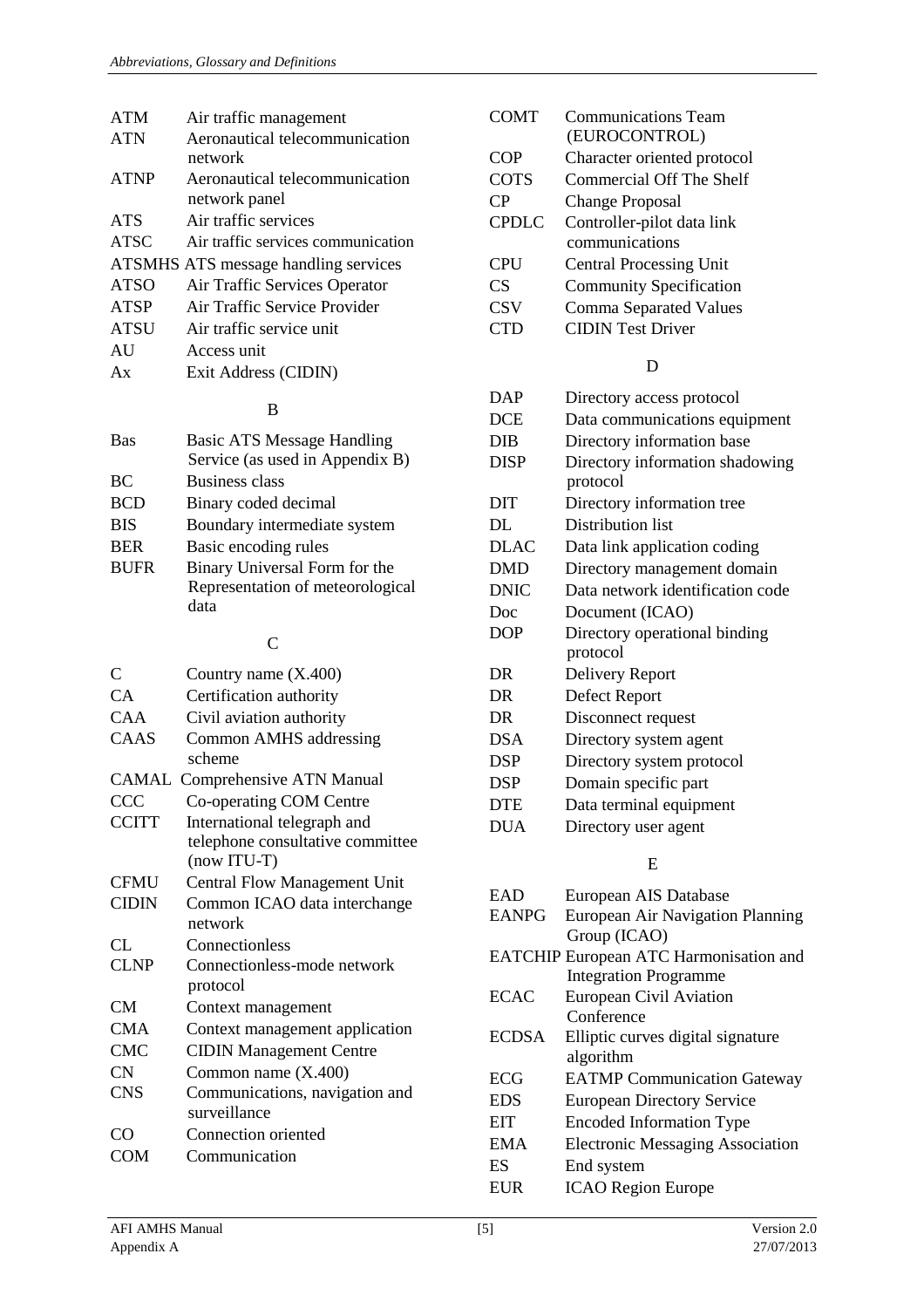| <b>ATM</b>  | Air traffic management               |
|-------------|--------------------------------------|
| <b>ATN</b>  | Aeronautical telecommunication       |
|             | network                              |
| <b>ATNP</b> | Aeronautical telecommunication       |
|             | network panel                        |
| <b>ATS</b>  | Air traffic services                 |
| <b>ATSC</b> | Air traffic services communication   |
|             | ATSMHS ATS message handling services |
| <b>ATSO</b> | Air Traffic Services Operator        |
| <b>ATSP</b> | Air Traffic Service Provider         |
| <b>ATSU</b> | Air traffic service unit             |
| AU          | Access unit                          |
| A x         | Exit Address (CIDIN)                 |
|             |                                      |

#### B

| <b>Basic ATS Message Handling</b><br>Service (as used in Appendix B) |
|----------------------------------------------------------------------|
| <b>Business class</b>                                                |
| Binary coded decimal                                                 |
| Boundary intermediate system                                         |
| Basic encoding rules                                                 |
| Binary Universal Form for the                                        |
| Representation of meteorological<br>data                             |
|                                                                      |

#### C

| C            | Country name (X.400)                              |
|--------------|---------------------------------------------------|
| CA           | Certification authority                           |
| CAA          | Civil aviation authority                          |
| CAAS         | Common AMHS addressing                            |
|              | scheme                                            |
| CAMAL        | Comprehensive ATN Manual                          |
| CCC          | Co-operating COM Centre                           |
| <b>CCITT</b> | International telegraph and                       |
|              | telephone consultative committee<br>$(now ITU-T)$ |
| CFMU         | <b>Central Flow Management Unit</b>               |
| <b>CIDIN</b> | Common ICAO data interchange                      |
|              | network                                           |
| CL           | Connectionless                                    |
| <b>CLNP</b>  | Connectionless-mode network                       |
|              | protocol                                          |
| <b>CM</b>    | Context management                                |
| <b>CMA</b>   | Context management application                    |
| <b>CMC</b>   | <b>CIDIN Management Centre</b>                    |
| <b>CN</b>    | Common name $(X.400)$                             |
| <b>CNS</b>   | Communications, navigation and                    |
|              | surveillance                                      |
| CO           | Connection oriented                               |
| COM          | Communication                                     |
|              |                                                   |

| <b>COMT</b>  | <b>Communications Team</b><br>(EUROCONTROL) |
|--------------|---------------------------------------------|
| <b>COP</b>   | Character oriented protocol                 |
| <b>COTS</b>  | Commercial Off The Shelf                    |
| CP           | <b>Change Proposal</b>                      |
| <b>CPDLC</b> | Controller-pilot data link                  |
|              | communications                              |
| <b>CPU</b>   | <b>Central Processing Unit</b>              |
| CS           | <b>Community Specification</b>              |
| <b>CSV</b>   | <b>Comma Separated Values</b>               |
|              | <b>CIDIN Test Driver</b>                    |

# D

| <b>DAP</b>  | Directory access protocol        |
|-------------|----------------------------------|
| <b>DCE</b>  | Data communications equipment    |
| DIB         | Directory information base       |
| <b>DISP</b> | Directory information shadowing  |
|             | protocol                         |
| <b>DIT</b>  | Directory information tree       |
| DL          | Distribution list                |
| <b>DLAC</b> | Data link application coding     |
| <b>DMD</b>  | Directory management domain      |
| <b>DNIC</b> | Data network identification code |
| Doc         | Document (ICAO)                  |
| DOP         | Directory operational binding    |
|             | protocol                         |
| DR          | Delivery Report                  |
| DR          | Defect Report                    |
| DR          | Disconnect request               |
| <b>DSA</b>  | Directory system agent           |
| DSP         | Directory system protocol        |
| <b>DSP</b>  | Domain specific part             |
| <b>DTE</b>  | Data terminal equipment          |
| <b>DUA</b>  | Directory user agent             |

### ${\bf E}$

| European AIS Database                         |
|-----------------------------------------------|
| European Air Navigation Planning              |
| Group (ICAO)                                  |
| <b>EATCHIP European ATC Harmonisation and</b> |
| <b>Integration Programme</b>                  |
| <b>European Civil Aviation</b>                |
| Conference                                    |
| Elliptic curves digital signature             |
| algorithm                                     |
| <b>EATMP</b> Communication Gateway            |
| <b>European Directory Service</b>             |
| <b>Encoded Information Type</b>               |
| <b>Electronic Messaging Association</b>       |
| End system                                    |
| <b>ICAO Region Europe</b>                     |
|                                               |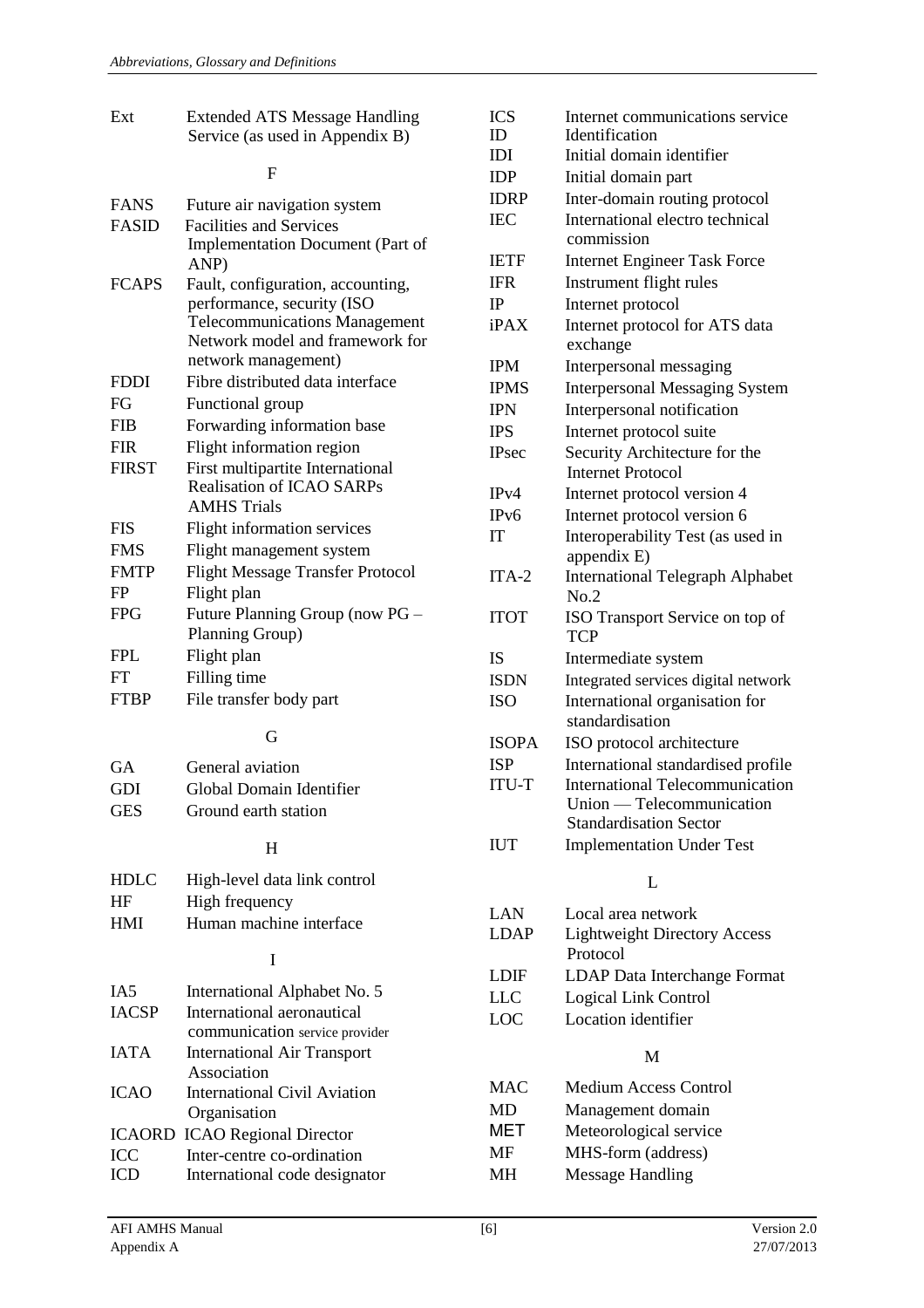| Ext                        | <b>Extended ATS Message Handling</b><br>Service (as used in Appendix B) |  |
|----------------------------|-------------------------------------------------------------------------|--|
|                            | F                                                                       |  |
| <b>FANS</b>                | Future air navigation system                                            |  |
| <b>FASID</b>               | <b>Facilities and Services</b>                                          |  |
|                            | Implementation Document (Part of<br>ANP)                                |  |
| <b>FCAPS</b>               | Fault, configuration, accounting,                                       |  |
|                            | performance, security (ISO                                              |  |
|                            | <b>Telecommunications Management</b>                                    |  |
|                            | Network model and framework for                                         |  |
| <b>FDDI</b>                | network management)<br>Fibre distributed data interface                 |  |
|                            |                                                                         |  |
| FG<br>FIB                  | Functional group                                                        |  |
|                            | Forwarding information base                                             |  |
| <b>FIR</b><br><b>FIRST</b> | Flight information region<br>First multipartite International           |  |
|                            | <b>Realisation of ICAO SARPs</b>                                        |  |
|                            | <b>AMHS Trials</b>                                                      |  |
| FIS                        | Flight information services                                             |  |
| <b>FMS</b>                 | Flight management system                                                |  |
| <b>FMTP</b>                | <b>Flight Message Transfer Protocol</b>                                 |  |
| FP                         | Flight plan                                                             |  |
| <b>FPG</b>                 | Future Planning Group (now PG -                                         |  |
|                            | Planning Group)                                                         |  |
| <b>FPL</b>                 | Flight plan                                                             |  |
| FT                         | Filling time                                                            |  |
| <b>FTBP</b>                | File transfer body part                                                 |  |
|                            | G                                                                       |  |
| GА                         | General aviation                                                        |  |
| GDI                        | Global Domain Identifier                                                |  |
| GES                        | Ground earth station                                                    |  |
|                            |                                                                         |  |
|                            | Η                                                                       |  |
| <b>HDLC</b>                | High-level data link control                                            |  |
| ΗF                         | High frequency                                                          |  |
| HMI                        | Human machine interface                                                 |  |
| I                          |                                                                         |  |
| IA5                        | International Alphabet No. 5                                            |  |
| <b>IACSP</b>               | International aeronautical                                              |  |
|                            | communication service provider                                          |  |
| <b>IATA</b>                | <b>International Air Transport</b>                                      |  |
|                            | Association                                                             |  |
| <b>ICAO</b>                | <b>International Civil Aviation</b>                                     |  |
|                            | Organisation                                                            |  |
| ICAORD                     | <b>ICAO Regional Director</b>                                           |  |
| ICC<br><b>ICD</b>          | Inter-centre co-ordination                                              |  |
|                            | International code designator                                           |  |

| <b>ICS</b><br>ID  | Internet communications service<br>Identification         |
|-------------------|-----------------------------------------------------------|
| IDI               | Initial domain identifier                                 |
| <b>IDP</b>        | Initial domain part                                       |
|                   |                                                           |
| <b>IDRP</b>       | Inter-domain routing protocol                             |
| <b>IEC</b>        | International electro technical<br>commission             |
| <b>IETF</b>       | <b>Internet Engineer Task Force</b>                       |
| <b>IFR</b>        | Instrument flight rules                                   |
| $_{\rm IP}$       | Internet protocol                                         |
| iPAX              | Internet protocol for ATS data<br>exchange                |
| <b>IPM</b>        | Interpersonal messaging                                   |
| <b>IPMS</b>       | <b>Interpersonal Messaging System</b>                     |
| <b>IPN</b>        | Interpersonal notification                                |
|                   |                                                           |
| <b>IPS</b>        | Internet protocol suite                                   |
| <b>IPsec</b>      | Security Architecture for the<br><b>Internet Protocol</b> |
| IPv4              | Internet protocol version 4                               |
| IP <sub>v</sub> 6 | Internet protocol version 6                               |
| IT                | Interoperability Test (as used in<br>appendix E)          |
| $ITA-2$           | <b>International Telegraph Alphabet</b><br>No.2           |
| <b>ITOT</b>       | ISO Transport Service on top of<br><b>TCP</b>             |
| IS                | Intermediate system                                       |
| <b>ISDN</b>       | Integrated services digital network                       |
| <b>ISO</b>        | International organisation for<br>standardisation         |
| <b>ISOPA</b>      | ISO protocol architecture                                 |
| <b>ISP</b>        | International standardised profile                        |
| <b>ITU-T</b>      | <b>International Telecommunication</b>                    |
|                   | Union — Telecommunication                                 |
|                   | <b>Standardisation Sector</b>                             |
| IUT               | <b>Implementation Under Test</b>                          |
|                   | L                                                         |
|                   |                                                           |
| LAN               | Local area network                                        |
| <b>LDAP</b>       | <b>Lightweight Directory Access</b><br>Protocol           |
| <b>LDIF</b>       | LDAP Data Interchange Format                              |
| <b>LLC</b>        | Logical Link Control                                      |
| LOC               | Location identifier                                       |
|                   | M                                                         |
| MAC               | <b>Medium Access Control</b>                              |
| MD                | Management domain                                         |
| MET               | Meteorological service                                    |
| MF                | MHS-form (address)                                        |
| MH                | <b>Message Handling</b>                                   |
|                   |                                                           |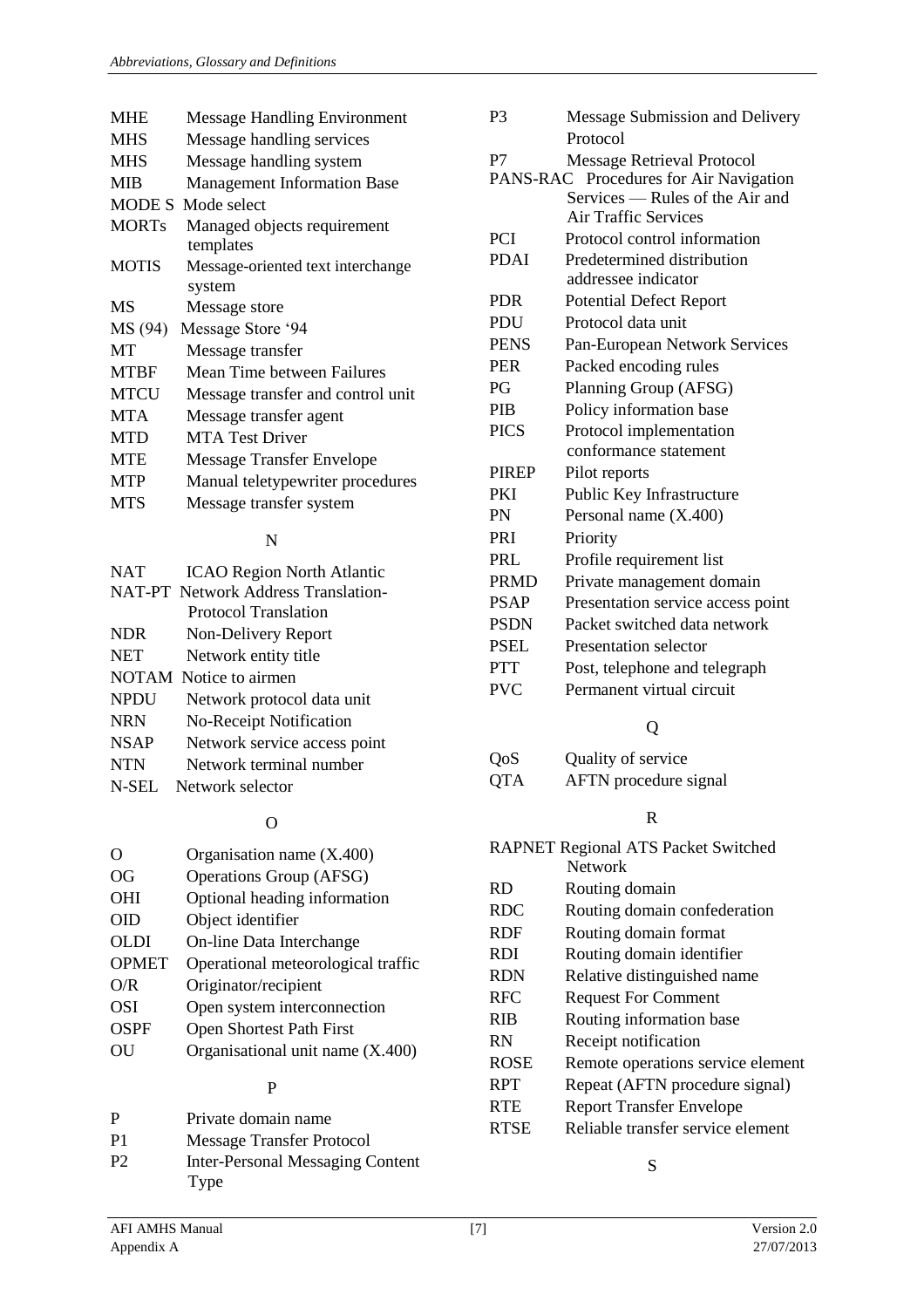| <b>MHE</b>   | <b>Message Handling Environment</b> |
|--------------|-------------------------------------|
| <b>MHS</b>   | Message handling services           |
| <b>MHS</b>   | Message handling system             |
| <b>MIB</b>   | <b>Management Information Base</b>  |
| MODE S       | Mode select                         |
| <b>MORTs</b> | Managed objects requirement         |
|              | templates                           |
| <b>MOTIS</b> | Message-oriented text interchange   |
|              | system                              |
| MS           | Message store                       |
| MS (94)      | Message Store '94                   |
| <b>MT</b>    | Message transfer                    |
| <b>MTBF</b>  | Mean Time between Failures          |
| <b>MTCU</b>  | Message transfer and control unit   |
| <b>MTA</b>   | Message transfer agent              |
| <b>MTD</b>   | <b>MTA Test Driver</b>              |
| <b>MTE</b>   | <b>Message Transfer Envelope</b>    |
| <b>MTP</b>   | Manual teletypewriter procedures    |
| <b>MTS</b>   | Message transfer system             |
|              |                                     |

### N

| <b>NAT</b>  | <b>ICAO Region North Atlantic</b>   |
|-------------|-------------------------------------|
|             | NAT-PT Network Address Translation- |
|             | Protocol Translation                |
| <b>NDR</b>  | Non-Delivery Report                 |
| <b>NET</b>  | Network entity title                |
|             | NOTAM Notice to airmen              |
| <b>NPDU</b> | Network protocol data unit          |
| <b>NRN</b>  | No-Receipt Notification             |
| <b>NSAP</b> | Network service access point        |
| <b>NTN</b>  | Network terminal number             |
| N-SEL       | Network selector                    |

### O

| 0            | Organisation name $(X.400)$        |
|--------------|------------------------------------|
| OG           | <b>Operations Group (AFSG)</b>     |
| <b>OHI</b>   | Optional heading information       |
| <b>OID</b>   | Object identifier                  |
| OLDI         | On-line Data Interchange           |
| <b>OPMET</b> | Operational meteorological traffic |
| O/R          | Originator/recipient               |
| <b>OSI</b>   | Open system interconnection        |
| <b>OSPF</b>  | <b>Open Shortest Path First</b>    |
| OU           | Organisational unit name $(X.400)$ |
|              |                                    |

#### P

| P              | Private domain name                     |
|----------------|-----------------------------------------|
| P <sub>1</sub> | <b>Message Transfer Protocol</b>        |
| <b>P2</b>      | <b>Inter-Personal Messaging Content</b> |
|                | Type                                    |

| P <sub>3</sub> | Message Submission and Delivery        |
|----------------|----------------------------------------|
|                | Protocol                               |
| P7             | <b>Message Retrieval Protocol</b>      |
|                | PANS-RAC Procedures for Air Navigation |
|                | Services — Rules of the Air and        |
|                | <b>Air Traffic Services</b>            |
| <b>PCI</b>     | Protocol control information           |
| <b>PDAI</b>    | Predetermined distribution             |
|                | addressee indicator                    |
| <b>PDR</b>     | <b>Potential Defect Report</b>         |
| PDU            | Protocol data unit                     |
| <b>PENS</b>    | Pan-European Network Services          |
| <b>PER</b>     | Packed encoding rules                  |
| PG             | Planning Group (AFSG)                  |
| <b>PIB</b>     | Policy information base                |
| <b>PICS</b>    | Protocol implementation                |
|                | conformance statement                  |
| <b>PIREP</b>   | Pilot reports                          |
| <b>PKI</b>     | Public Key Infrastructure              |
| PN             | Personal name (X.400)                  |
| <b>PRI</b>     | Priority                               |
| PRL            | Profile requirement list               |
| <b>PRMD</b>    | Private management domain              |
| <b>PSAP</b>    | Presentation service access point      |
| <b>PSDN</b>    | Packet switched data network           |
| <b>PSEL</b>    | Presentation selector                  |
| <b>PTT</b>     | Post, telephone and telegraph          |
| <b>PVC</b>     | Permanent virtual circuit              |
|                |                                        |

# Q

| QoS | Quality of service    |
|-----|-----------------------|
| QTA | AFTN procedure signal |

# R

|             | <b>RAPNET Regional ATS Packet Switched</b> |
|-------------|--------------------------------------------|
|             | Network                                    |
| <b>RD</b>   | Routing domain                             |
| <b>RDC</b>  | Routing domain confederation               |
| <b>RDF</b>  | Routing domain format                      |
| RDI         | Routing domain identifier                  |
| <b>RDN</b>  | Relative distinguished name                |
| <b>RFC</b>  | <b>Request For Comment</b>                 |
| <b>RIB</b>  | Routing information base                   |
| <b>RN</b>   | Receipt notification                       |
| <b>ROSE</b> | Remote operations service element          |
| <b>RPT</b>  | Repeat (AFTN procedure signal)             |
| <b>RTE</b>  | <b>Report Transfer Envelope</b>            |
| <b>RTSE</b> | Reliable transfer service element          |
|             |                                            |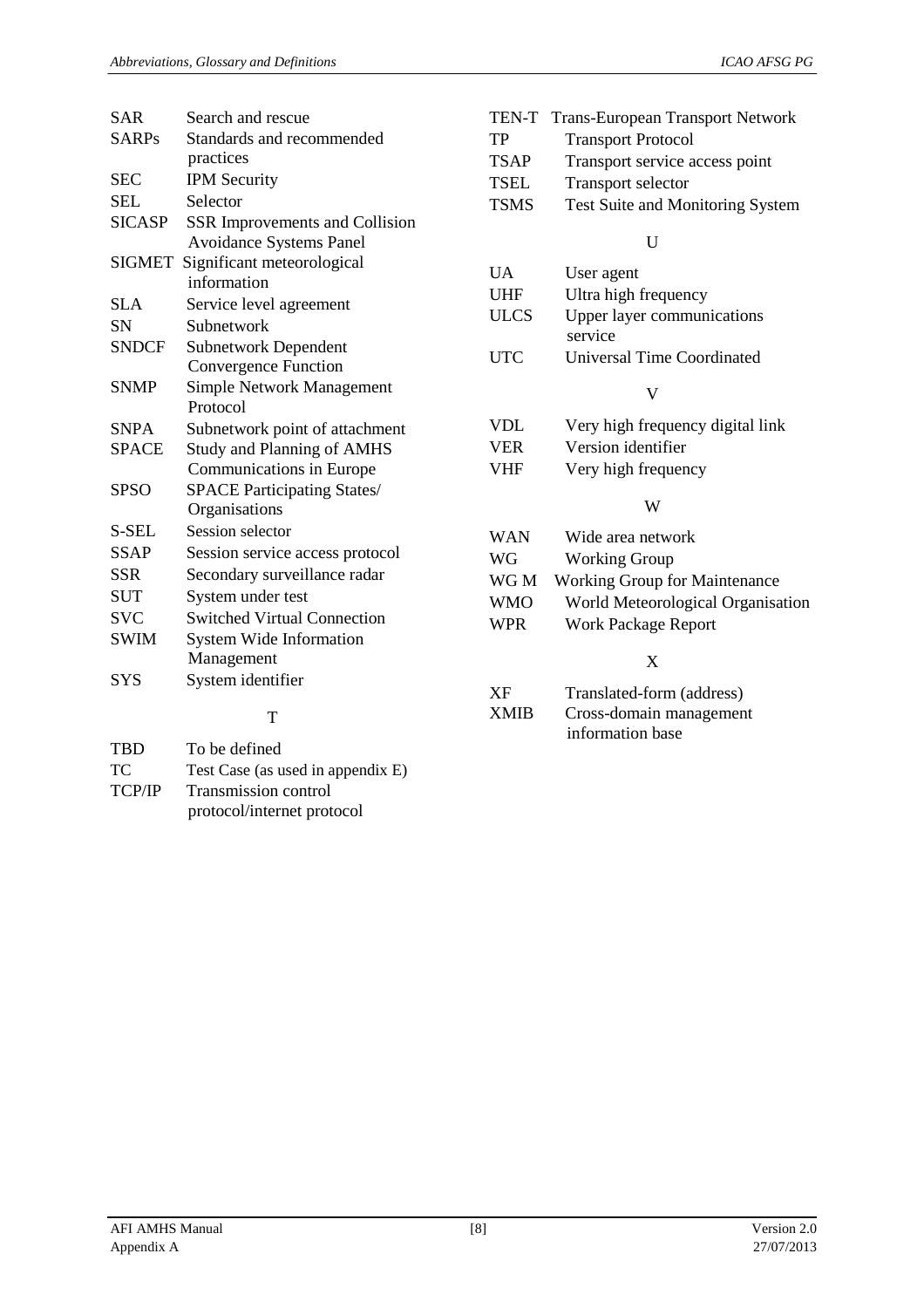| <b>SAR</b>    | Search and rescue                     |
|---------------|---------------------------------------|
| <b>SARPs</b>  | Standards and recommended             |
|               | practices                             |
| <b>SEC</b>    | <b>IPM</b> Security                   |
| <b>SEL</b>    | Selector                              |
| <b>SICASP</b> | <b>SSR Improvements and Collision</b> |
|               | <b>Avoidance Systems Panel</b>        |
| SIGMET        | Significant meteorological            |
|               | information                           |
| <b>SLA</b>    | Service level agreement               |
| <b>SN</b>     | Subnetwork                            |
| <b>SNDCF</b>  | <b>Subnetwork Dependent</b>           |
|               | Convergence Function                  |
| <b>SNMP</b>   | <b>Simple Network Management</b>      |
|               | Protocol                              |
| <b>SNPA</b>   | Subnetwork point of attachment        |
| <b>SPACE</b>  | <b>Study and Planning of AMHS</b>     |
|               | Communications in Europe              |
| <b>SPSO</b>   | <b>SPACE Participating States/</b>    |
|               | Organisations                         |
| S-SEL         | Session selector                      |
| <b>SSAP</b>   | Session service access protocol       |
| <b>SSR</b>    | Secondary surveillance radar          |
| <b>SUT</b>    | System under test                     |
| <b>SVC</b>    | <b>Switched Virtual Connection</b>    |
| <b>SWIM</b>   | <b>System Wide Information</b>        |
|               | Management                            |
| <b>SYS</b>    | System identifier                     |
|               | T                                     |

| TBD    | To be defined                     |
|--------|-----------------------------------|
| TС     | Test Case (as used in appendix E) |
| TCP/IP | Transmission control              |
|        | protocol/internet protocol        |

|             | TEN-T Trans-European Transport Network |
|-------------|----------------------------------------|
| TP          | <b>Transport Protocol</b>              |
| <b>TSAP</b> | Transport service access point         |
| <b>TSEL</b> | <b>Transport selector</b>              |
| <b>TSMS</b> | Test Suite and Monitoring System       |
|             |                                        |
|             | H                                      |
| UA          | User agent                             |
| UHF         | Ultra high frequency                   |
| ULCS        | <b>Upper layer communications</b>      |

# V

UTC Universal Time Coordinated

service

| VDL | Very high frequency digital link |
|-----|----------------------------------|
| VER | Version identifier               |
| VHF | Very high frequency              |
|     |                                  |

#### W

| WAN  | Wide area network                    |
|------|--------------------------------------|
| WG   | <b>Working Group</b>                 |
| WG M | <b>Working Group for Maintenance</b> |
| WMO  | World Meteorological Organisation    |
| WPR  | <b>Work Package Report</b>           |
|      |                                      |

## X

| XF          | Translated-form (address) |
|-------------|---------------------------|
| <b>XMIB</b> | Cross-domain management   |
|             | information base          |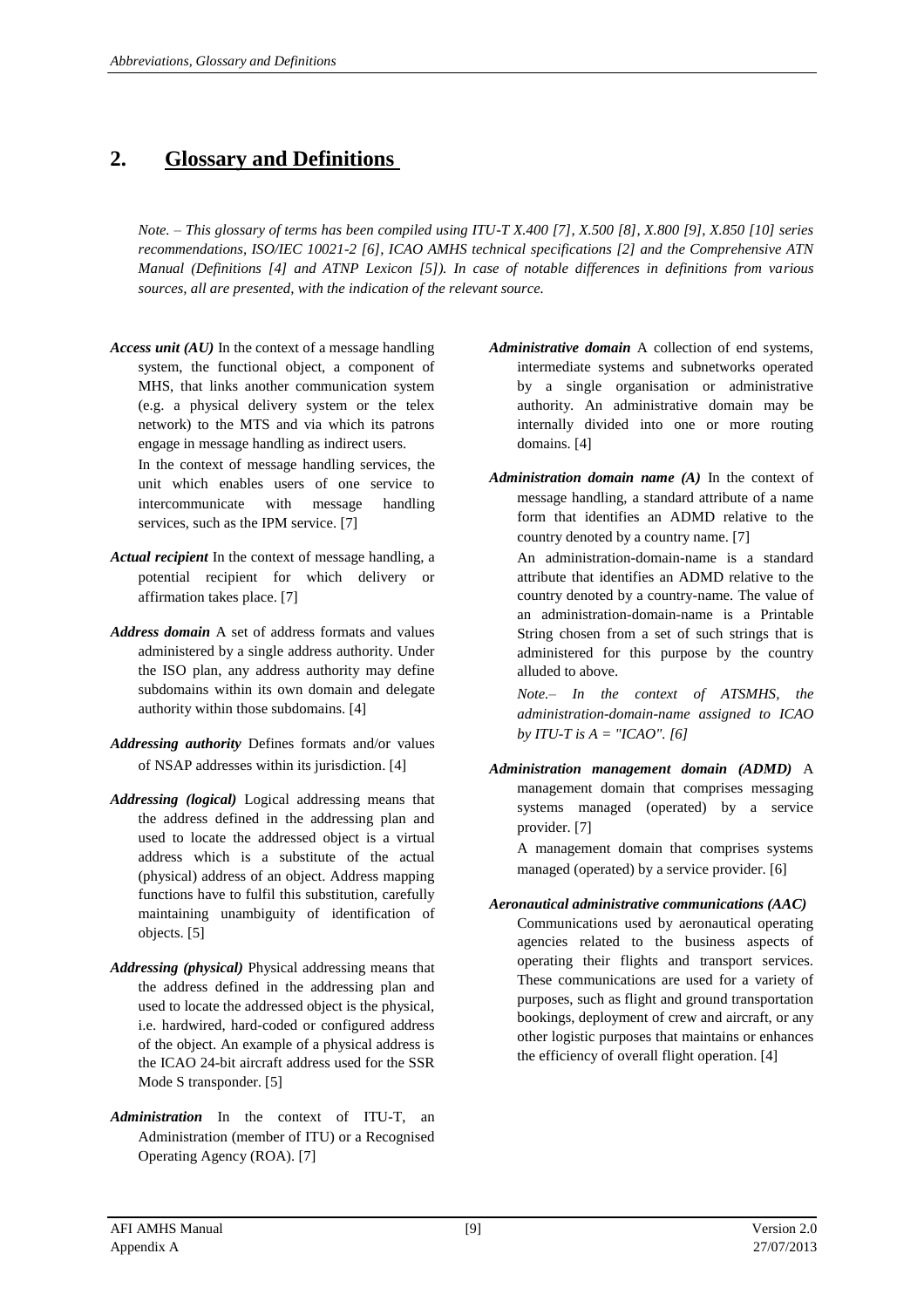# **2. Glossary and Definitions**

*Note. – This glossary of terms has been compiled using ITU-T X.400 [7], X.500 [8], X.800 [9], X.850 [10] series recommendations, ISO/IEC 10021-2 [6], ICAO AMHS technical specifications [2] and the Comprehensive ATN Manual (Definitions [4] and ATNP Lexicon [5]). In case of notable differences in definitions from various sources, all are presented, with the indication of the relevant source.*

*Access unit (AU)* In the context of a message handling system, the functional object, a component of MHS, that links another communication system (e.g. a physical delivery system or the telex network) to the MTS and via which its patrons engage in message handling as indirect users.

In the context of message handling services, the unit which enables users of one service to intercommunicate with message handling services, such as the IPM service. [7]

- *Actual recipient* In the context of message handling, a potential recipient for which delivery or affirmation takes place. [7]
- *Address domain* A set of address formats and values administered by a single address authority. Under the ISO plan, any address authority may define subdomains within its own domain and delegate authority within those subdomains. [4]
- *Addressing authority* Defines formats and/or values of NSAP addresses within its jurisdiction. [4]
- *Addressing (logical)* Logical addressing means that the address defined in the addressing plan and used to locate the addressed object is a virtual address which is a substitute of the actual (physical) address of an object. Address mapping functions have to fulfil this substitution, carefully maintaining unambiguity of identification of objects. [5]
- *Addressing (physical)* Physical addressing means that the address defined in the addressing plan and used to locate the addressed object is the physical, i.e. hardwired, hard-coded or configured address of the object. An example of a physical address is the ICAO 24-bit aircraft address used for the SSR Mode S transponder. [5]
- *Administration* In the context of ITU-T, an Administration (member of ITU) or a Recognised Operating Agency (ROA). [7]
- *Administrative domain* A collection of end systems, intermediate systems and subnetworks operated by a single organisation or administrative authority. An administrative domain may be internally divided into one or more routing domains. [4]
- *Administration domain name (A)* In the context of message handling, a standard attribute of a name form that identifies an ADMD relative to the country denoted by a country name. [7]

An administration-domain-name is a standard attribute that identifies an ADMD relative to the country denoted by a country-name. The value of an administration-domain-name is a Printable String chosen from a set of such strings that is administered for this purpose by the country alluded to above.

*Note.– In the context of ATSMHS, the administration-domain-name assigned to ICAO by ITU-T is A = "ICAO". [6]*

*Administration management domain (ADMD)* A management domain that comprises messaging systems managed (operated) by a service provider. [7]

A management domain that comprises systems managed (operated) by a service provider. [6]

#### *Aeronautical administrative communications (AAC)*

Communications used by aeronautical operating agencies related to the business aspects of operating their flights and transport services. These communications are used for a variety of purposes, such as flight and ground transportation bookings, deployment of crew and aircraft, or any other logistic purposes that maintains or enhances the efficiency of overall flight operation. [4]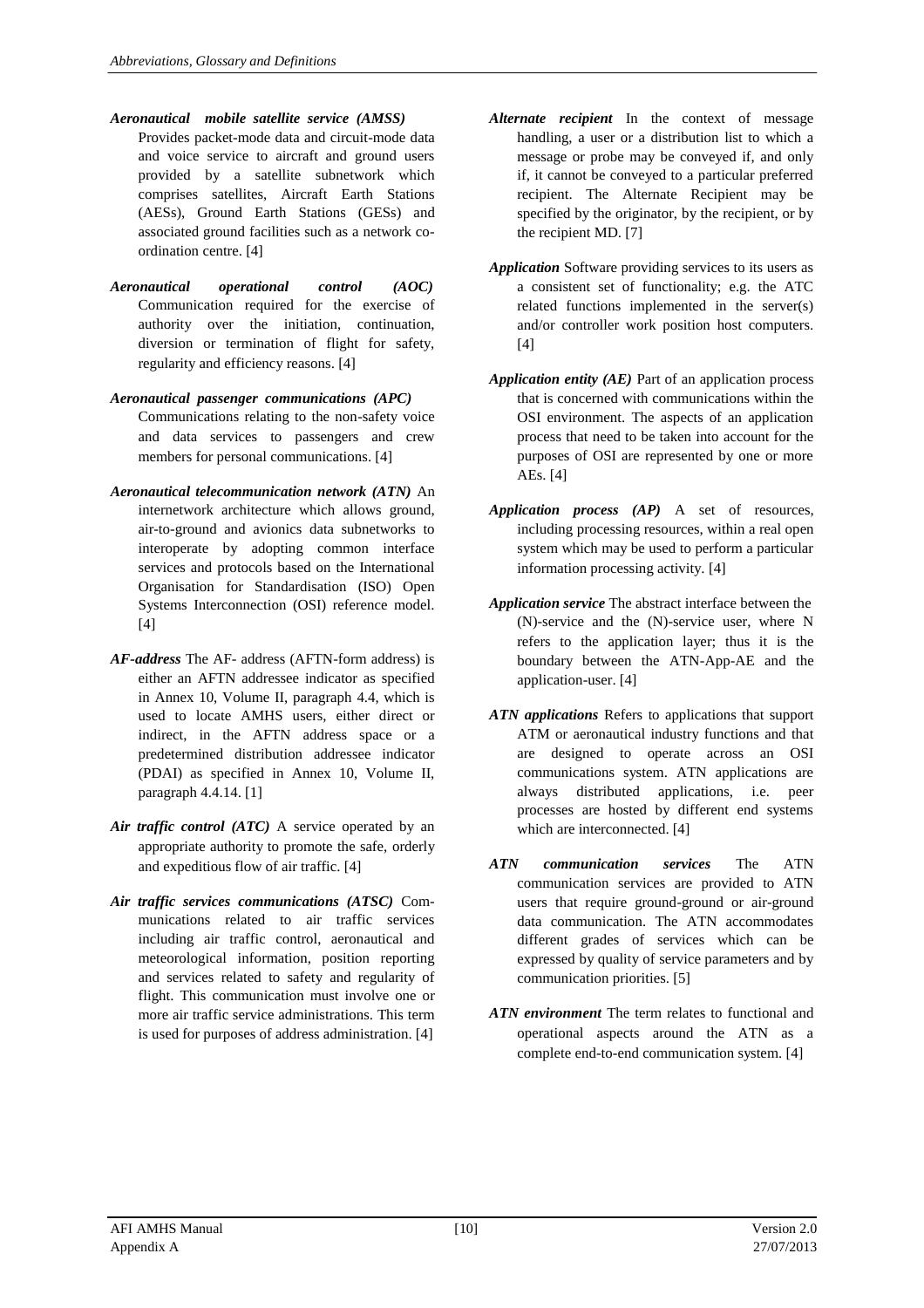- *Aeronautical mobile satellite service (AMSS)* Provides packet-mode data and circuit-mode data and voice service to aircraft and ground users provided by a satellite subnetwork which comprises satellites, Aircraft Earth Stations (AESs), Ground Earth Stations (GESs) and associated ground facilities such as a network coordination centre. [4]
- *Aeronautical operational control (AOC)* Communication required for the exercise of authority over the initiation, continuation, diversion or termination of flight for safety, regularity and efficiency reasons. [4]
- *Aeronautical passenger communications (APC)* Communications relating to the non-safety voice and data services to passengers and crew members for personal communications. [4]
- *Aeronautical telecommunication network (ATN)* An internetwork architecture which allows ground, air-to-ground and avionics data subnetworks to interoperate by adopting common interface services and protocols based on the International Organisation for Standardisation (ISO) Open Systems Interconnection (OSI) reference model.  $[4]$
- *AF-address* The AF- address (AFTN-form address) is either an AFTN addressee indicator as specified in Annex 10, Volume II, paragraph 4.4, which is used to locate AMHS users, either direct or indirect, in the AFTN address space or a predetermined distribution addressee indicator (PDAI) as specified in Annex 10, Volume II, paragraph 4.4.14. [1]
- Air traffic control (ATC) A service operated by an appropriate authority to promote the safe, orderly and expeditious flow of air traffic. [4]
- *Air traffic services communications (ATSC)* Communications related to air traffic services including air traffic control, aeronautical and meteorological information, position reporting and services related to safety and regularity of flight. This communication must involve one or more air traffic service administrations. This term is used for purposes of address administration. [4]
- *Alternate recipient* In the context of message handling, a user or a distribution list to which a message or probe may be conveyed if, and only if, it cannot be conveyed to a particular preferred recipient. The Alternate Recipient may be specified by the originator, by the recipient, or by the recipient MD. [7]
- *Application* Software providing services to its users as a consistent set of functionality; e.g. the ATC related functions implemented in the server(s) and/or controller work position host computers. [4]
- *Application entity (AE)* Part of an application process that is concerned with communications within the OSI environment. The aspects of an application process that need to be taken into account for the purposes of OSI are represented by one or more AEs. [4]
- *Application process (AP)* A set of resources, including processing resources, within a real open system which may be used to perform a particular information processing activity. [4]
- *Application service* The abstract interface between the (N)-service and the (N)-service user, where N refers to the application layer; thus it is the boundary between the ATN-App-AE and the application-user. [4]
- *ATN applications* Refers to applications that support ATM or aeronautical industry functions and that are designed to operate across an OSI communications system. ATN applications are always distributed applications, i.e. peer processes are hosted by different end systems which are interconnected. [4]
- *ATN communication services* The ATN communication services are provided to ATN users that require ground-ground or air-ground data communication. The ATN accommodates different grades of services which can be expressed by quality of service parameters and by communication priorities. [5]
- *ATN environment* The term relates to functional and operational aspects around the ATN as a complete end-to-end communication system. [4]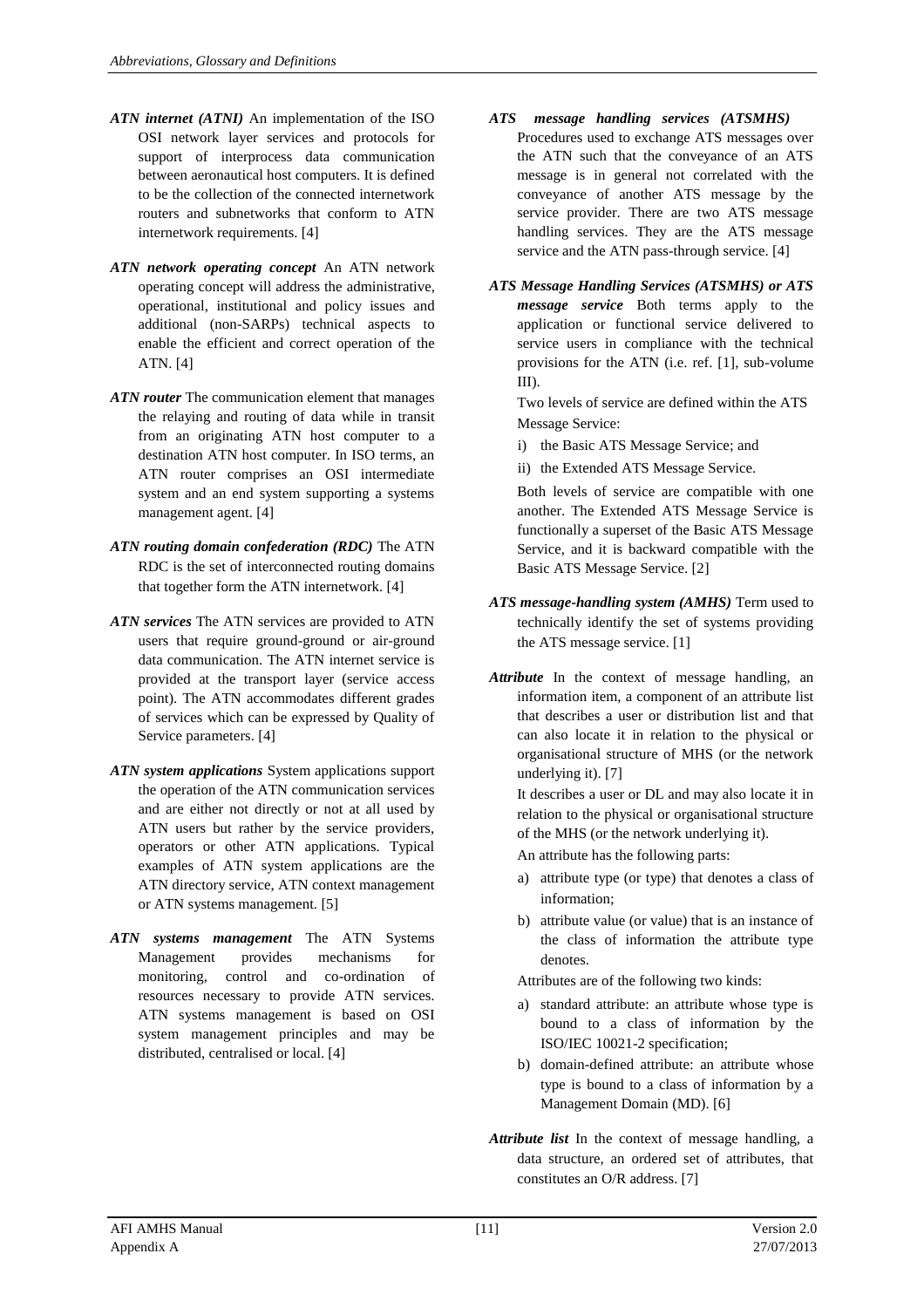- *ATN internet (ATNI)* An implementation of the ISO OSI network layer services and protocols for support of interprocess data communication between aeronautical host computers. It is defined to be the collection of the connected internetwork routers and subnetworks that conform to ATN internetwork requirements. [4]
- *ATN network operating concept* An ATN network operating concept will address the administrative, operational, institutional and policy issues and additional (non-SARPs) technical aspects to enable the efficient and correct operation of the ATN. [4]
- *ATN router* The communication element that manages the relaying and routing of data while in transit from an originating ATN host computer to a destination ATN host computer. In ISO terms, an ATN router comprises an OSI intermediate system and an end system supporting a systems management agent. [4]
- *ATN routing domain confederation (RDC)* The ATN RDC is the set of interconnected routing domains that together form the ATN internetwork. [4]
- *ATN services* The ATN services are provided to ATN users that require ground-ground or air-ground data communication. The ATN internet service is provided at the transport layer (service access point). The ATN accommodates different grades of services which can be expressed by Quality of Service parameters. [4]
- *ATN system applications* System applications support the operation of the ATN communication services and are either not directly or not at all used by ATN users but rather by the service providers, operators or other ATN applications. Typical examples of ATN system applications are the ATN directory service, ATN context management or ATN systems management. [5]
- *ATN systems management* The ATN Systems Management provides mechanisms for monitoring, control and co-ordination of resources necessary to provide ATN services. ATN systems management is based on OSI system management principles and may be distributed, centralised or local. [4]
- *ATS message handling services (ATSMHS)* Procedures used to exchange ATS messages over the ATN such that the conveyance of an ATS message is in general not correlated with the conveyance of another ATS message by the service provider. There are two ATS message handling services. They are the ATS message service and the ATN pass-through service. [4]
- *ATS Message Handling Services (ATSMHS) or ATS message service* Both terms apply to the application or functional service delivered to service users in compliance with the technical provisions for the ATN (i.e. ref. [1], sub-volume III).

Two levels of service are defined within the ATS Message Service:

- i) the Basic ATS Message Service; and
- ii) the Extended ATS Message Service.

Both levels of service are compatible with one another. The Extended ATS Message Service is functionally a superset of the Basic ATS Message Service, and it is backward compatible with the Basic ATS Message Service. [2]

- *ATS message-handling system (AMHS)* Term used to technically identify the set of systems providing the ATS message service. [1]
- Attribute In the context of message handling, an information item, a component of an attribute list that describes a user or distribution list and that can also locate it in relation to the physical or organisational structure of MHS (or the network underlying it). [7]

It describes a user or DL and may also locate it in relation to the physical or organisational structure of the MHS (or the network underlying it).

- An attribute has the following parts:
- a) attribute type (or type) that denotes a class of information;
- b) attribute value (or value) that is an instance of the class of information the attribute type denotes.

Attributes are of the following two kinds:

- a) standard attribute: an attribute whose type is bound to a class of information by the ISO/IEC 10021-2 specification;
- b) domain-defined attribute: an attribute whose type is bound to a class of information by a Management Domain (MD). [6]
- *Attribute list* In the context of message handling, a data structure, an ordered set of attributes, that constitutes an O/R address. [7]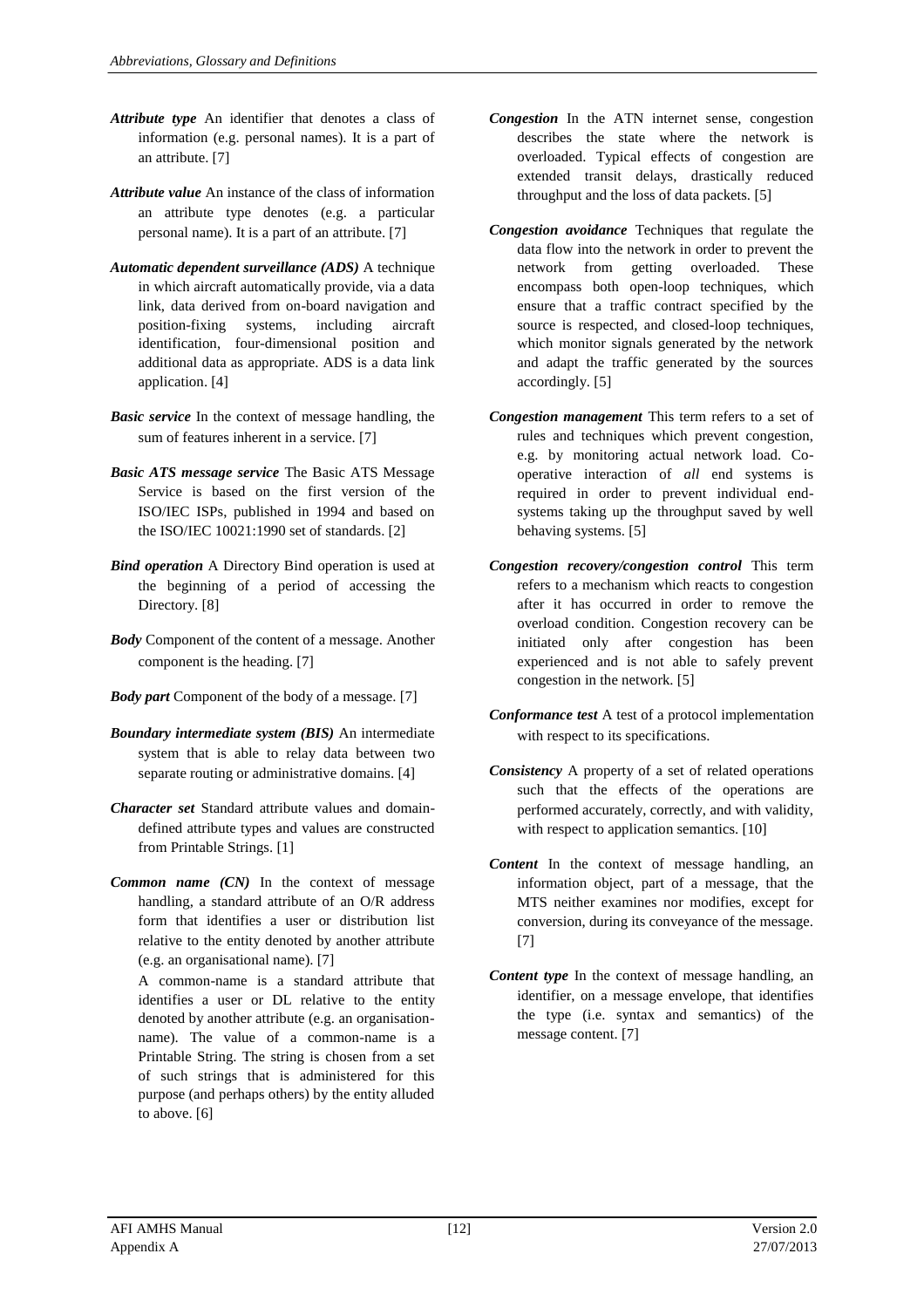- *Attribute type* An identifier that denotes a class of information (e.g. personal names). It is a part of an attribute. [7]
- *Attribute value* An instance of the class of information an attribute type denotes (e.g. a particular personal name). It is a part of an attribute. [7]
- *Automatic dependent surveillance (ADS)* A technique in which aircraft automatically provide, via a data link, data derived from on-board navigation and position-fixing systems, including aircraft identification, four-dimensional position and additional data as appropriate. ADS is a data link application. [4]
- *Basic service* In the context of message handling, the sum of features inherent in a service. [7]
- *Basic ATS message service* The Basic ATS Message Service is based on the first version of the ISO/IEC ISPs, published in 1994 and based on the ISO/IEC 10021:1990 set of standards. [2]
- *Bind operation* A Directory Bind operation is used at the beginning of a period of accessing the Directory. [8]
- *Body* Component of the content of a message. Another component is the heading. [7]
- *Body part* Component of the body of a message. [7]
- *Boundary intermediate system (BIS)* An intermediate system that is able to relay data between two separate routing or administrative domains. [4]
- *Character set* Standard attribute values and domaindefined attribute types and values are constructed from Printable Strings. [1]
- *Common name (CN)* In the context of message handling, a standard attribute of an O/R address form that identifies a user or distribution list relative to the entity denoted by another attribute (e.g. an organisational name). [7]

A common-name is a standard attribute that identifies a user or DL relative to the entity denoted by another attribute (e.g. an organisationname). The value of a common-name is a Printable String. The string is chosen from a set of such strings that is administered for this purpose (and perhaps others) by the entity alluded to above. [6]

- *Congestion* In the ATN internet sense, congestion describes the state where the network is overloaded. Typical effects of congestion are extended transit delays, drastically reduced throughput and the loss of data packets. [5]
- *Congestion avoidance* Techniques that regulate the data flow into the network in order to prevent the network from getting overloaded. These encompass both open-loop techniques, which ensure that a traffic contract specified by the source is respected, and closed-loop techniques, which monitor signals generated by the network and adapt the traffic generated by the sources accordingly. [5]
- *Congestion management* This term refers to a set of rules and techniques which prevent congestion, e.g. by monitoring actual network load. Cooperative interaction of *all* end systems is required in order to prevent individual endsystems taking up the throughput saved by well behaving systems. [5]
- *Congestion recovery/congestion control* This term refers to a mechanism which reacts to congestion after it has occurred in order to remove the overload condition. Congestion recovery can be initiated only after congestion has been experienced and is not able to safely prevent congestion in the network. [5]
- *Conformance test* A test of a protocol implementation with respect to its specifications.
- *Consistency* A property of a set of related operations such that the effects of the operations are performed accurately, correctly, and with validity, with respect to application semantics. [10]
- *Content* In the context of message handling, an information object, part of a message, that the MTS neither examines nor modifies, except for conversion, during its conveyance of the message. [7]
- *Content type* In the context of message handling, an identifier, on a message envelope, that identifies the type (i.e. syntax and semantics) of the message content. [7]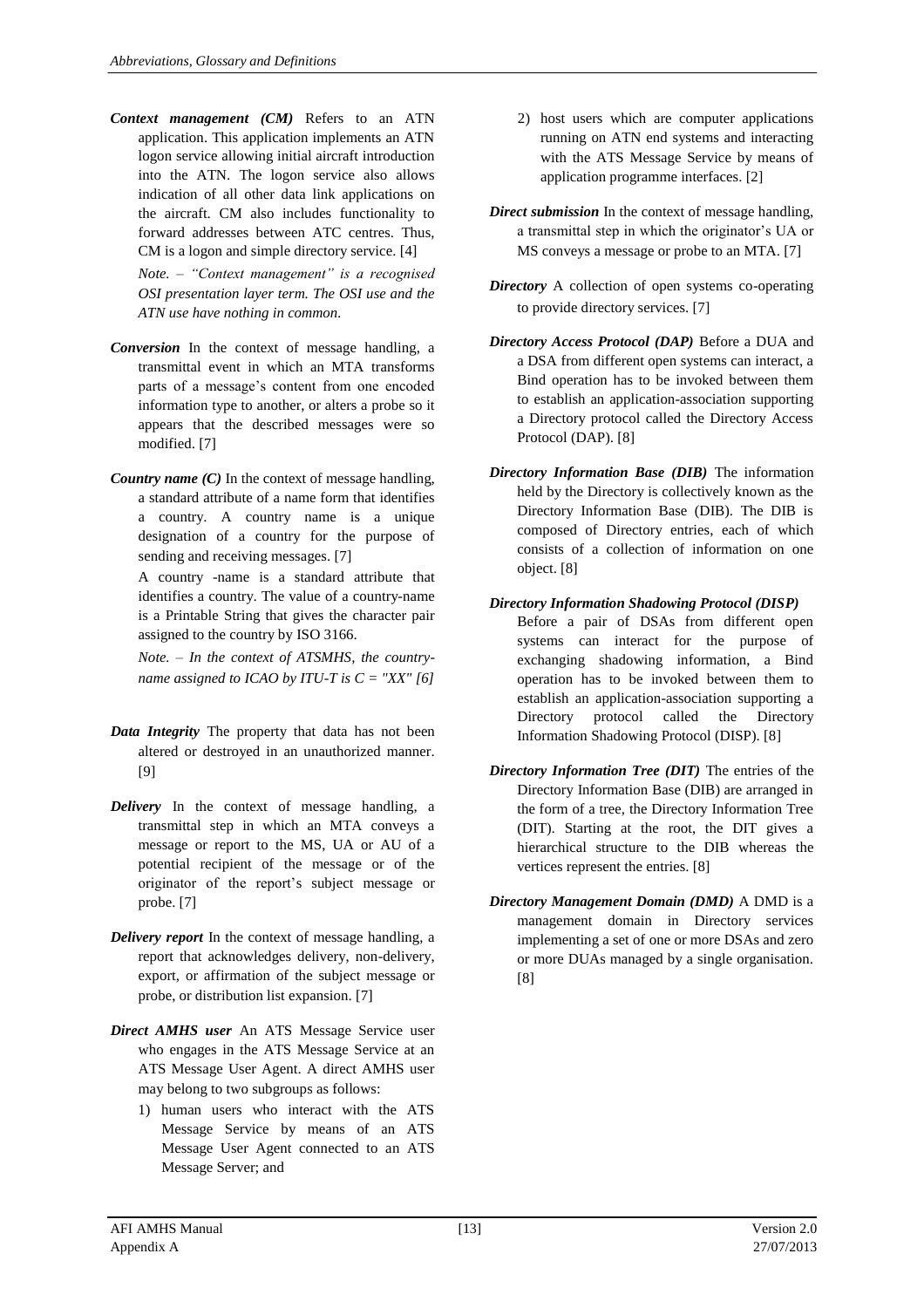*Context management (CM)* Refers to an ATN application. This application implements an ATN logon service allowing initial aircraft introduction into the ATN. The logon service also allows indication of all other data link applications on the aircraft. CM also includes functionality to forward addresses between ATC centres. Thus, CM is a logon and simple directory service. [4]

*Note. – "Context management" is a recognised OSI presentation layer term. The OSI use and the ATN use have nothing in common.*

- *Conversion* In the context of message handling, a transmittal event in which an MTA transforms parts of a message's content from one encoded information type to another, or alters a probe so it appears that the described messages were so modified. [7]
- *Country name (C)* In the context of message handling, a standard attribute of a name form that identifies a country. A country name is a unique designation of a country for the purpose of sending and receiving messages. [7]

A country -name is a standard attribute that identifies a country. The value of a country-name is a Printable String that gives the character pair assigned to the country by ISO 3166.

*Note. – In the context of ATSMHS, the countryname assigned to ICAO by ITU-T is C = "XX" [6]*

- *Data Integrity* The property that data has not been altered or destroyed in an unauthorized manner. [9]
- *Delivery* In the context of message handling, a transmittal step in which an MTA conveys a message or report to the MS, UA or AU of a potential recipient of the message or of the originator of the report's subject message or probe. [7]
- *Delivery report* In the context of message handling, a report that acknowledges delivery, non-delivery, export, or affirmation of the subject message or probe, or distribution list expansion. [7]
- *Direct AMHS user* An ATS Message Service user who engages in the ATS Message Service at an ATS Message User Agent. A direct AMHS user may belong to two subgroups as follows:
	- 1) human users who interact with the ATS Message Service by means of an ATS Message User Agent connected to an ATS Message Server; and
- 2) host users which are computer applications running on ATN end systems and interacting with the ATS Message Service by means of application programme interfaces. [2]
- *Direct submission* In the context of message handling, a transmittal step in which the originator's UA or MS conveys a message or probe to an MTA. [7]
- *Directory* A collection of open systems co-operating to provide directory services. [7]
- *Directory Access Protocol (DAP)* Before a DUA and a DSA from different open systems can interact, a Bind operation has to be invoked between them to establish an application-association supporting a Directory protocol called the Directory Access Protocol (DAP). [8]
- *Directory Information Base (DIB)* The information held by the Directory is collectively known as the Directory Information Base (DIB). The DIB is composed of Directory entries, each of which consists of a collection of information on one object. [8]
- *Directory Information Shadowing Protocol (DISP)* Before a pair of DSAs from different open systems can interact for the purpose of exchanging shadowing information, a Bind operation has to be invoked between them to establish an application-association supporting a Directory protocol called the Directory Information Shadowing Protocol (DISP). [8]
- *Directory Information Tree (DIT)* The entries of the Directory Information Base (DIB) are arranged in the form of a tree, the Directory Information Tree (DIT). Starting at the root, the DIT gives a hierarchical structure to the DIB whereas the vertices represent the entries. [8]
- *Directory Management Domain (DMD)* A DMD is a management domain in Directory services implementing a set of one or more DSAs and zero or more DUAs managed by a single organisation. [8]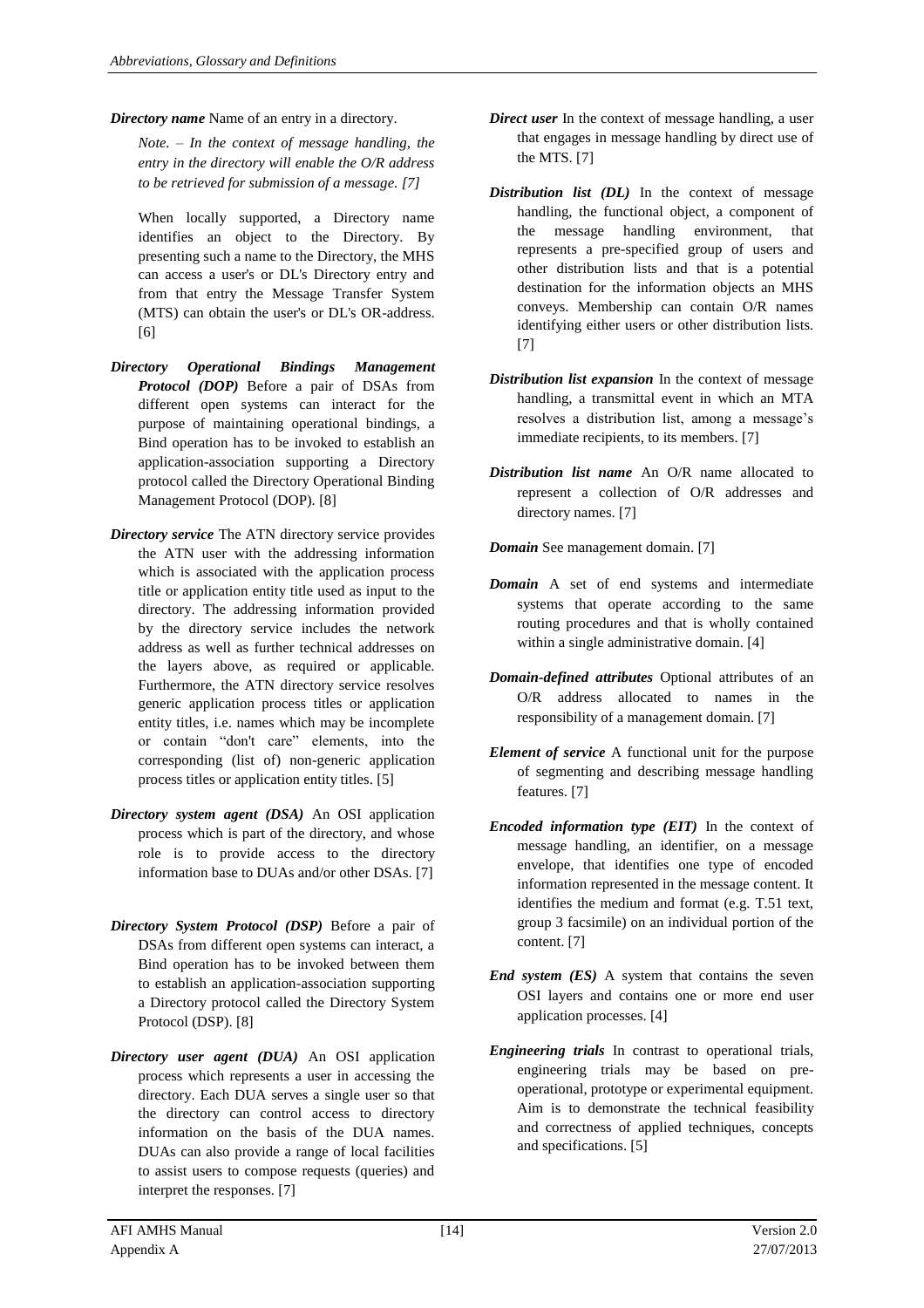*Directory name* Name of an entry in a directory.

*Note. – In the context of message handling, the entry in the directory will enable the O/R address to be retrieved for submission of a message. [7]*

When locally supported, a Directory name identifies an object to the Directory. By presenting such a name to the Directory, the MHS can access a user's or DL's Directory entry and from that entry the Message Transfer System (MTS) can obtain the user's or DL's OR-address. [6]

- *Directory Operational Bindings Management Protocol (DOP)* Before a pair of DSAs from different open systems can interact for the purpose of maintaining operational bindings, a Bind operation has to be invoked to establish an application-association supporting a Directory protocol called the Directory Operational Binding Management Protocol (DOP). [8]
- *Directory service* The ATN directory service provides the ATN user with the addressing information which is associated with the application process title or application entity title used as input to the directory. The addressing information provided by the directory service includes the network address as well as further technical addresses on the layers above, as required or applicable. Furthermore, the ATN directory service resolves generic application process titles or application entity titles, i.e. names which may be incomplete or contain "don't care" elements, into the corresponding (list of) non-generic application process titles or application entity titles. [5]
- *Directory system agent (DSA)* An OSI application process which is part of the directory, and whose role is to provide access to the directory information base to DUAs and/or other DSAs. [7]
- *Directory System Protocol (DSP)* Before a pair of DSAs from different open systems can interact, a Bind operation has to be invoked between them to establish an application-association supporting a Directory protocol called the Directory System Protocol (DSP). [8]
- *Directory user agent (DUA)* An OSI application process which represents a user in accessing the directory. Each DUA serves a single user so that the directory can control access to directory information on the basis of the DUA names. DUAs can also provide a range of local facilities to assist users to compose requests (queries) and interpret the responses. [7]
- *Direct user* In the context of message handling, a user that engages in message handling by direct use of the MTS. [7]
- *Distribution list (DL)* In the context of message handling, the functional object, a component of the message handling environment, that represents a pre-specified group of users and other distribution lists and that is a potential destination for the information objects an MHS conveys. Membership can contain O/R names identifying either users or other distribution lists. [7]
- *Distribution list expansion* In the context of message handling, a transmittal event in which an MTA resolves a distribution list, among a message's immediate recipients, to its members. [7]
- *Distribution list name* An O/R name allocated to represent a collection of O/R addresses and directory names. [7]

*Domain* See management domain. [7]

- *Domain* A set of end systems and intermediate systems that operate according to the same routing procedures and that is wholly contained within a single administrative domain. [4]
- *Domain-defined attributes* Optional attributes of an O/R address allocated to names in the responsibility of a management domain. [7]
- *Element of service* A functional unit for the purpose of segmenting and describing message handling features. [7]
- *Encoded information type (EIT)* In the context of message handling, an identifier, on a message envelope, that identifies one type of encoded information represented in the message content. It identifies the medium and format (e.g. T.51 text, group 3 facsimile) on an individual portion of the content. [7]
- *End system (ES)* A system that contains the seven OSI layers and contains one or more end user application processes. [4]
- *Engineering trials* In contrast to operational trials, engineering trials may be based on preoperational, prototype or experimental equipment. Aim is to demonstrate the technical feasibility and correctness of applied techniques, concepts and specifications. [5]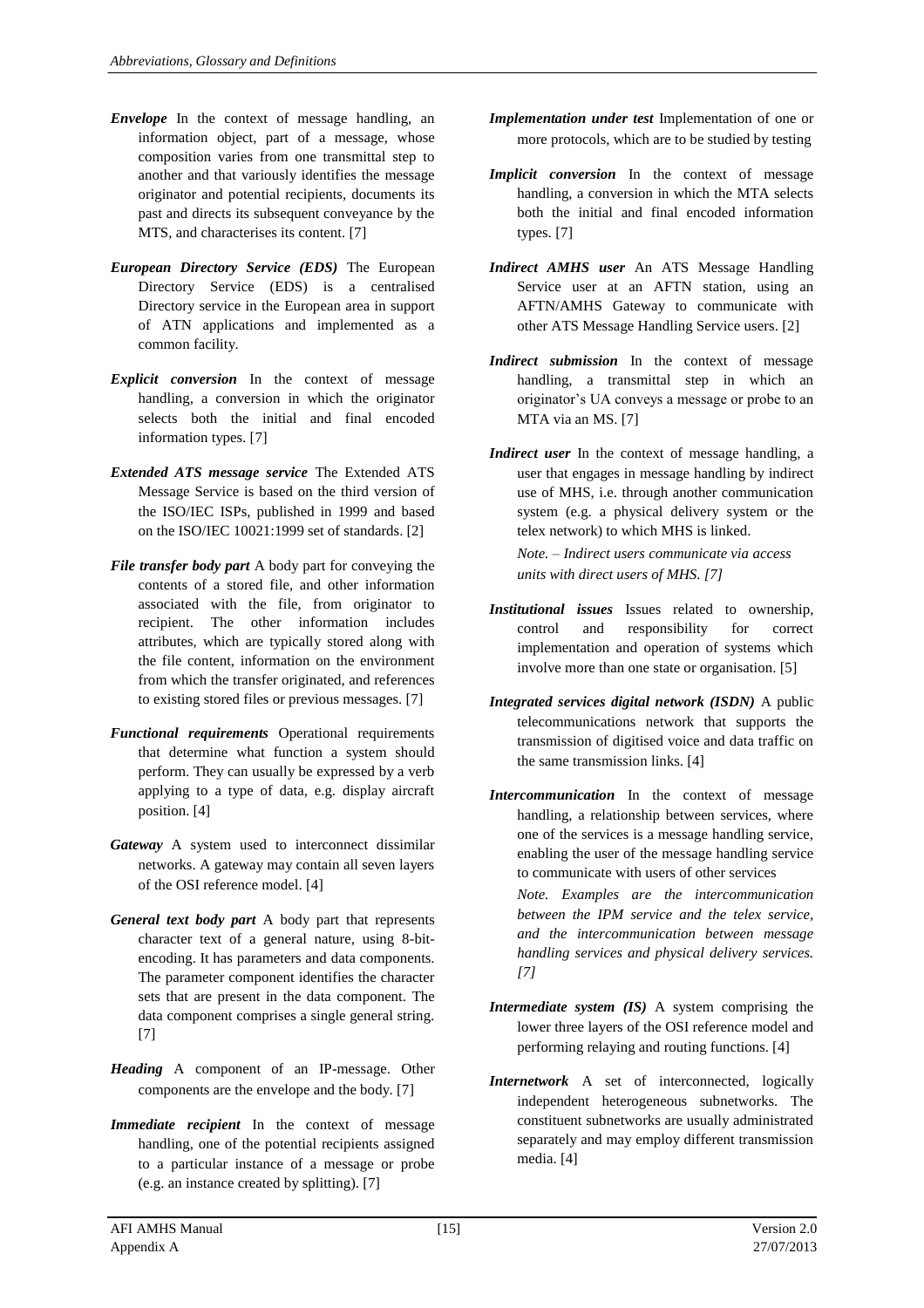- *Envelope* In the context of message handling, an information object, part of a message, whose composition varies from one transmittal step to another and that variously identifies the message originator and potential recipients, documents its past and directs its subsequent conveyance by the MTS, and characterises its content. [7]
- *European Directory Service (EDS)* The European Directory Service (EDS) is a centralised Directory service in the European area in support of ATN applications and implemented as a common facility.
- *Explicit conversion* In the context of message handling, a conversion in which the originator selects both the initial and final encoded information types. [7]
- *Extended ATS message service* The Extended ATS Message Service is based on the third version of the ISO/IEC ISPs, published in 1999 and based on the ISO/IEC 10021:1999 set of standards. [2]
- *File transfer body part* A body part for conveying the contents of a stored file, and other information associated with the file, from originator to recipient. The other information includes attributes, which are typically stored along with the file content, information on the environment from which the transfer originated, and references to existing stored files or previous messages. [7]
- *Functional requirements* Operational requirements that determine what function a system should perform. They can usually be expressed by a verb applying to a type of data, e.g. display aircraft position. [4]
- *Gateway* A system used to interconnect dissimilar networks. A gateway may contain all seven layers of the OSI reference model. [4]
- *General text body part* A body part that represents character text of a general nature, using 8-bitencoding. It has parameters and data components. The parameter component identifies the character sets that are present in the data component. The data component comprises a single general string. [7]
- *Heading* A component of an IP-message. Other components are the envelope and the body. [7]
- *Immediate recipient* In the context of message handling, one of the potential recipients assigned to a particular instance of a message or probe (e.g. an instance created by splitting). [7]
- *Implementation under test* Implementation of one or more protocols, which are to be studied by testing
- *Implicit conversion* In the context of message handling, a conversion in which the MTA selects both the initial and final encoded information types. [7]
- *Indirect AMHS user* An ATS Message Handling Service user at an AFTN station, using an AFTN/AMHS Gateway to communicate with other ATS Message Handling Service users. [2]
- *Indirect submission* In the context of message handling, a transmittal step in which an originator's UA conveys a message or probe to an MTA via an MS. [7]
- *Indirect user* In the context of message handling, a user that engages in message handling by indirect use of MHS, i.e. through another communication system (e.g. a physical delivery system or the telex network) to which MHS is linked. *Note. – Indirect users communicate via access*

*units with direct users of MHS. [7]*

- *Institutional issues* Issues related to ownership, control and responsibility for correct implementation and operation of systems which involve more than one state or organisation. [5]
- *Integrated services digital network (ISDN)* A public telecommunications network that supports the transmission of digitised voice and data traffic on the same transmission links. [4]
- *Intercommunication* In the context of message handling, a relationship between services, where one of the services is a message handling service, enabling the user of the message handling service to communicate with users of other services

*Note. Examples are the intercommunication between the IPM service and the telex service, and the intercommunication between message handling services and physical delivery services. [7]*

- *Intermediate system (IS)* A system comprising the lower three layers of the OSI reference model and performing relaying and routing functions. [4]
- *Internetwork* A set of interconnected, logically independent heterogeneous subnetworks. The constituent subnetworks are usually administrated separately and may employ different transmission media. [4]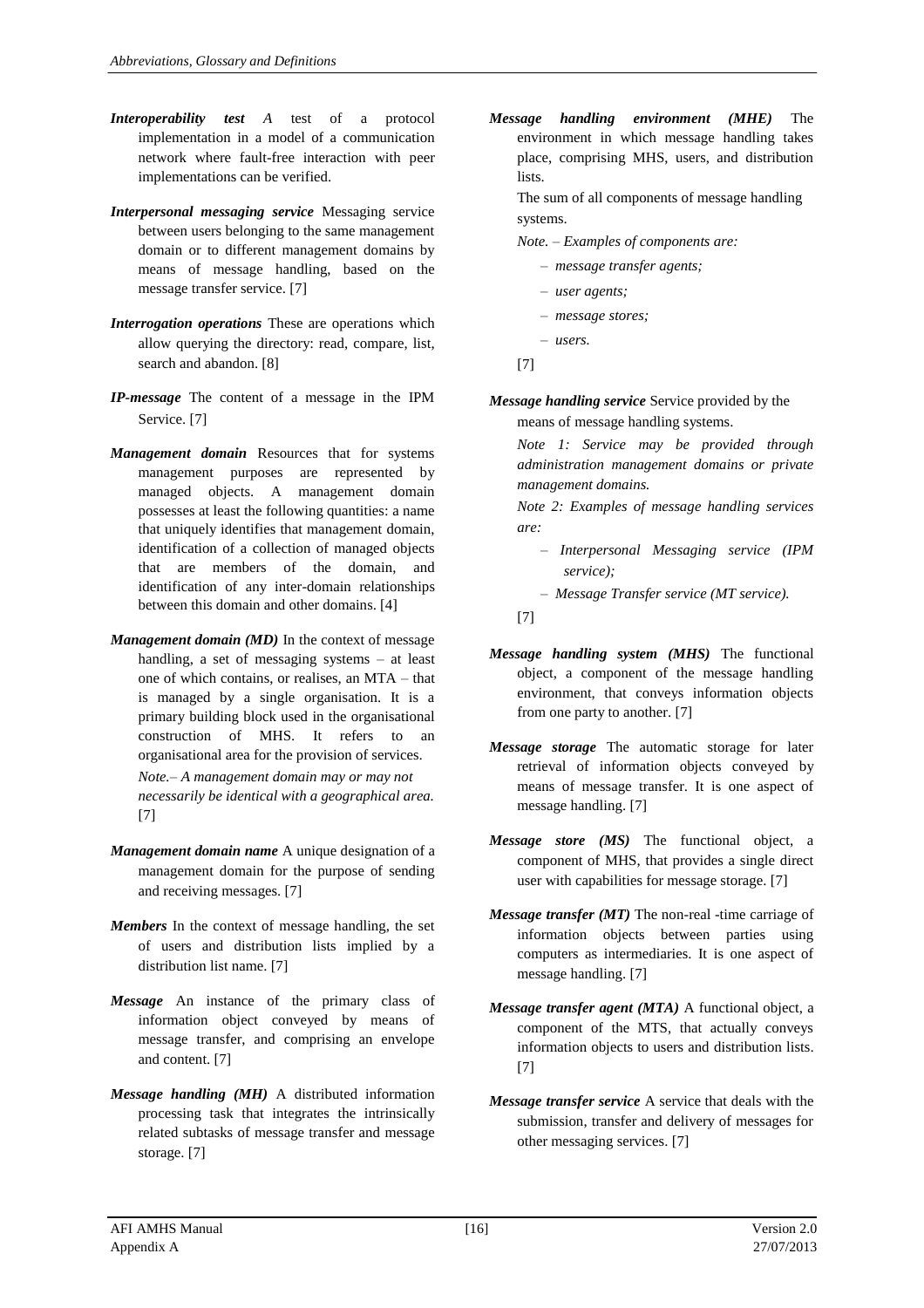- *Interoperability test A* test of a protocol implementation in a model of a communication network where fault-free interaction with peer implementations can be verified.
- *Interpersonal messaging service* Messaging service between users belonging to the same management domain or to different management domains by means of message handling, based on the message transfer service. [7]
- *Interrogation operations* These are operations which allow querying the directory: read, compare, list, search and abandon. [8]
- *IP-message* The content of a message in the IPM Service. [7]
- *Management domain* Resources that for systems management purposes are represented by managed objects. A management domain possesses at least the following quantities: a name that uniquely identifies that management domain, identification of a collection of managed objects that are members of the domain, and identification of any inter-domain relationships between this domain and other domains. [4]
- *Management domain (MD)* In the context of message handling, a set of messaging systems – at least one of which contains, or realises, an MTA – that is managed by a single organisation. It is a primary building block used in the organisational construction of MHS. It refers to an organisational area for the provision of services. *Note.– A management domain may or may not*

*necessarily be identical with a geographical area.* [7]

- *Management domain name* A unique designation of a management domain for the purpose of sending and receiving messages. [7]
- *Members* In the context of message handling, the set of users and distribution lists implied by a distribution list name. [7]
- *Message* An instance of the primary class of information object conveyed by means of message transfer, and comprising an envelope and content. [7]
- *Message handling (MH)* A distributed information processing task that integrates the intrinsically related subtasks of message transfer and message storage. [7]

*Message handling environment (MHE)* The environment in which message handling takes place, comprising MHS, users, and distribution lists.

The sum of all components of message handling systems.

- *Note. – Examples of components are:*
	- *message transfer agents;*
	- *user agents;*
	- *message stores;*
	- *users.*

[7]

*Message handling service* Service provided by the

means of message handling systems.

*Note 1: Service may be provided through administration management domains or private management domains.*

*Note 2: Examples of message handling services are:*

- *– Interpersonal Messaging service (IPM service);*
- *Message Transfer service (MT service).*
- [7]
- *Message handling system (MHS)* The functional object, a component of the message handling environment, that conveys information objects from one party to another. [7]
- *Message storage* The automatic storage for later retrieval of information objects conveyed by means of message transfer. It is one aspect of message handling. [7]
- *Message store (MS)* The functional object, a component of MHS, that provides a single direct user with capabilities for message storage. [7]
- *Message transfer (MT)* The non-real -time carriage of information objects between parties using computers as intermediaries. It is one aspect of message handling. [7]
- *Message transfer agent (MTA)* A functional object, a component of the MTS, that actually conveys information objects to users and distribution lists. [7]
- *Message transfer service* A service that deals with the submission, transfer and delivery of messages for other messaging services. [7]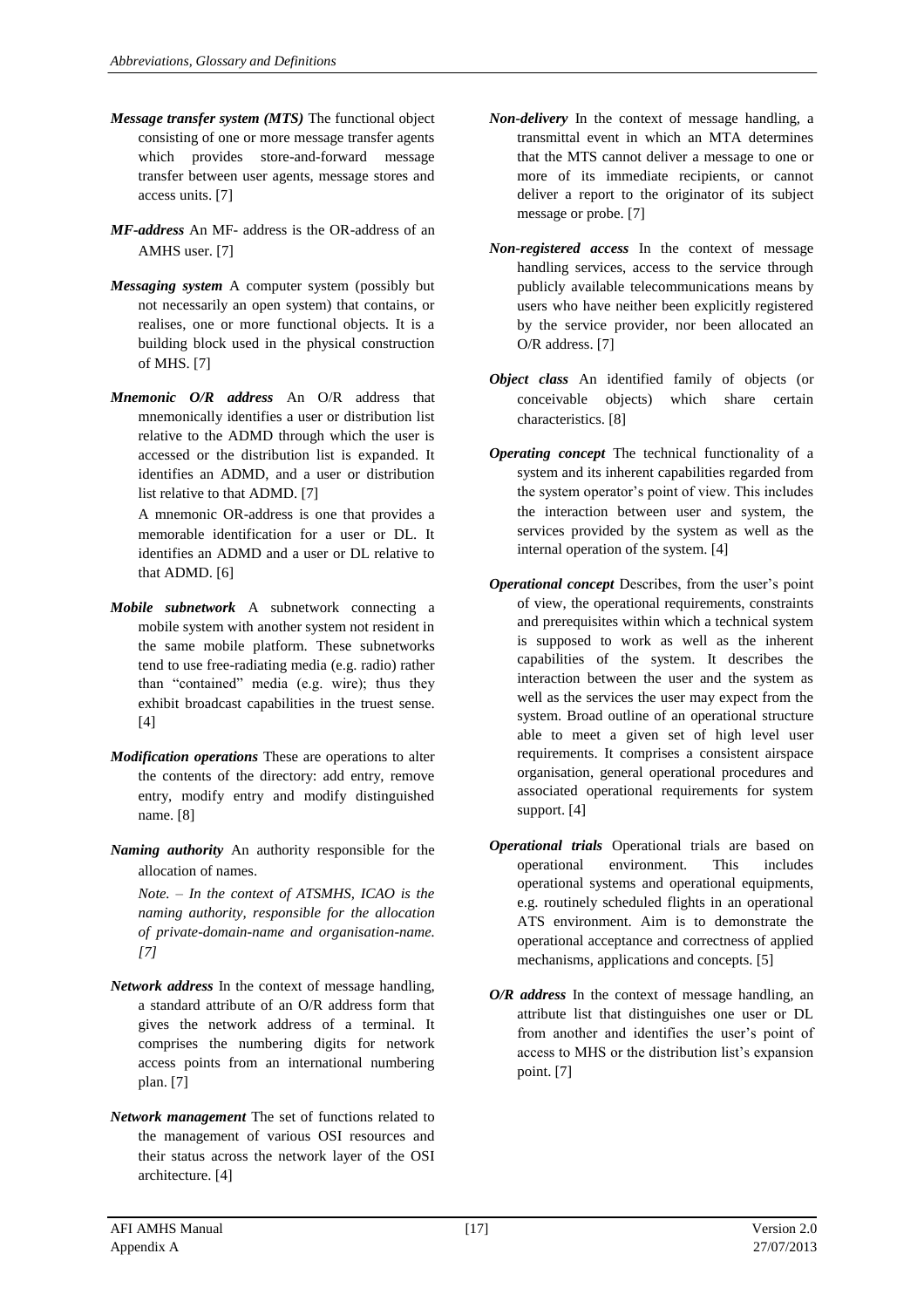- *Message transfer system (MTS)* The functional object consisting of one or more message transfer agents which provides store-and-forward message transfer between user agents, message stores and access units. [7]
- *MF-address* An MF- address is the OR-address of an AMHS user. [7]
- *Messaging system* A computer system (possibly but not necessarily an open system) that contains, or realises, one or more functional objects. It is a building block used in the physical construction of MHS. [7]
- *Mnemonic O/R address* An O/R address that mnemonically identifies a user or distribution list relative to the ADMD through which the user is accessed or the distribution list is expanded. It identifies an ADMD, and a user or distribution list relative to that ADMD. [7]

A mnemonic OR-address is one that provides a memorable identification for a user or DL. It identifies an ADMD and a user or DL relative to that ADMD. [6]

- *Mobile subnetwork* A subnetwork connecting a mobile system with another system not resident in the same mobile platform. These subnetworks tend to use free-radiating media (e.g. radio) rather than "contained" media (e.g. wire); thus they exhibit broadcast capabilities in the truest sense. [4]
- *Modification operations* These are operations to alter the contents of the directory: add entry, remove entry, modify entry and modify distinguished name. [8]
- *Naming authority* An authority responsible for the allocation of names.

*Note. – In the context of ATSMHS, ICAO is the naming authority, responsible for the allocation of private-domain-name and organisation-name. [7]*

- *Network address* In the context of message handling, a standard attribute of an O/R address form that gives the network address of a terminal. It comprises the numbering digits for network access points from an international numbering plan. [7]
- *Network management* The set of functions related to the management of various OSI resources and their status across the network layer of the OSI architecture. [4]
- *Non-delivery* In the context of message handling, a transmittal event in which an MTA determines that the MTS cannot deliver a message to one or more of its immediate recipients, or cannot deliver a report to the originator of its subject message or probe. [7]
- *Non-registered access* In the context of message handling services, access to the service through publicly available telecommunications means by users who have neither been explicitly registered by the service provider, nor been allocated an O/R address. [7]
- *Object class* An identified family of objects (or conceivable objects) which share certain characteristics. [8]
- *Operating concept* The technical functionality of a system and its inherent capabilities regarded from the system operator's point of view. This includes the interaction between user and system, the services provided by the system as well as the internal operation of the system. [4]
- *Operational concept* Describes, from the user's point of view, the operational requirements, constraints and prerequisites within which a technical system is supposed to work as well as the inherent capabilities of the system. It describes the interaction between the user and the system as well as the services the user may expect from the system. Broad outline of an operational structure able to meet a given set of high level user requirements. It comprises a consistent airspace organisation, general operational procedures and associated operational requirements for system support. [4]
- *Operational trials* Operational trials are based on operational environment. This includes operational systems and operational equipments, e.g. routinely scheduled flights in an operational ATS environment. Aim is to demonstrate the operational acceptance and correctness of applied mechanisms, applications and concepts. [5]
- *O/R address* In the context of message handling, an attribute list that distinguishes one user or DL from another and identifies the user's point of access to MHS or the distribution list's expansion point. [7]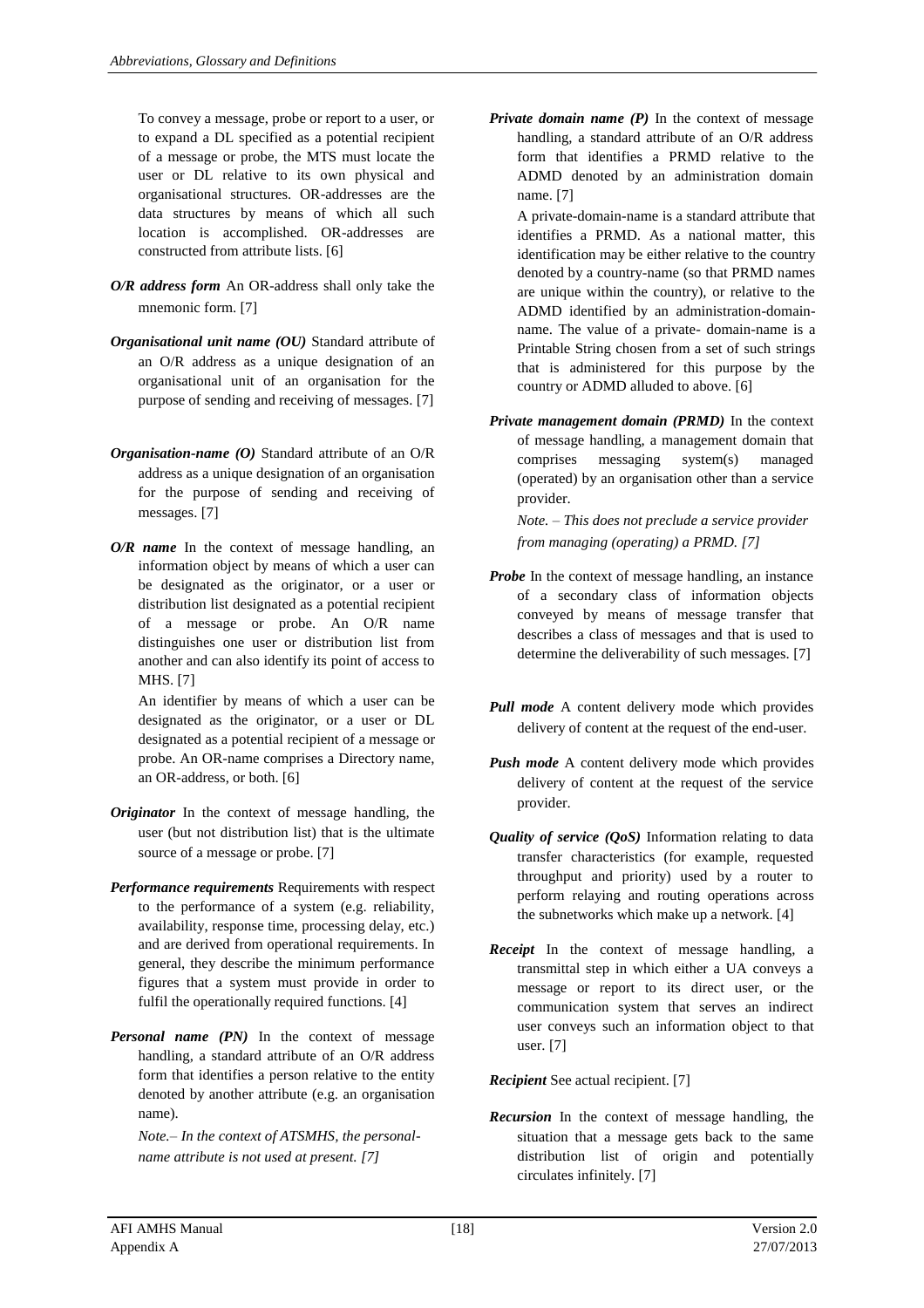To convey a message, probe or report to a user, or to expand a DL specified as a potential recipient of a message or probe, the MTS must locate the user or DL relative to its own physical and organisational structures. OR-addresses are the data structures by means of which all such location is accomplished. OR-addresses are constructed from attribute lists. [6]

- *O/R address form* An OR-address shall only take the mnemonic form. [7]
- *Organisational unit name (OU)* Standard attribute of an O/R address as a unique designation of an organisational unit of an organisation for the purpose of sending and receiving of messages. [7]
- *Organisation-name (O)* Standard attribute of an O/R address as a unique designation of an organisation for the purpose of sending and receiving of messages. [7]
- *O/R name* In the context of message handling, an information object by means of which a user can be designated as the originator, or a user or distribution list designated as a potential recipient of a message or probe. An O/R name distinguishes one user or distribution list from another and can also identify its point of access to MHS. [7]

An identifier by means of which a user can be designated as the originator, or a user or DL designated as a potential recipient of a message or probe. An OR-name comprises a Directory name, an OR-address, or both. [6]

- *Originator* In the context of message handling, the user (but not distribution list) that is the ultimate source of a message or probe. [7]
- *Performance requirements* Requirements with respect to the performance of a system (e.g. reliability, availability, response time, processing delay, etc.) and are derived from operational requirements. In general, they describe the minimum performance figures that a system must provide in order to fulfil the operationally required functions. [4]
- *Personal name (PN)* In the context of message handling, a standard attribute of an O/R address form that identifies a person relative to the entity denoted by another attribute (e.g. an organisation name).

*Note.– In the context of ATSMHS, the personalname attribute is not used at present. [7]*

*Private domain name (P)* In the context of message handling, a standard attribute of an O/R address form that identifies a PRMD relative to the ADMD denoted by an administration domain name. [7]

A private-domain-name is a standard attribute that identifies a PRMD. As a national matter, this identification may be either relative to the country denoted by a country-name (so that PRMD names are unique within the country), or relative to the ADMD identified by an administration-domainname. The value of a private- domain-name is a Printable String chosen from a set of such strings that is administered for this purpose by the country or ADMD alluded to above. [6]

*Private management domain (PRMD)* In the context of message handling, a management domain that comprises messaging system(s) managed (operated) by an organisation other than a service provider.

*Note. – This does not preclude a service provider from managing (operating) a PRMD. [7]*

- **Probe** In the context of message handling, an instance of a secondary class of information objects conveyed by means of message transfer that describes a class of messages and that is used to determine the deliverability of such messages. [7]
- *Pull mode* A content delivery mode which provides delivery of content at the request of the end-user.
- *Push mode* A content delivery mode which provides delivery of content at the request of the service provider.
- *Quality of service (QoS)* Information relating to data transfer characteristics (for example, requested throughput and priority) used by a router to perform relaying and routing operations across the subnetworks which make up a network. [4]
- *Receipt* In the context of message handling, a transmittal step in which either a UA conveys a message or report to its direct user, or the communication system that serves an indirect user conveys such an information object to that user. [7]

*Recipient* See actual recipient. [7]

*Recursion* In the context of message handling, the situation that a message gets back to the same distribution list of origin and potentially circulates infinitely. [7]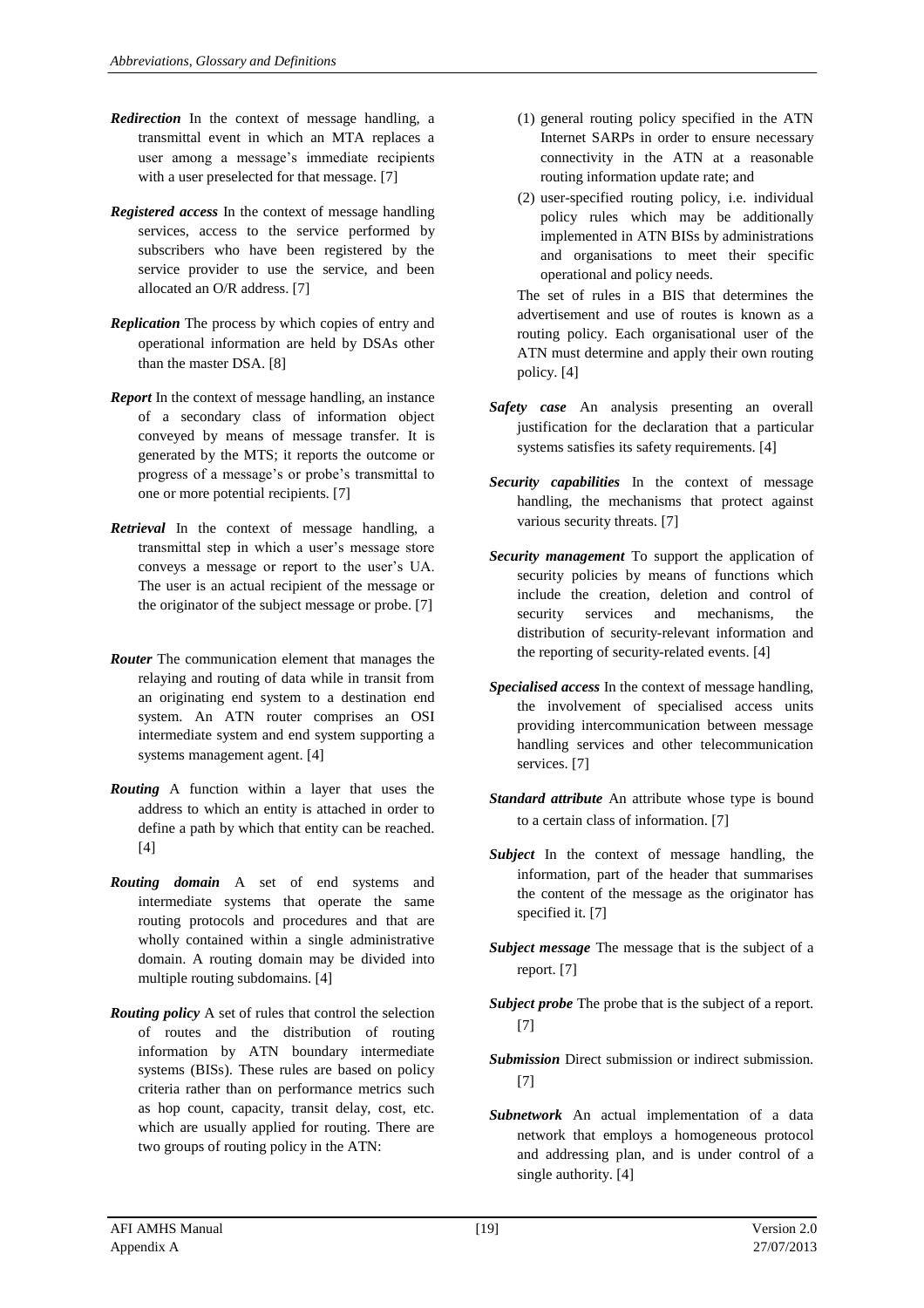- *Redirection* In the context of message handling, a transmittal event in which an MTA replaces a user among a message's immediate recipients with a user preselected for that message. [7]
- *Registered access* In the context of message handling services, access to the service performed by subscribers who have been registered by the service provider to use the service, and been allocated an O/R address. [7]
- *Replication* The process by which copies of entry and operational information are held by DSAs other than the master DSA. [8]
- *Report* In the context of message handling, an instance of a secondary class of information object conveyed by means of message transfer. It is generated by the MTS; it reports the outcome or progress of a message's or probe's transmittal to one or more potential recipients. [7]
- *Retrieval* In the context of message handling, a transmittal step in which a user's message store conveys a message or report to the user's UA. The user is an actual recipient of the message or the originator of the subject message or probe. [7]
- *Router* The communication element that manages the relaying and routing of data while in transit from an originating end system to a destination end system. An ATN router comprises an OSI intermediate system and end system supporting a systems management agent. [4]
- *Routing* A function within a layer that uses the address to which an entity is attached in order to define a path by which that entity can be reached. [4]
- *Routing domain* A set of end systems and intermediate systems that operate the same routing protocols and procedures and that are wholly contained within a single administrative domain. A routing domain may be divided into multiple routing subdomains. [4]
- *Routing policy* A set of rules that control the selection of routes and the distribution of routing information by ATN boundary intermediate systems (BISs). These rules are based on policy criteria rather than on performance metrics such as hop count, capacity, transit delay, cost, etc. which are usually applied for routing. There are two groups of routing policy in the ATN:
- (1) general routing policy specified in the ATN Internet SARPs in order to ensure necessary connectivity in the ATN at a reasonable routing information update rate; and
- (2) user-specified routing policy, i.e. individual policy rules which may be additionally implemented in ATN BISs by administrations and organisations to meet their specific operational and policy needs.

The set of rules in a BIS that determines the advertisement and use of routes is known as a routing policy. Each organisational user of the ATN must determine and apply their own routing policy. [4]

- *Safety case* An analysis presenting an overall justification for the declaration that a particular systems satisfies its safety requirements. [4]
- *Security capabilities* In the context of message handling, the mechanisms that protect against various security threats. [7]
- *Security management* To support the application of security policies by means of functions which include the creation, deletion and control of security services and mechanisms, the distribution of security-relevant information and the reporting of security-related events. [4]
- *Specialised access* In the context of message handling, the involvement of specialised access units providing intercommunication between message handling services and other telecommunication services. [7]
- *Standard attribute* An attribute whose type is bound to a certain class of information. [7]
- *Subject* In the context of message handling, the information, part of the header that summarises the content of the message as the originator has specified it. [7]
- *Subject message* The message that is the subject of a report. [7]
- *Subject probe* The probe that is the subject of a report. [7]
- *Submission* Direct submission or indirect submission. [7]
- *Subnetwork* An actual implementation of a data network that employs a homogeneous protocol and addressing plan, and is under control of a single authority. [4]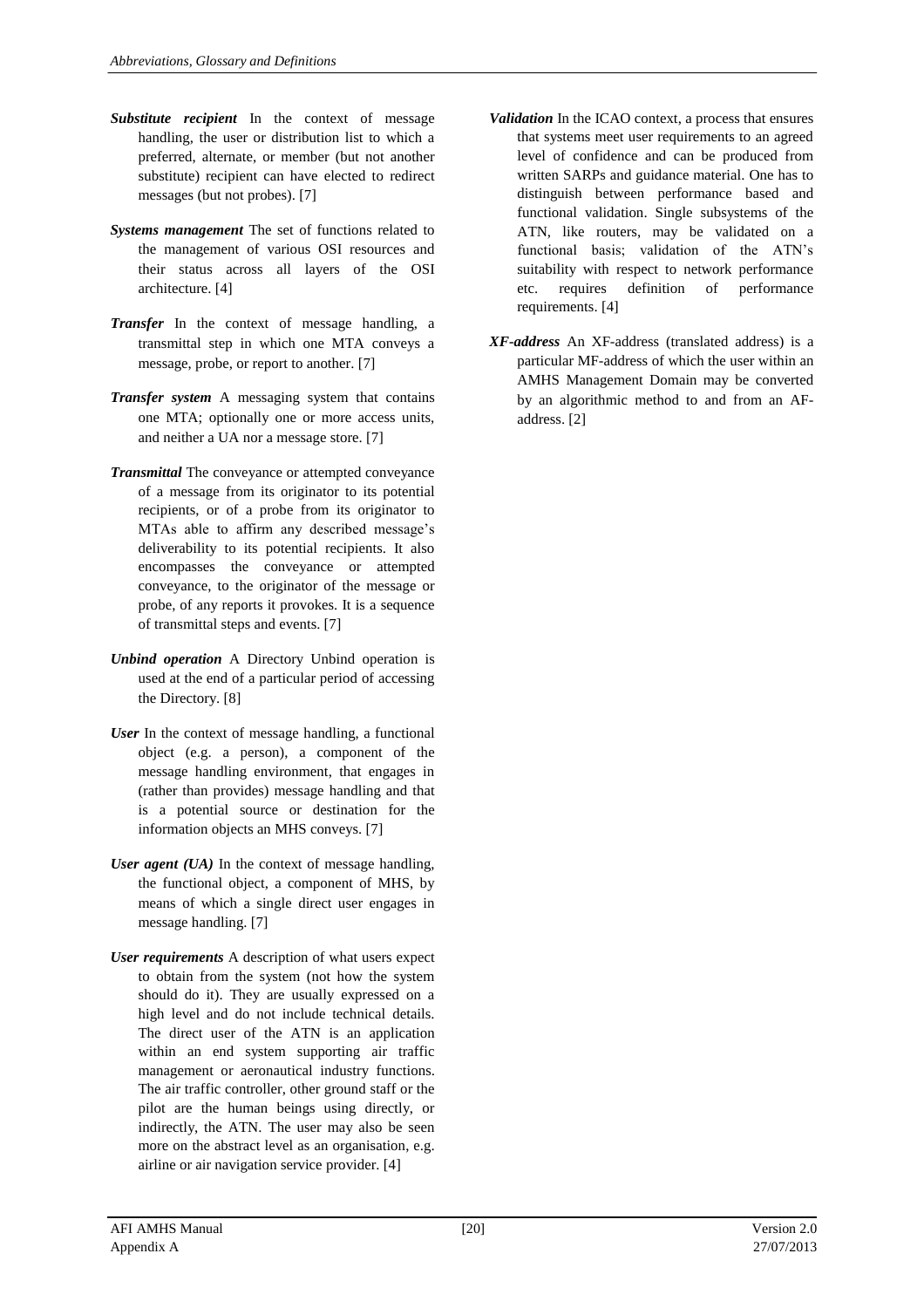- *Substitute recipient* In the context of message handling, the user or distribution list to which a preferred, alternate, or member (but not another substitute) recipient can have elected to redirect messages (but not probes). [7]
- *Systems management* The set of functions related to the management of various OSI resources and their status across all layers of the OSI architecture. [4]
- *Transfer* In the context of message handling, a transmittal step in which one MTA conveys a message, probe, or report to another. [7]
- *Transfer system* A messaging system that contains one MTA; optionally one or more access units, and neither a UA nor a message store. [7]
- *Transmittal* The conveyance or attempted conveyance of a message from its originator to its potential recipients, or of a probe from its originator to MTAs able to affirm any described message's deliverability to its potential recipients. It also encompasses the conveyance or attempted conveyance, to the originator of the message or probe, of any reports it provokes. It is a sequence of transmittal steps and events. [7]
- *Unbind operation* A Directory Unbind operation is used at the end of a particular period of accessing the Directory. [8]
- *User* In the context of message handling, a functional object (e.g. a person), a component of the message handling environment, that engages in (rather than provides) message handling and that is a potential source or destination for the information objects an MHS conveys. [7]
- *User agent (UA)* In the context of message handling, the functional object, a component of MHS, by means of which a single direct user engages in message handling. [7]
- *User requirements* A description of what users expect to obtain from the system (not how the system should do it). They are usually expressed on a high level and do not include technical details. The direct user of the ATN is an application within an end system supporting air traffic management or aeronautical industry functions. The air traffic controller, other ground staff or the pilot are the human beings using directly, or indirectly, the ATN. The user may also be seen more on the abstract level as an organisation, e.g. airline or air navigation service provider. [4]
- *Validation* In the ICAO context, a process that ensures that systems meet user requirements to an agreed level of confidence and can be produced from written SARPs and guidance material. One has to distinguish between performance based and functional validation. Single subsystems of the ATN, like routers, may be validated on a functional basis; validation of the ATN's suitability with respect to network performance etc. requires definition of performance requirements. [4]
- *XF-address* An XF-address (translated address) is a particular MF-address of which the user within an AMHS Management Domain may be converted by an algorithmic method to and from an AFaddress. [2]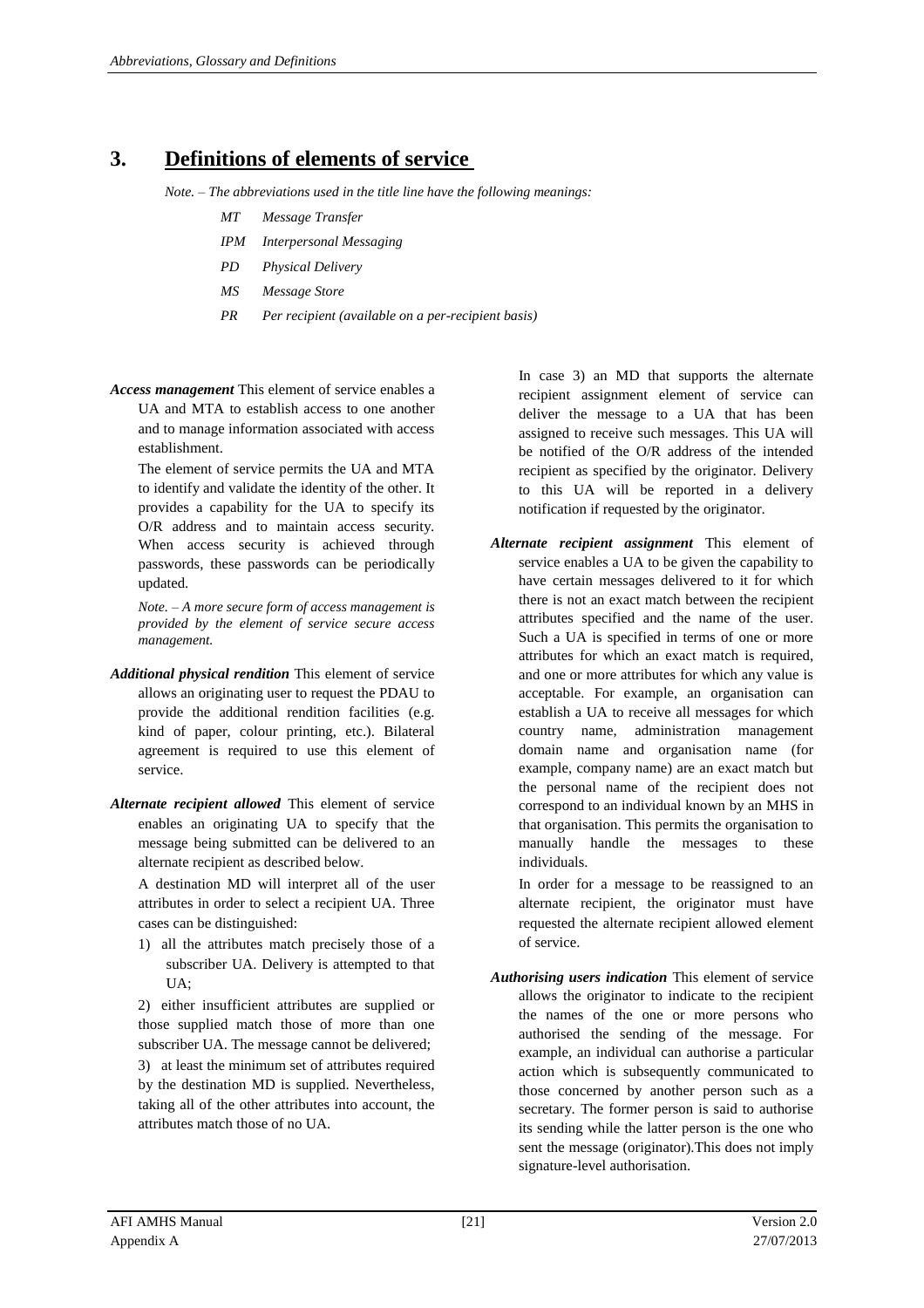## **3. Definitions of elements of service**

*Note. – The abbreviations used in the title line have the following meanings:*

- *MT Message Transfer*
- *IPM Interpersonal Messaging*
- *PD Physical Delivery*
- *MS Message Store*
- *PR Per recipient (available on a per-recipient basis)*
- *Access management* This element of service enables a UA and MTA to establish access to one another and to manage information associated with access establishment.

The element of service permits the UA and MTA to identify and validate the identity of the other. It provides a capability for the UA to specify its O/R address and to maintain access security. When access security is achieved through passwords, these passwords can be periodically updated.

*Note. – A more secure form of access management is provided by the element of service secure access management.*

- *Additional physical rendition* This element of service allows an originating user to request the PDAU to provide the additional rendition facilities (e.g. kind of paper, colour printing, etc.). Bilateral agreement is required to use this element of service.
- *Alternate recipient allowed* This element of service enables an originating UA to specify that the message being submitted can be delivered to an alternate recipient as described below.

A destination MD will interpret all of the user attributes in order to select a recipient UA. Three cases can be distinguished:

1) all the attributes match precisely those of a subscriber UA. Delivery is attempted to that UA;

2) either insufficient attributes are supplied or those supplied match those of more than one subscriber UA. The message cannot be delivered;

3) at least the minimum set of attributes required by the destination MD is supplied. Nevertheless, taking all of the other attributes into account, the attributes match those of no UA.

In case 3) an MD that supports the alternate recipient assignment element of service can deliver the message to a UA that has been assigned to receive such messages. This UA will be notified of the O/R address of the intended recipient as specified by the originator. Delivery to this UA will be reported in a delivery notification if requested by the originator.

*Alternate recipient assignment* This element of service enables a UA to be given the capability to have certain messages delivered to it for which there is not an exact match between the recipient attributes specified and the name of the user. Such a UA is specified in terms of one or more attributes for which an exact match is required, and one or more attributes for which any value is acceptable. For example, an organisation can establish a UA to receive all messages for which country name, administration management domain name and organisation name (for example, company name) are an exact match but the personal name of the recipient does not correspond to an individual known by an MHS in that organisation. This permits the organisation to manually handle the messages to these individuals.

In order for a message to be reassigned to an alternate recipient, the originator must have requested the alternate recipient allowed element of service.

*Authorising users indication* This element of service allows the originator to indicate to the recipient the names of the one or more persons who authorised the sending of the message. For example, an individual can authorise a particular action which is subsequently communicated to those concerned by another person such as a secretary. The former person is said to authorise its sending while the latter person is the one who sent the message (originator).This does not imply signature-level authorisation.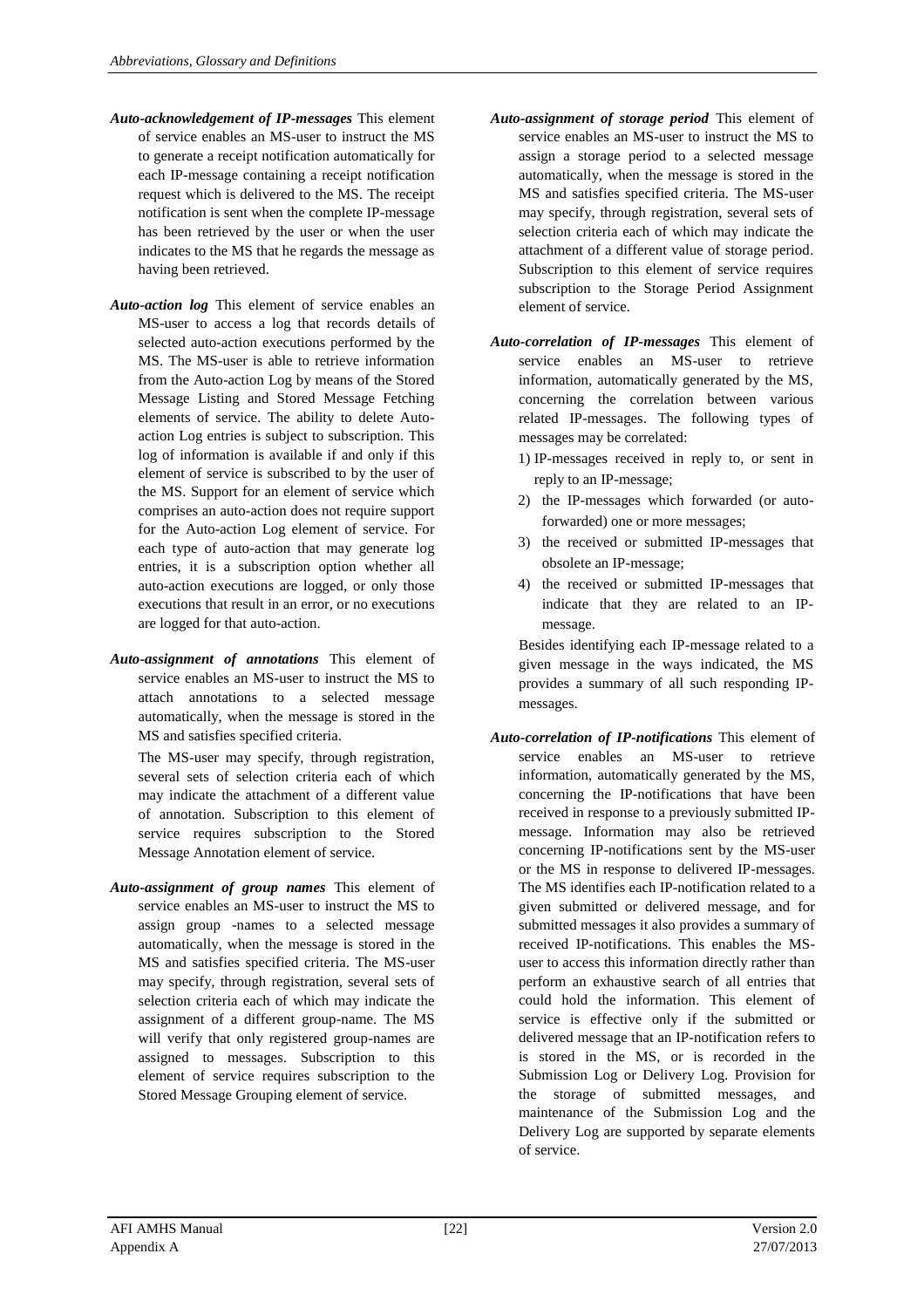- *Auto-acknowledgement of IP-messages* This element of service enables an MS-user to instruct the MS to generate a receipt notification automatically for each IP-message containing a receipt notification request which is delivered to the MS. The receipt notification is sent when the complete IP-message has been retrieved by the user or when the user indicates to the MS that he regards the message as having been retrieved.
- *Auto-action log* This element of service enables an MS-user to access a log that records details of selected auto-action executions performed by the MS. The MS-user is able to retrieve information from the Auto-action Log by means of the Stored Message Listing and Stored Message Fetching elements of service. The ability to delete Autoaction Log entries is subject to subscription. This log of information is available if and only if this element of service is subscribed to by the user of the MS. Support for an element of service which comprises an auto-action does not require support for the Auto-action Log element of service. For each type of auto-action that may generate log entries, it is a subscription option whether all auto-action executions are logged, or only those executions that result in an error, or no executions are logged for that auto-action.
- *Auto-assignment of annotations* This element of service enables an MS-user to instruct the MS to attach annotations to a selected message automatically, when the message is stored in the MS and satisfies specified criteria.

The MS-user may specify, through registration, several sets of selection criteria each of which may indicate the attachment of a different value of annotation. Subscription to this element of service requires subscription to the Stored Message Annotation element of service.

*Auto-assignment of group names* This element of service enables an MS-user to instruct the MS to assign group -names to a selected message automatically, when the message is stored in the MS and satisfies specified criteria. The MS-user may specify, through registration, several sets of selection criteria each of which may indicate the assignment of a different group-name. The MS will verify that only registered group-names are assigned to messages. Subscription to this element of service requires subscription to the Stored Message Grouping element of service.

- *Auto-assignment of storage period* This element of service enables an MS-user to instruct the MS to assign a storage period to a selected message automatically, when the message is stored in the MS and satisfies specified criteria. The MS-user may specify, through registration, several sets of selection criteria each of which may indicate the attachment of a different value of storage period. Subscription to this element of service requires subscription to the Storage Period Assignment element of service.
- *Auto-correlation of IP-messages* This element of service enables an MS-user to retrieve information, automatically generated by the MS, concerning the correlation between various related IP-messages. The following types of messages may be correlated:
	- 1) IP-messages received in reply to, or sent in reply to an IP-message;
	- 2) the IP-messages which forwarded (or autoforwarded) one or more messages;
	- 3) the received or submitted IP-messages that obsolete an IP-message;
	- 4) the received or submitted IP-messages that indicate that they are related to an IPmessage.

Besides identifying each IP-message related to a given message in the ways indicated, the MS provides a summary of all such responding IPmessages.

*Auto-correlation of IP-notifications* This element of service enables an MS-user to retrieve information, automatically generated by the MS, concerning the IP-notifications that have been received in response to a previously submitted IPmessage. Information may also be retrieved concerning IP-notifications sent by the MS-user or the MS in response to delivered IP-messages. The MS identifies each IP-notification related to a given submitted or delivered message, and for submitted messages it also provides a summary of received IP-notifications. This enables the MSuser to access this information directly rather than perform an exhaustive search of all entries that could hold the information. This element of service is effective only if the submitted or delivered message that an IP-notification refers to is stored in the MS, or is recorded in the Submission Log or Delivery Log. Provision for the storage of submitted messages, and maintenance of the Submission Log and the Delivery Log are supported by separate elements of service.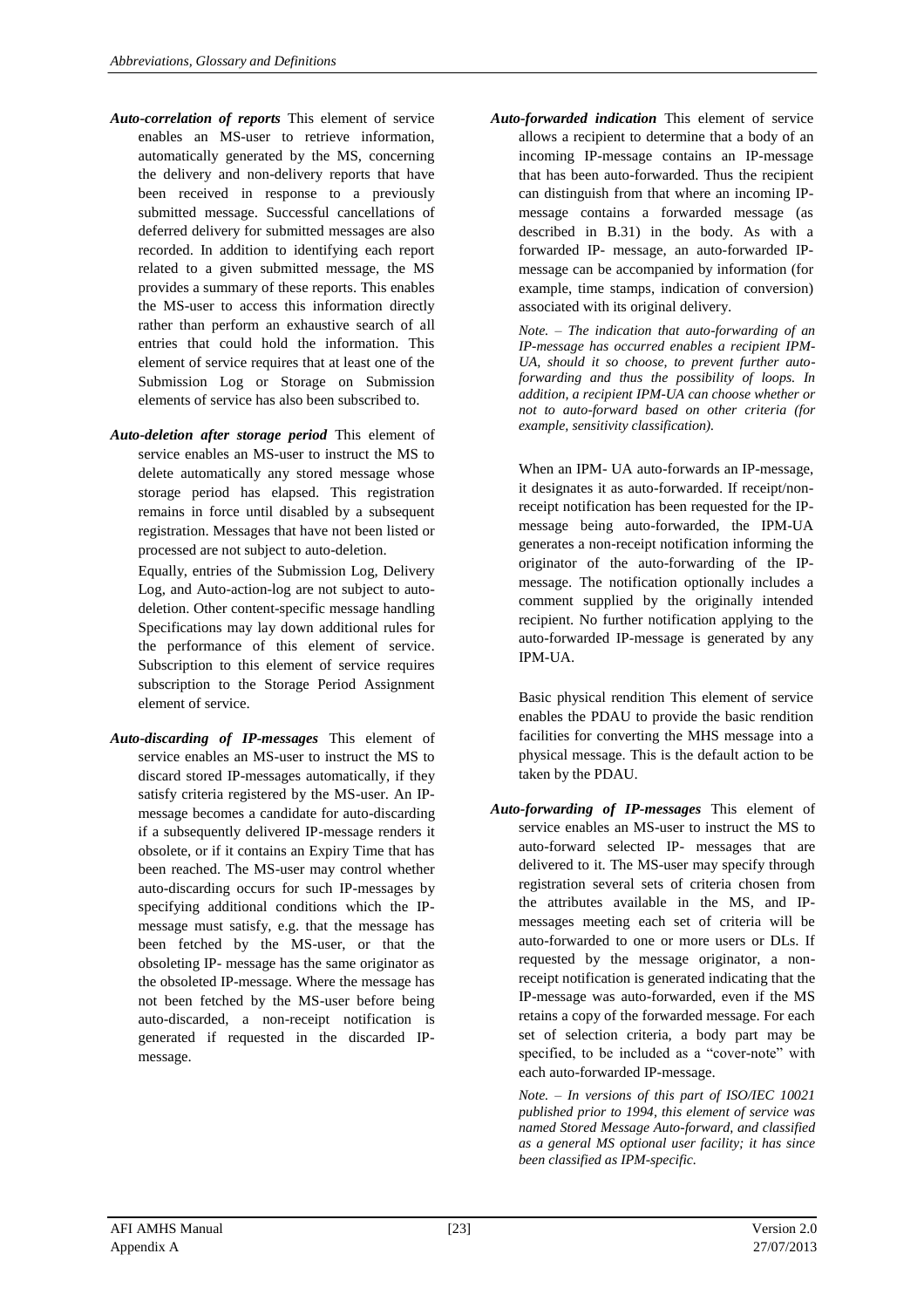- *Auto-correlation of reports* This element of service enables an MS-user to retrieve information, automatically generated by the MS, concerning the delivery and non-delivery reports that have been received in response to a previously submitted message. Successful cancellations of deferred delivery for submitted messages are also recorded. In addition to identifying each report related to a given submitted message, the MS provides a summary of these reports. This enables the MS-user to access this information directly rather than perform an exhaustive search of all entries that could hold the information. This element of service requires that at least one of the Submission Log or Storage on Submission elements of service has also been subscribed to.
- *Auto-deletion after storage period* This element of service enables an MS-user to instruct the MS to delete automatically any stored message whose storage period has elapsed. This registration remains in force until disabled by a subsequent registration. Messages that have not been listed or processed are not subject to auto-deletion.

Equally, entries of the Submission Log, Delivery Log, and Auto-action-log are not subject to autodeletion. Other content-specific message handling Specifications may lay down additional rules for the performance of this element of service. Subscription to this element of service requires subscription to the Storage Period Assignment element of service.

*Auto-discarding of IP-messages* This element of service enables an MS-user to instruct the MS to discard stored IP-messages automatically, if they satisfy criteria registered by the MS-user. An IPmessage becomes a candidate for auto-discarding if a subsequently delivered IP-message renders it obsolete, or if it contains an Expiry Time that has been reached. The MS-user may control whether auto-discarding occurs for such IP-messages by specifying additional conditions which the IPmessage must satisfy, e.g. that the message has been fetched by the MS-user, or that the obsoleting IP- message has the same originator as the obsoleted IP-message. Where the message has not been fetched by the MS-user before being auto-discarded, a non-receipt notification is generated if requested in the discarded IPmessage.

*Auto-forwarded indication* This element of service allows a recipient to determine that a body of an incoming IP-message contains an IP-message that has been auto-forwarded. Thus the recipient can distinguish from that where an incoming IPmessage contains a forwarded message (as described in B.31) in the body. As with a forwarded IP- message, an auto-forwarded IPmessage can be accompanied by information (for example, time stamps, indication of conversion) associated with its original delivery.

*Note. – The indication that auto-forwarding of an IP-message has occurred enables a recipient IPM-UA, should it so choose, to prevent further autoforwarding and thus the possibility of loops. In addition, a recipient IPM-UA can choose whether or not to auto-forward based on other criteria (for example, sensitivity classification).*

When an IPM- UA auto-forwards an IP-message, it designates it as auto-forwarded. If receipt/nonreceipt notification has been requested for the IPmessage being auto-forwarded, the IPM-UA generates a non-receipt notification informing the originator of the auto-forwarding of the IPmessage. The notification optionally includes a comment supplied by the originally intended recipient. No further notification applying to the auto-forwarded IP-message is generated by any IPM-UA.

Basic physical rendition This element of service enables the PDAU to provide the basic rendition facilities for converting the MHS message into a physical message. This is the default action to be taken by the PDAU.

*Auto-forwarding of IP-messages* This element of service enables an MS-user to instruct the MS to auto-forward selected IP- messages that are delivered to it. The MS-user may specify through registration several sets of criteria chosen from the attributes available in the MS, and IPmessages meeting each set of criteria will be auto-forwarded to one or more users or DLs. If requested by the message originator, a nonreceipt notification is generated indicating that the IP-message was auto-forwarded, even if the MS retains a copy of the forwarded message. For each set of selection criteria, a body part may be specified, to be included as a "cover-note" with each auto-forwarded IP-message.

*Note. – In versions of this part of ISO/IEC 10021 published prior to 1994, this element of service was named Stored Message Auto-forward, and classified as a general MS optional user facility; it has since been classified as IPM-specific.*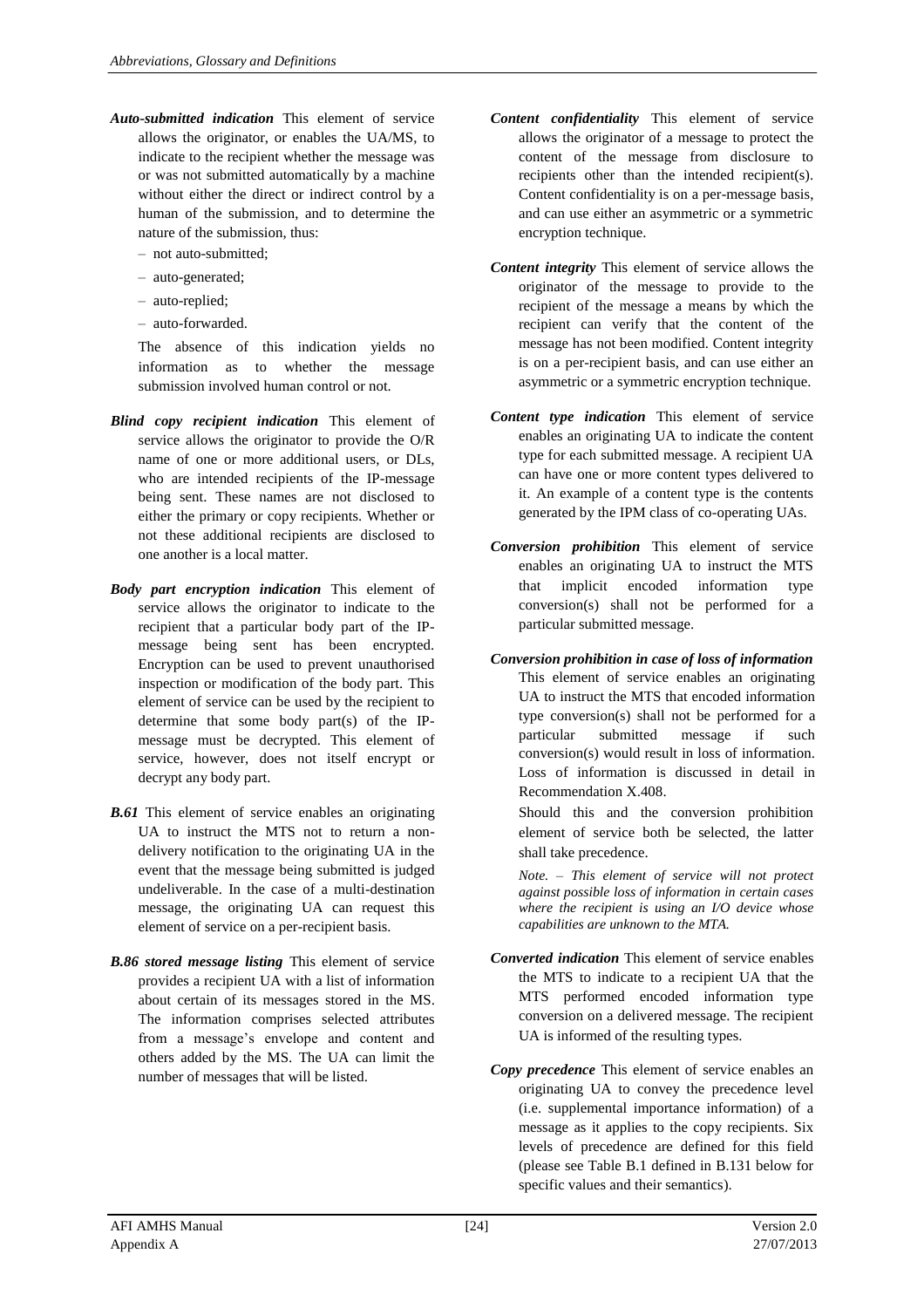- *Auto-submitted indication* This element of service allows the originator, or enables the UA/MS, to indicate to the recipient whether the message was or was not submitted automatically by a machine without either the direct or indirect control by a human of the submission, and to determine the nature of the submission, thus:
	- not auto-submitted;
	- auto-generated;
	- auto-replied;
	- auto-forwarded.

The absence of this indication yields no information as to whether the message submission involved human control or not.

- *Blind copy recipient indication* This element of service allows the originator to provide the O/R name of one or more additional users, or DLs, who are intended recipients of the IP-message being sent. These names are not disclosed to either the primary or copy recipients. Whether or not these additional recipients are disclosed to one another is a local matter.
- *Body part encryption indication* This element of service allows the originator to indicate to the recipient that a particular body part of the IPmessage being sent has been encrypted. Encryption can be used to prevent unauthorised inspection or modification of the body part. This element of service can be used by the recipient to determine that some body part(s) of the IPmessage must be decrypted. This element of service, however, does not itself encrypt or decrypt any body part.
- *B.61* This element of service enables an originating UA to instruct the MTS not to return a nondelivery notification to the originating UA in the event that the message being submitted is judged undeliverable. In the case of a multi-destination message, the originating UA can request this element of service on a per-recipient basis.
- *B.86 stored message listing* This element of service provides a recipient UA with a list of information about certain of its messages stored in the MS. The information comprises selected attributes from a message's envelope and content and others added by the MS. The UA can limit the number of messages that will be listed.
- *Content confidentiality* This element of service allows the originator of a message to protect the content of the message from disclosure to recipients other than the intended recipient(s). Content confidentiality is on a per-message basis, and can use either an asymmetric or a symmetric encryption technique.
- *Content integrity* This element of service allows the originator of the message to provide to the recipient of the message a means by which the recipient can verify that the content of the message has not been modified. Content integrity is on a per-recipient basis, and can use either an asymmetric or a symmetric encryption technique.
- *Content type indication* This element of service enables an originating UA to indicate the content type for each submitted message. A recipient UA can have one or more content types delivered to it. An example of a content type is the contents generated by the IPM class of co-operating UAs.
- *Conversion prohibition* This element of service enables an originating UA to instruct the MTS that implicit encoded information type conversion(s) shall not be performed for a particular submitted message.
- *Conversion prohibition in case of loss of information* This element of service enables an originating UA to instruct the MTS that encoded information type conversion(s) shall not be performed for a particular submitted message if such conversion(s) would result in loss of information. Loss of information is discussed in detail in Recommendation X.408.

Should this and the conversion prohibition element of service both be selected, the latter shall take precedence.

*Note. – This element of service will not protect against possible loss of information in certain cases where the recipient is using an I/O device whose capabilities are unknown to the MTA.*

- *Converted indication* This element of service enables the MTS to indicate to a recipient UA that the MTS performed encoded information type conversion on a delivered message. The recipient UA is informed of the resulting types.
- *Copy precedence* This element of service enables an originating UA to convey the precedence level (i.e. supplemental importance information) of a message as it applies to the copy recipients. Six levels of precedence are defined for this field (please see Table B.1 defined in B.131 below for specific values and their semantics).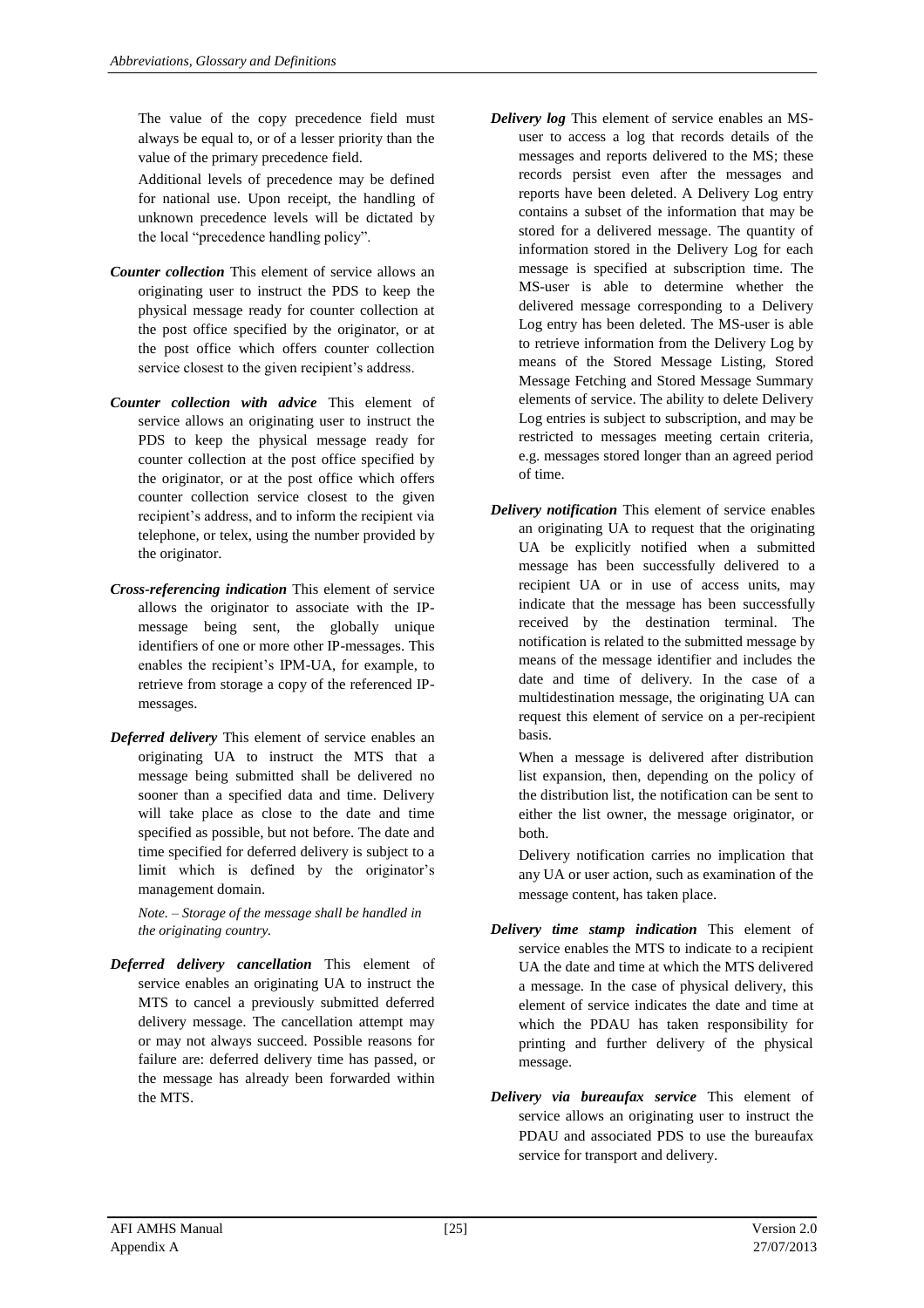The value of the copy precedence field must always be equal to, or of a lesser priority than the value of the primary precedence field.

Additional levels of precedence may be defined for national use. Upon receipt, the handling of unknown precedence levels will be dictated by the local "precedence handling policy".

- *Counter collection* This element of service allows an originating user to instruct the PDS to keep the physical message ready for counter collection at the post office specified by the originator, or at the post office which offers counter collection service closest to the given recipient's address.
- *Counter collection with advice* This element of service allows an originating user to instruct the PDS to keep the physical message ready for counter collection at the post office specified by the originator, or at the post office which offers counter collection service closest to the given recipient's address, and to inform the recipient via telephone, or telex, using the number provided by the originator.
- *Cross-referencing indication* This element of service allows the originator to associate with the IPmessage being sent, the globally unique identifiers of one or more other IP-messages. This enables the recipient's IPM-UA, for example, to retrieve from storage a copy of the referenced IPmessages.
- *Deferred delivery* This element of service enables an originating UA to instruct the MTS that a message being submitted shall be delivered no sooner than a specified data and time. Delivery will take place as close to the date and time specified as possible, but not before. The date and time specified for deferred delivery is subject to a limit which is defined by the originator's management domain.

*Note. – Storage of the message shall be handled in the originating country.*

*Deferred delivery cancellation* This element of service enables an originating UA to instruct the MTS to cancel a previously submitted deferred delivery message. The cancellation attempt may or may not always succeed. Possible reasons for failure are: deferred delivery time has passed, or the message has already been forwarded within the MTS.

- *Delivery log* This element of service enables an MSuser to access a log that records details of the messages and reports delivered to the MS; these records persist even after the messages and reports have been deleted. A Delivery Log entry contains a subset of the information that may be stored for a delivered message. The quantity of information stored in the Delivery Log for each message is specified at subscription time. The MS-user is able to determine whether the delivered message corresponding to a Delivery Log entry has been deleted. The MS-user is able to retrieve information from the Delivery Log by means of the Stored Message Listing, Stored Message Fetching and Stored Message Summary elements of service. The ability to delete Delivery Log entries is subject to subscription, and may be restricted to messages meeting certain criteria, e.g. messages stored longer than an agreed period of time.
- *Delivery notification* This element of service enables an originating UA to request that the originating UA be explicitly notified when a submitted message has been successfully delivered to a recipient UA or in use of access units, may indicate that the message has been successfully received by the destination terminal. The notification is related to the submitted message by means of the message identifier and includes the date and time of delivery. In the case of a multidestination message, the originating UA can request this element of service on a per-recipient basis.

When a message is delivered after distribution list expansion, then, depending on the policy of the distribution list, the notification can be sent to either the list owner, the message originator, or both.

Delivery notification carries no implication that any UA or user action, such as examination of the message content, has taken place.

- *Delivery time stamp indication* This element of service enables the MTS to indicate to a recipient UA the date and time at which the MTS delivered a message. In the case of physical delivery, this element of service indicates the date and time at which the PDAU has taken responsibility for printing and further delivery of the physical message.
- *Delivery via bureaufax service* This element of service allows an originating user to instruct the PDAU and associated PDS to use the bureaufax service for transport and delivery.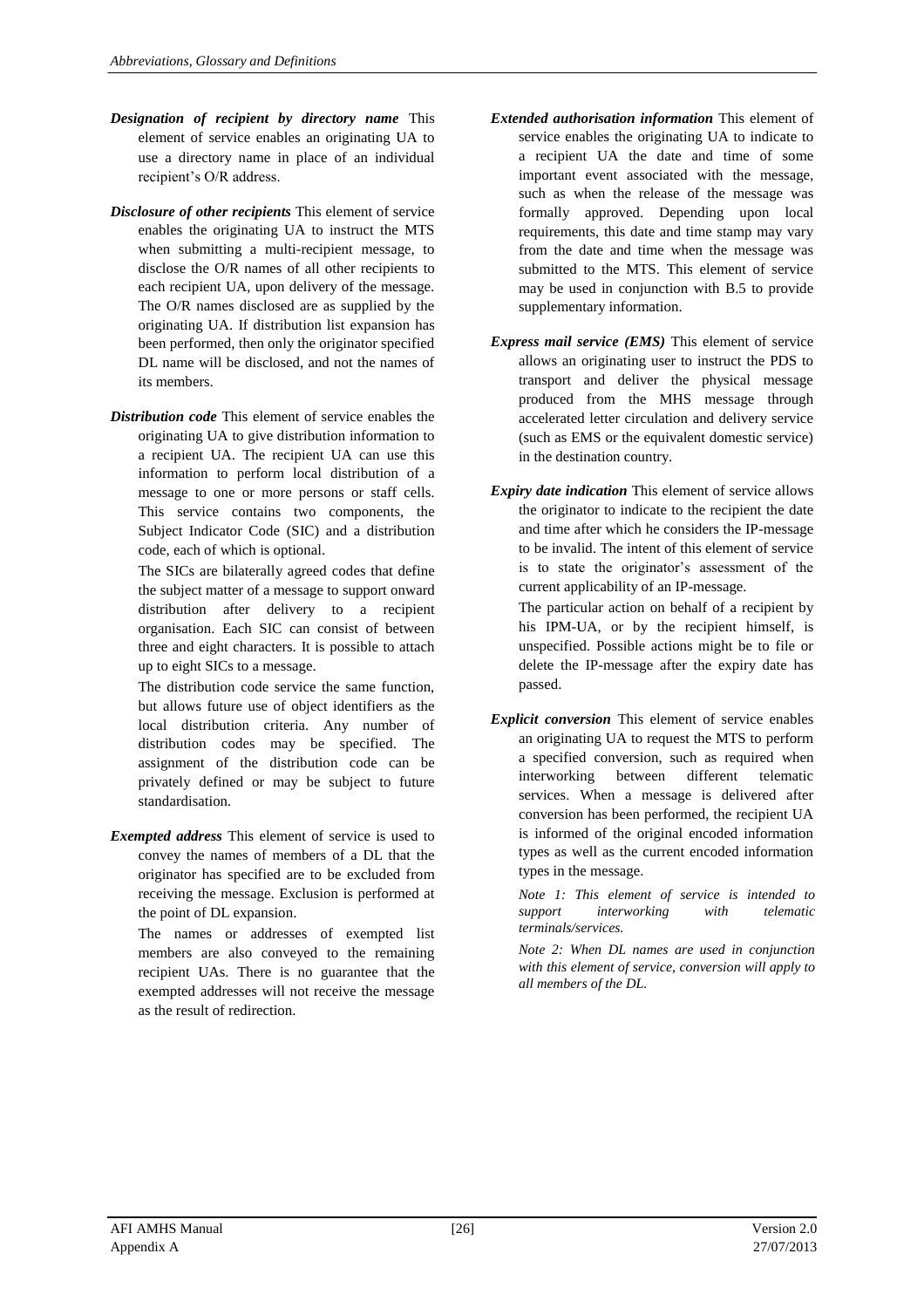- *Designation of recipient by directory name* This element of service enables an originating UA to use a directory name in place of an individual recipient's O/R address.
- *Disclosure of other recipients* This element of service enables the originating UA to instruct the MTS when submitting a multi-recipient message, to disclose the O/R names of all other recipients to each recipient UA, upon delivery of the message. The O/R names disclosed are as supplied by the originating UA. If distribution list expansion has been performed, then only the originator specified DL name will be disclosed, and not the names of its members.
- *Distribution code* This element of service enables the originating UA to give distribution information to a recipient UA. The recipient UA can use this information to perform local distribution of a message to one or more persons or staff cells. This service contains two components, the Subject Indicator Code (SIC) and a distribution code, each of which is optional.

The SICs are bilaterally agreed codes that define the subject matter of a message to support onward distribution after delivery to a recipient organisation. Each SIC can consist of between three and eight characters. It is possible to attach up to eight SICs to a message.

The distribution code service the same function, but allows future use of object identifiers as the local distribution criteria. Any number of distribution codes may be specified. The assignment of the distribution code can be privately defined or may be subject to future standardisation.

*Exempted address* This element of service is used to convey the names of members of a DL that the originator has specified are to be excluded from receiving the message. Exclusion is performed at the point of DL expansion.

The names or addresses of exempted list members are also conveyed to the remaining recipient UAs. There is no guarantee that the exempted addresses will not receive the message as the result of redirection.

- *Extended authorisation information* This element of service enables the originating UA to indicate to a recipient UA the date and time of some important event associated with the message, such as when the release of the message was formally approved. Depending upon local requirements, this date and time stamp may vary from the date and time when the message was submitted to the MTS. This element of service may be used in conjunction with B.5 to provide supplementary information.
- *Express mail service (EMS)* This element of service allows an originating user to instruct the PDS to transport and deliver the physical message produced from the MHS message through accelerated letter circulation and delivery service (such as EMS or the equivalent domestic service) in the destination country.
- *Expiry date indication* This element of service allows the originator to indicate to the recipient the date and time after which he considers the IP-message to be invalid. The intent of this element of service is to state the originator's assessment of the current applicability of an IP-message.

The particular action on behalf of a recipient by his IPM-UA, or by the recipient himself, is unspecified. Possible actions might be to file or delete the IP-message after the expiry date has passed.

*Explicit conversion* This element of service enables an originating UA to request the MTS to perform a specified conversion, such as required when interworking between different telematic services. When a message is delivered after conversion has been performed, the recipient UA is informed of the original encoded information types as well as the current encoded information types in the message.

*Note 1: This element of service is intended to support interworking with telematic terminals/services.*

*Note 2: When DL names are used in conjunction with this element of service, conversion will apply to all members of the DL.*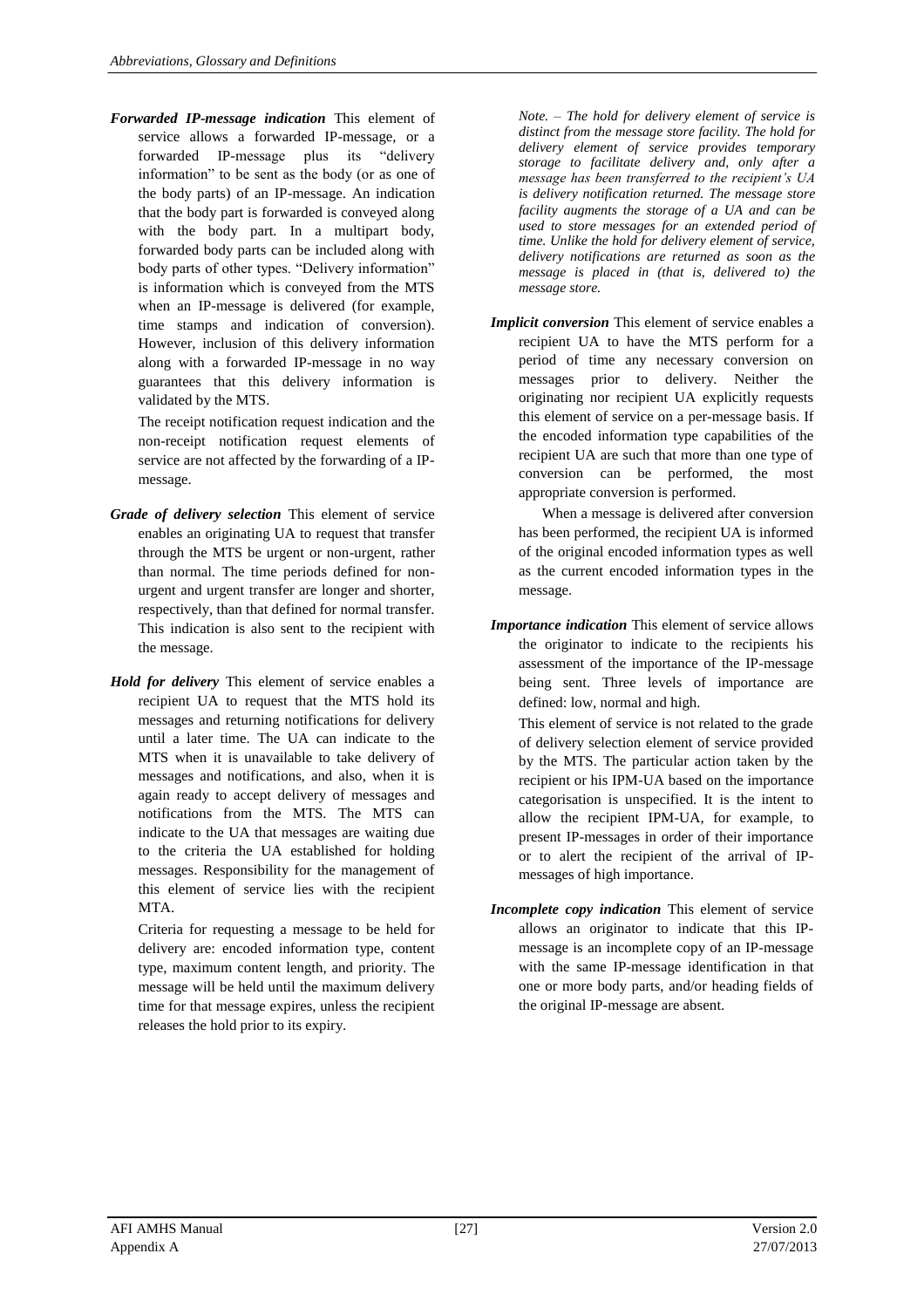*Forwarded IP-message indication* This element of service allows a forwarded IP-message, or a forwarded IP-message plus its "delivery information" to be sent as the body (or as one of the body parts) of an IP-message. An indication that the body part is forwarded is conveyed along with the body part. In a multipart body, forwarded body parts can be included along with body parts of other types. "Delivery information" is information which is conveyed from the MTS when an IP-message is delivered (for example, time stamps and indication of conversion). However, inclusion of this delivery information along with a forwarded IP-message in no way guarantees that this delivery information is validated by the MTS.

The receipt notification request indication and the non-receipt notification request elements of service are not affected by the forwarding of a IPmessage.

- *Grade of delivery selection* This element of service enables an originating UA to request that transfer through the MTS be urgent or non-urgent, rather than normal. The time periods defined for nonurgent and urgent transfer are longer and shorter, respectively, than that defined for normal transfer. This indication is also sent to the recipient with the message.
- *Hold for delivery* This element of service enables a recipient UA to request that the MTS hold its messages and returning notifications for delivery until a later time. The UA can indicate to the MTS when it is unavailable to take delivery of messages and notifications, and also, when it is again ready to accept delivery of messages and notifications from the MTS. The MTS can indicate to the UA that messages are waiting due to the criteria the UA established for holding messages. Responsibility for the management of this element of service lies with the recipient MTA.

Criteria for requesting a message to be held for delivery are: encoded information type, content type, maximum content length, and priority. The message will be held until the maximum delivery time for that message expires, unless the recipient releases the hold prior to its expiry.

*Note. – The hold for delivery element of service is distinct from the message store facility. The hold for delivery element of service provides temporary storage to facilitate delivery and, only after a message has been transferred to the recipient's UA is delivery notification returned. The message store facility augments the storage of a UA and can be used to store messages for an extended period of time. Unlike the hold for delivery element of service, delivery notifications are returned as soon as the message is placed in (that is, delivered to) the message store.*

*Implicit conversion* This element of service enables a recipient UA to have the MTS perform for a period of time any necessary conversion on messages prior to delivery. Neither the originating nor recipient UA explicitly requests this element of service on a per-message basis. If the encoded information type capabilities of the recipient UA are such that more than one type of conversion can be performed, the most appropriate conversion is performed.

When a message is delivered after conversion has been performed, the recipient UA is informed of the original encoded information types as well as the current encoded information types in the message.

*Importance indication* This element of service allows the originator to indicate to the recipients his assessment of the importance of the IP-message being sent. Three levels of importance are defined: low, normal and high.

This element of service is not related to the grade of delivery selection element of service provided by the MTS. The particular action taken by the recipient or his IPM-UA based on the importance categorisation is unspecified. It is the intent to allow the recipient IPM-UA, for example, to present IP-messages in order of their importance or to alert the recipient of the arrival of IPmessages of high importance.

*Incomplete copy indication* This element of service allows an originator to indicate that this IPmessage is an incomplete copy of an IP-message with the same IP-message identification in that one or more body parts, and/or heading fields of the original IP-message are absent.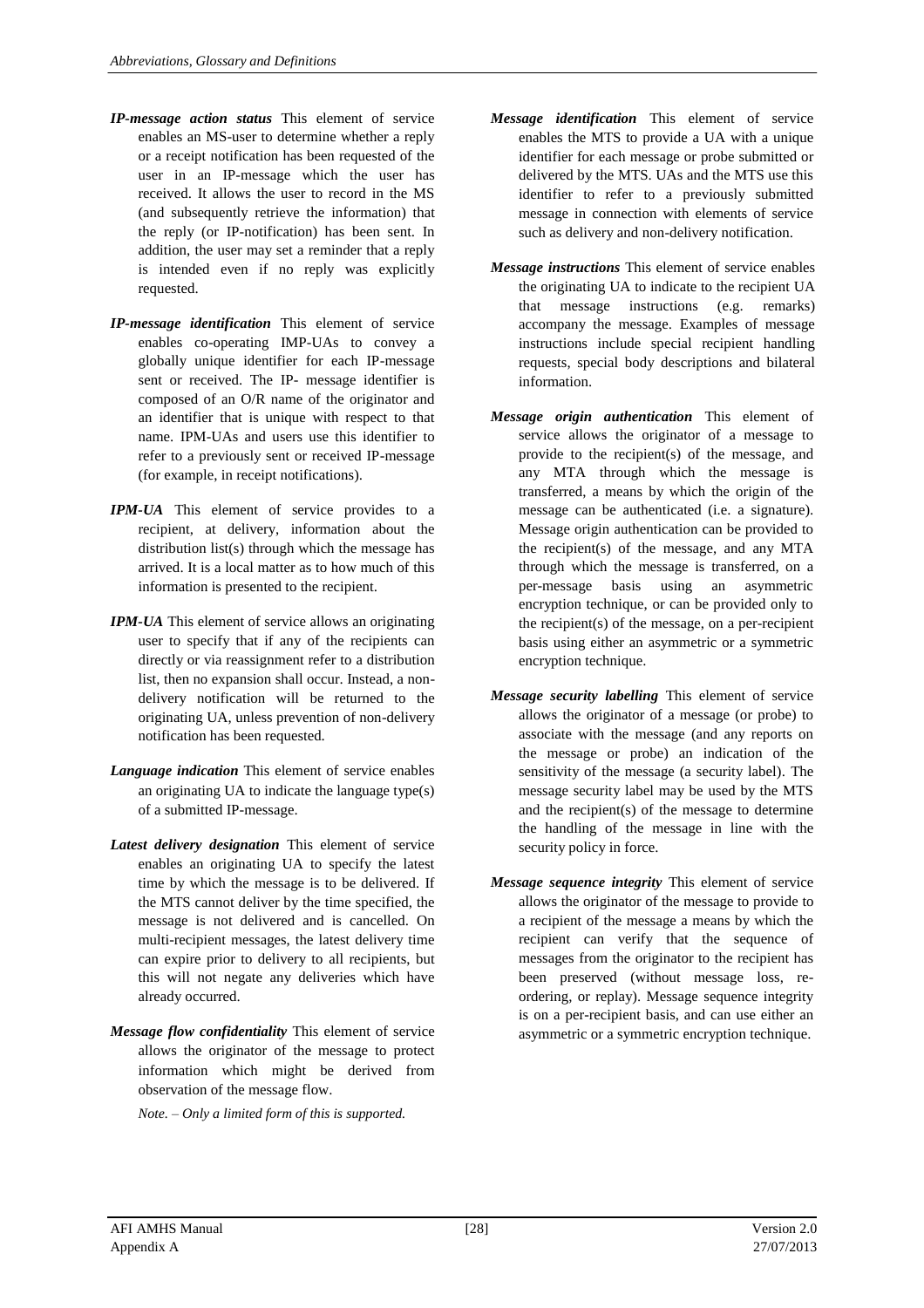- *IP-message action status* This element of service enables an MS-user to determine whether a reply or a receipt notification has been requested of the user in an IP-message which the user has received. It allows the user to record in the MS (and subsequently retrieve the information) that the reply (or IP-notification) has been sent. In addition, the user may set a reminder that a reply is intended even if no reply was explicitly requested.
- *IP-message identification* This element of service enables co-operating IMP-UAs to convey a globally unique identifier for each IP-message sent or received. The IP- message identifier is composed of an O/R name of the originator and an identifier that is unique with respect to that name. IPM-UAs and users use this identifier to refer to a previously sent or received IP-message (for example, in receipt notifications).
- *IPM-UA* This element of service provides to a recipient, at delivery, information about the distribution list(s) through which the message has arrived. It is a local matter as to how much of this information is presented to the recipient.
- *IPM-UA* This element of service allows an originating user to specify that if any of the recipients can directly or via reassignment refer to a distribution list, then no expansion shall occur. Instead, a nondelivery notification will be returned to the originating UA, unless prevention of non-delivery notification has been requested.
- *Language indication* This element of service enables an originating UA to indicate the language type(s) of a submitted IP-message.
- *Latest delivery designation* This element of service enables an originating UA to specify the latest time by which the message is to be delivered. If the MTS cannot deliver by the time specified, the message is not delivered and is cancelled. On multi-recipient messages, the latest delivery time can expire prior to delivery to all recipients, but this will not negate any deliveries which have already occurred.
- *Message flow confidentiality* This element of service allows the originator of the message to protect information which might be derived from observation of the message flow.

*Note. – Only a limited form of this is supported.*

- *Message identification* This element of service enables the MTS to provide a UA with a unique identifier for each message or probe submitted or delivered by the MTS. UAs and the MTS use this identifier to refer to a previously submitted message in connection with elements of service such as delivery and non-delivery notification.
- *Message instructions* This element of service enables the originating UA to indicate to the recipient UA that message instructions (e.g. remarks) accompany the message. Examples of message instructions include special recipient handling requests, special body descriptions and bilateral information.
- *Message origin authentication* This element of service allows the originator of a message to provide to the recipient(s) of the message, and any MTA through which the message is transferred, a means by which the origin of the message can be authenticated (i.e. a signature). Message origin authentication can be provided to the recipient(s) of the message, and any MTA through which the message is transferred, on a per-message basis using an asymmetric encryption technique, or can be provided only to the recipient(s) of the message, on a per-recipient basis using either an asymmetric or a symmetric encryption technique.
- *Message security labelling* This element of service allows the originator of a message (or probe) to associate with the message (and any reports on the message or probe) an indication of the sensitivity of the message (a security label). The message security label may be used by the MTS and the recipient(s) of the message to determine the handling of the message in line with the security policy in force.
- *Message sequence integrity* This element of service allows the originator of the message to provide to a recipient of the message a means by which the recipient can verify that the sequence of messages from the originator to the recipient has been preserved (without message loss, reordering, or replay). Message sequence integrity is on a per-recipient basis, and can use either an asymmetric or a symmetric encryption technique.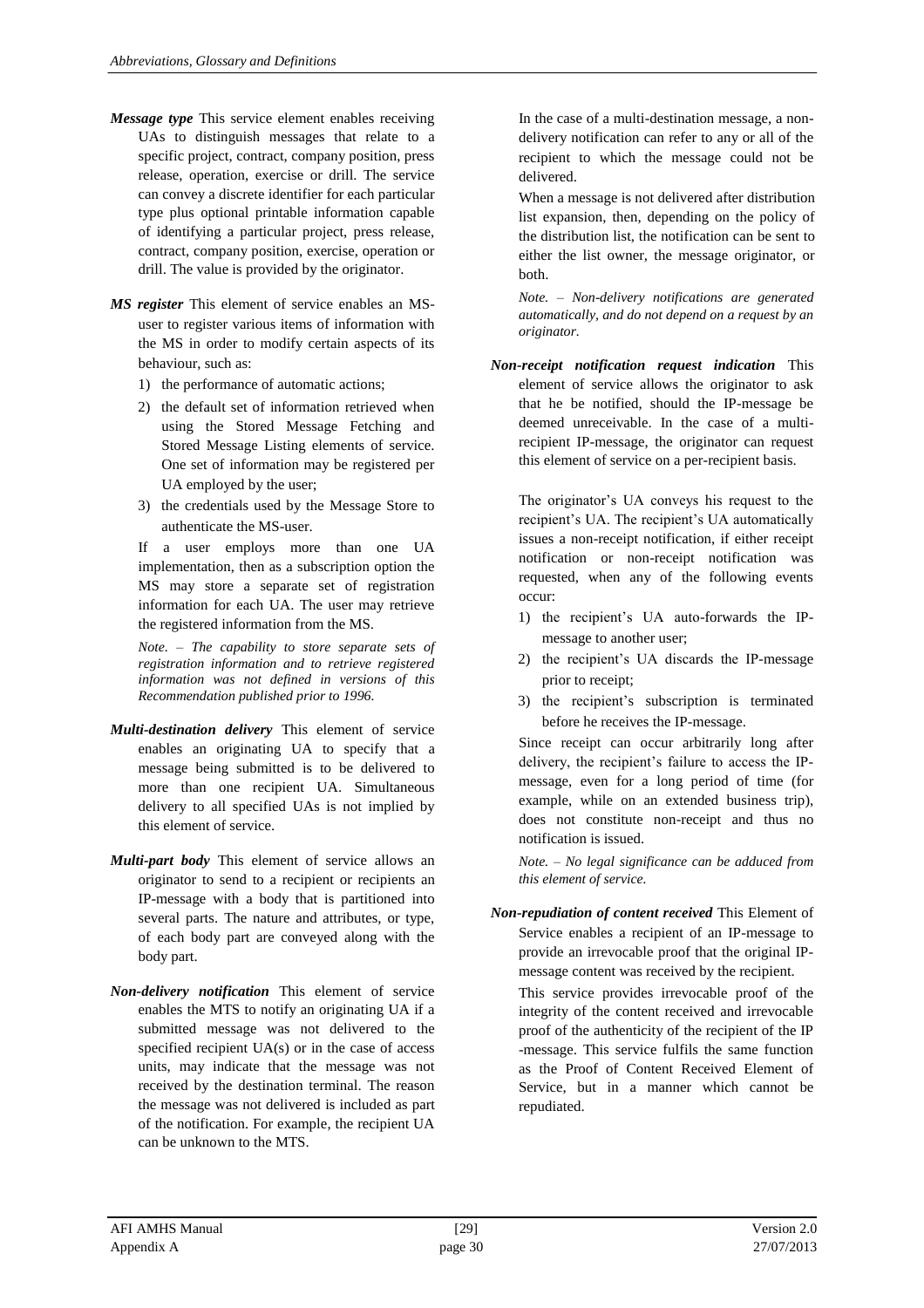- *Message type* This service element enables receiving UAs to distinguish messages that relate to a specific project, contract, company position, press release, operation, exercise or drill. The service can convey a discrete identifier for each particular type plus optional printable information capable of identifying a particular project, press release, contract, company position, exercise, operation or drill. The value is provided by the originator.
- *MS register* This element of service enables an MSuser to register various items of information with the MS in order to modify certain aspects of its behaviour, such as:
	- 1) the performance of automatic actions;
	- 2) the default set of information retrieved when using the Stored Message Fetching and Stored Message Listing elements of service. One set of information may be registered per UA employed by the user;
	- 3) the credentials used by the Message Store to authenticate the MS-user.

If a user employs more than one UA implementation, then as a subscription option the MS may store a separate set of registration information for each UA. The user may retrieve the registered information from the MS.

*Note. – The capability to store separate sets of registration information and to retrieve registered information was not defined in versions of this Recommendation published prior to 1996.*

- *Multi-destination delivery* This element of service enables an originating UA to specify that a message being submitted is to be delivered to more than one recipient UA. Simultaneous delivery to all specified UAs is not implied by this element of service.
- *Multi-part body* This element of service allows an originator to send to a recipient or recipients an IP-message with a body that is partitioned into several parts. The nature and attributes, or type, of each body part are conveyed along with the body part.
- *Non-delivery notification* This element of service enables the MTS to notify an originating UA if a submitted message was not delivered to the specified recipient UA(s) or in the case of access units, may indicate that the message was not received by the destination terminal. The reason the message was not delivered is included as part of the notification. For example, the recipient UA can be unknown to the MTS.

In the case of a multi-destination message, a nondelivery notification can refer to any or all of the recipient to which the message could not be delivered.

When a message is not delivered after distribution list expansion, then, depending on the policy of the distribution list, the notification can be sent to either the list owner, the message originator, or both.

*Note. – Non-delivery notifications are generated automatically, and do not depend on a request by an originator.*

*Non-receipt notification request indication* This element of service allows the originator to ask that he be notified, should the IP-message be deemed unreceivable. In the case of a multirecipient IP-message, the originator can request this element of service on a per-recipient basis.

The originator's UA conveys his request to the recipient's UA. The recipient's UA automatically issues a non-receipt notification, if either receipt notification or non-receipt notification was requested, when any of the following events occur:

- 1) the recipient's UA auto-forwards the IPmessage to another user;
- 2) the recipient's UA discards the IP-message prior to receipt;
- 3) the recipient's subscription is terminated before he receives the IP-message.

Since receipt can occur arbitrarily long after delivery, the recipient's failure to access the IPmessage, even for a long period of time (for example, while on an extended business trip), does not constitute non-receipt and thus no notification is issued.

*Note. – No legal significance can be adduced from this element of service.*

*Non-repudiation of content received* This Element of Service enables a recipient of an IP-message to provide an irrevocable proof that the original IPmessage content was received by the recipient.

This service provides irrevocable proof of the integrity of the content received and irrevocable proof of the authenticity of the recipient of the IP -message. This service fulfils the same function as the Proof of Content Received Element of Service, but in a manner which cannot be repudiated.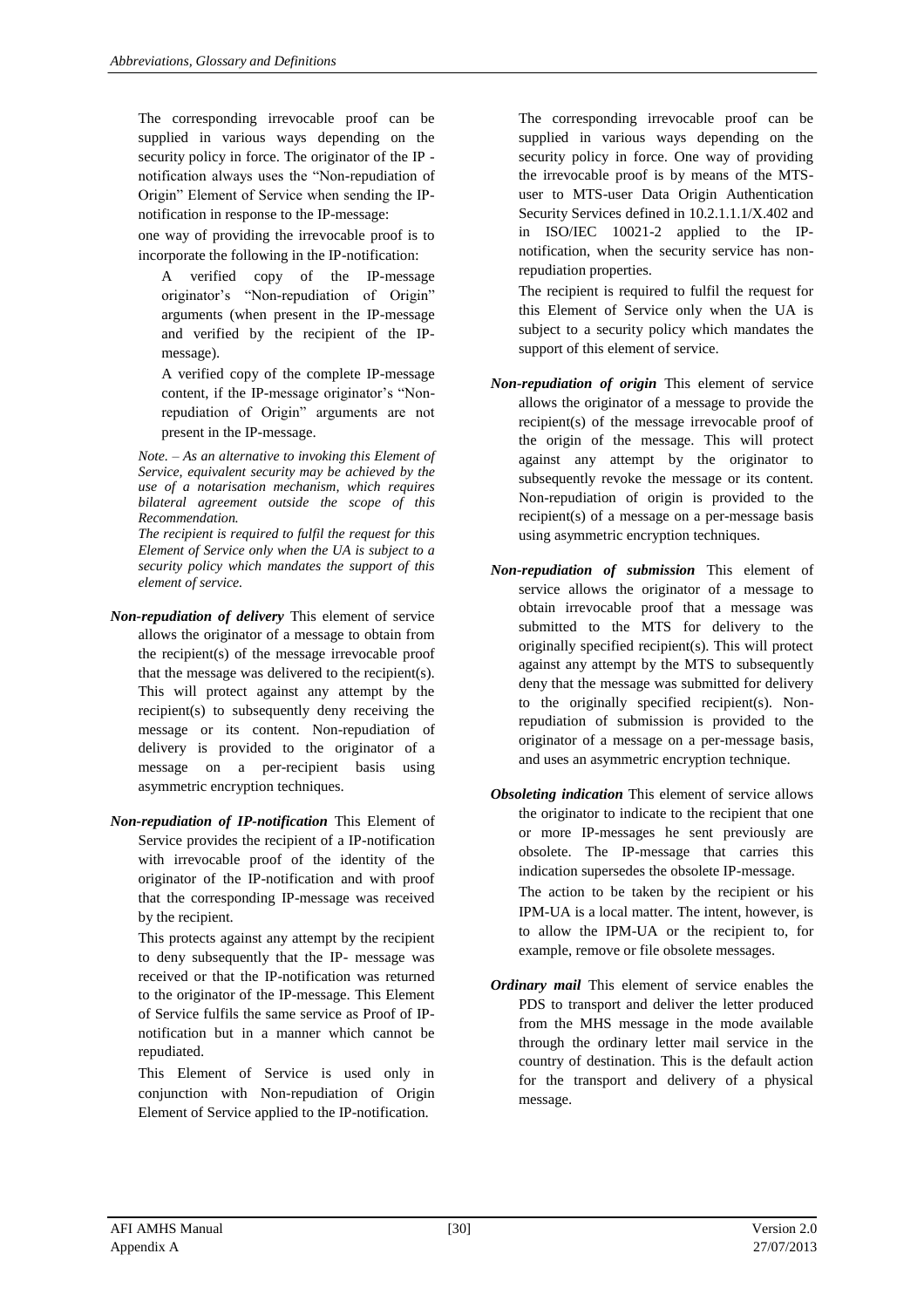The corresponding irrevocable proof can be supplied in various ways depending on the security policy in force. The originator of the IP notification always uses the "Non-repudiation of Origin" Element of Service when sending the IPnotification in response to the IP-message:

one way of providing the irrevocable proof is to incorporate the following in the IP-notification:

A verified copy of the IP-message originator's "Non-repudiation of Origin" arguments (when present in the IP-message and verified by the recipient of the IPmessage).

A verified copy of the complete IP-message content, if the IP-message originator's "Nonrepudiation of Origin" arguments are not present in the IP-message.

*Note. – As an alternative to invoking this Element of Service, equivalent security may be achieved by the use of a notarisation mechanism, which requires bilateral agreement outside the scope of this Recommendation.*

*The recipient is required to fulfil the request for this Element of Service only when the UA is subject to a security policy which mandates the support of this element of service.*

- *Non-repudiation of delivery* This element of service allows the originator of a message to obtain from the recipient(s) of the message irrevocable proof that the message was delivered to the recipient(s). This will protect against any attempt by the recipient(s) to subsequently deny receiving the message or its content. Non-repudiation of delivery is provided to the originator of a message on a per-recipient basis using asymmetric encryption techniques.
- *Non-repudiation of IP-notification* This Element of Service provides the recipient of a IP-notification with irrevocable proof of the identity of the originator of the IP-notification and with proof that the corresponding IP-message was received by the recipient.

This protects against any attempt by the recipient to deny subsequently that the IP- message was received or that the IP-notification was returned to the originator of the IP-message. This Element of Service fulfils the same service as Proof of IPnotification but in a manner which cannot be repudiated.

This Element of Service is used only in conjunction with Non-repudiation of Origin Element of Service applied to the IP-notification.

The corresponding irrevocable proof can be supplied in various ways depending on the security policy in force. One way of providing the irrevocable proof is by means of the MTSuser to MTS-user Data Origin Authentication Security Services defined in 10.2.1.1.1/X.402 and in ISO/IEC 10021-2 applied to the IPnotification, when the security service has nonrepudiation properties.

The recipient is required to fulfil the request for this Element of Service only when the UA is subject to a security policy which mandates the support of this element of service.

- *Non-repudiation of origin* This element of service allows the originator of a message to provide the recipient(s) of the message irrevocable proof of the origin of the message. This will protect against any attempt by the originator to subsequently revoke the message or its content. Non-repudiation of origin is provided to the recipient(s) of a message on a per-message basis using asymmetric encryption techniques.
- *Non-repudiation of submission* This element of service allows the originator of a message to obtain irrevocable proof that a message was submitted to the MTS for delivery to the originally specified recipient(s). This will protect against any attempt by the MTS to subsequently deny that the message was submitted for delivery to the originally specified recipient(s). Nonrepudiation of submission is provided to the originator of a message on a per-message basis, and uses an asymmetric encryption technique.
- *Obsoleting indication* This element of service allows the originator to indicate to the recipient that one or more IP-messages he sent previously are obsolete. The IP-message that carries this indication supersedes the obsolete IP-message. The action to be taken by the recipient or his IPM-UA is a local matter. The intent, however, is to allow the IPM-UA or the recipient to, for example, remove or file obsolete messages.
- *Ordinary mail* This element of service enables the PDS to transport and deliver the letter produced from the MHS message in the mode available through the ordinary letter mail service in the country of destination. This is the default action for the transport and delivery of a physical message.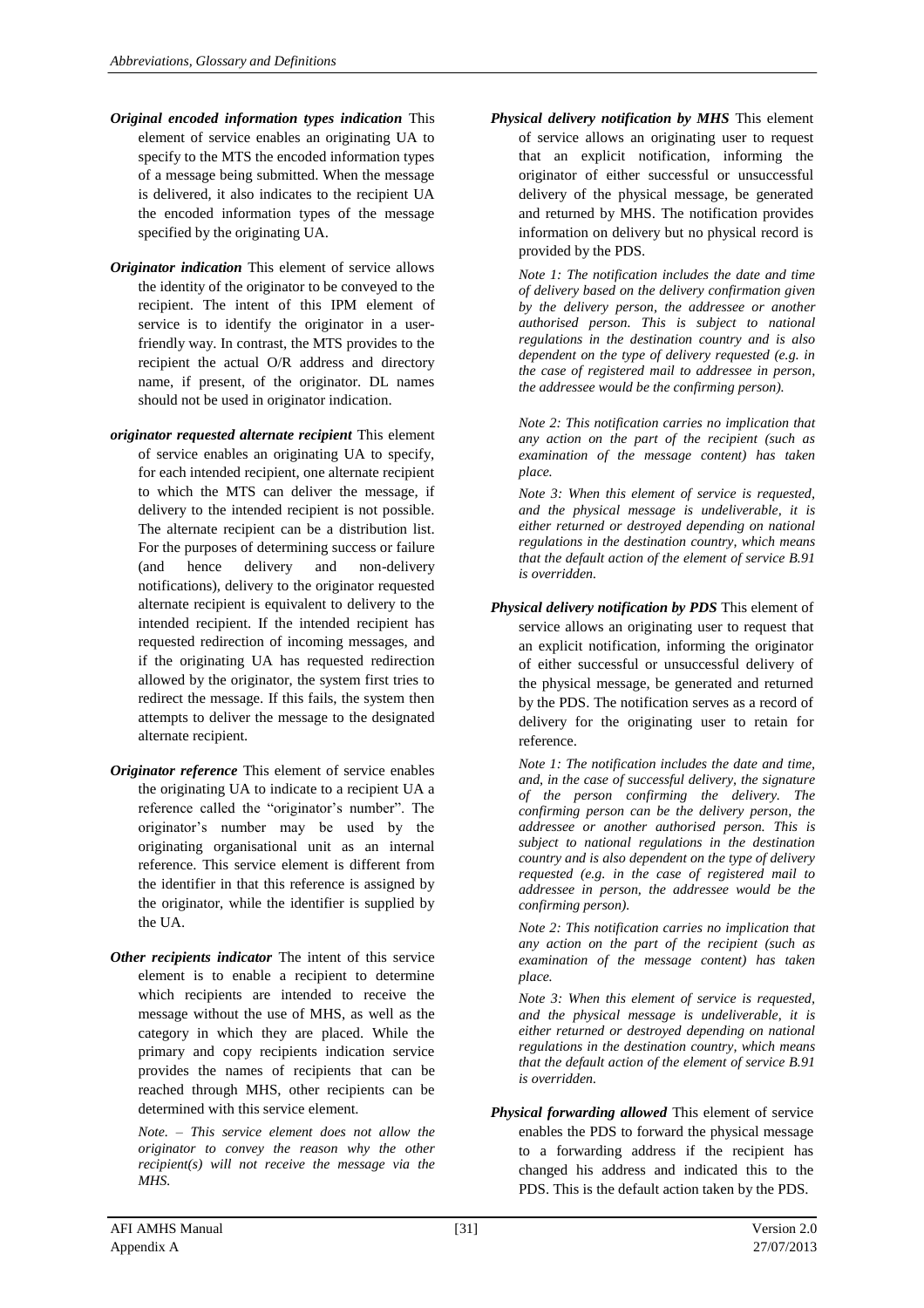- *Original encoded information types indication* This element of service enables an originating UA to specify to the MTS the encoded information types of a message being submitted. When the message is delivered, it also indicates to the recipient UA the encoded information types of the message specified by the originating UA.
- *Originator indication* This element of service allows the identity of the originator to be conveyed to the recipient. The intent of this IPM element of service is to identify the originator in a userfriendly way. In contrast, the MTS provides to the recipient the actual O/R address and directory name, if present, of the originator. DL names should not be used in originator indication.
- *originator requested alternate recipient* This element of service enables an originating UA to specify, for each intended recipient, one alternate recipient to which the MTS can deliver the message, if delivery to the intended recipient is not possible. The alternate recipient can be a distribution list. For the purposes of determining success or failure (and hence delivery and non-delivery notifications), delivery to the originator requested alternate recipient is equivalent to delivery to the intended recipient. If the intended recipient has requested redirection of incoming messages, and if the originating UA has requested redirection allowed by the originator, the system first tries to redirect the message. If this fails, the system then attempts to deliver the message to the designated alternate recipient.
- *Originator reference* This element of service enables the originating UA to indicate to a recipient UA a reference called the "originator's number". The originator's number may be used by the originating organisational unit as an internal reference. This service element is different from the identifier in that this reference is assigned by the originator, while the identifier is supplied by the UA.
- *Other recipients indicator* The intent of this service element is to enable a recipient to determine which recipients are intended to receive the message without the use of MHS, as well as the category in which they are placed. While the primary and copy recipients indication service provides the names of recipients that can be reached through MHS, other recipients can be determined with this service element.

*Note. – This service element does not allow the originator to convey the reason why the other recipient(s) will not receive the message via the MHS.*

*Physical delivery notification by MHS* This element of service allows an originating user to request that an explicit notification, informing the originator of either successful or unsuccessful delivery of the physical message, be generated and returned by MHS. The notification provides information on delivery but no physical record is provided by the PDS.

*Note 1: The notification includes the date and time of delivery based on the delivery confirmation given by the delivery person, the addressee or another authorised person. This is subject to national regulations in the destination country and is also dependent on the type of delivery requested (e.g. in the case of registered mail to addressee in person, the addressee would be the confirming person).*

*Note 2: This notification carries no implication that any action on the part of the recipient (such as examination of the message content) has taken place.*

*Note 3: When this element of service is requested, and the physical message is undeliverable, it is either returned or destroyed depending on national regulations in the destination country, which means that the default action of the element of service B.91 is overridden.*

*Physical delivery notification by PDS* This element of service allows an originating user to request that an explicit notification, informing the originator of either successful or unsuccessful delivery of the physical message, be generated and returned by the PDS. The notification serves as a record of delivery for the originating user to retain for reference.

*Note 1: The notification includes the date and time, and, in the case of successful delivery, the signature of the person confirming the delivery. The confirming person can be the delivery person, the addressee or another authorised person. This is subject to national regulations in the destination country and is also dependent on the type of delivery requested (e.g. in the case of registered mail to addressee in person, the addressee would be the confirming person).*

*Note 2: This notification carries no implication that any action on the part of the recipient (such as examination of the message content) has taken place.*

*Note 3: When this element of service is requested, and the physical message is undeliverable, it is either returned or destroyed depending on national regulations in the destination country, which means that the default action of the element of service B.91 is overridden.*

*Physical forwarding allowed* This element of service enables the PDS to forward the physical message to a forwarding address if the recipient has changed his address and indicated this to the PDS. This is the default action taken by the PDS.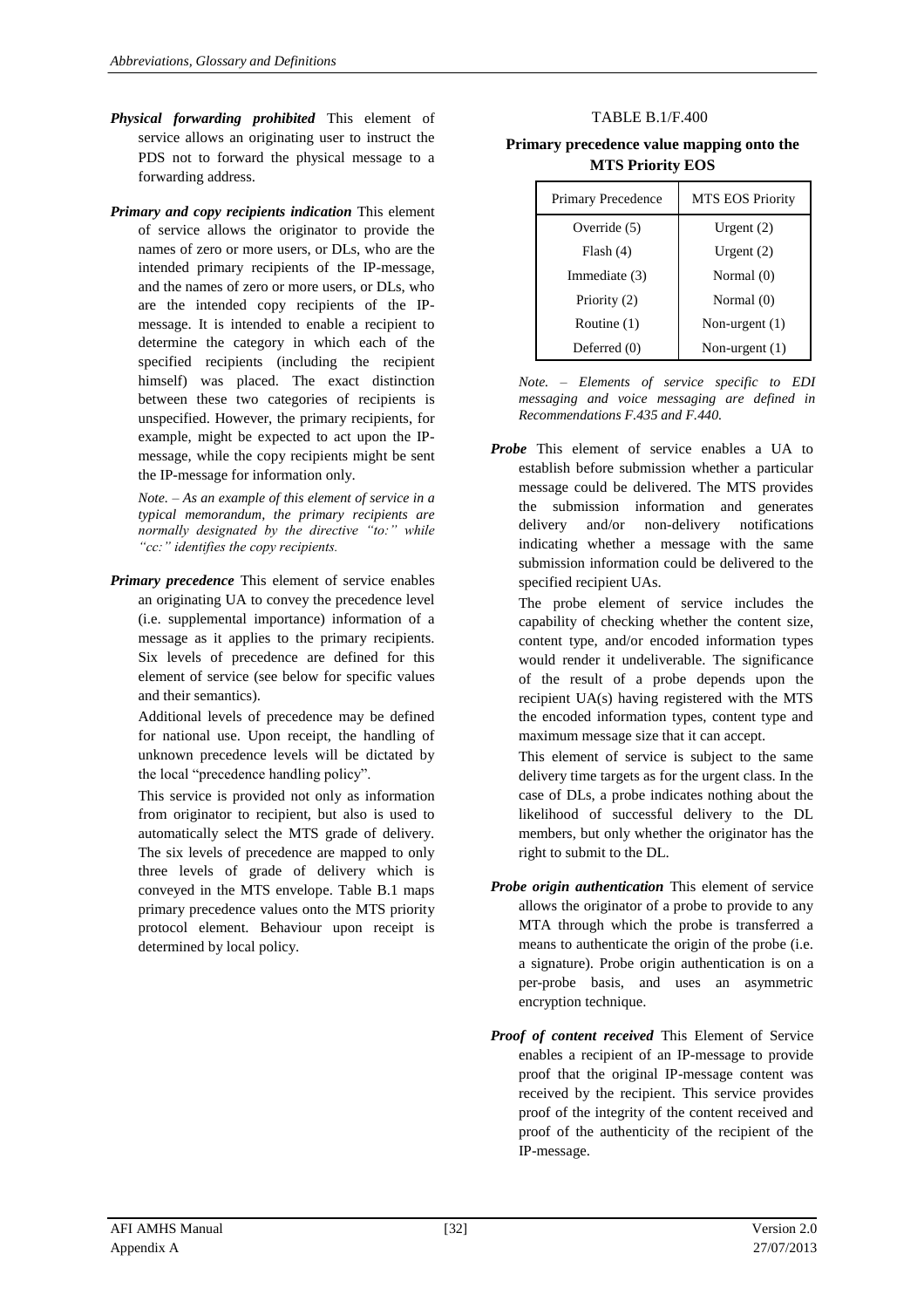- *Physical forwarding prohibited* This element of service allows an originating user to instruct the PDS not to forward the physical message to a forwarding address.
- *Primary and copy recipients indication* This element of service allows the originator to provide the names of zero or more users, or DLs, who are the intended primary recipients of the IP-message, and the names of zero or more users, or DLs, who are the intended copy recipients of the IPmessage. It is intended to enable a recipient to determine the category in which each of the specified recipients (including the recipient himself) was placed. The exact distinction between these two categories of recipients is unspecified. However, the primary recipients, for example, might be expected to act upon the IPmessage, while the copy recipients might be sent the IP-message for information only.

*Note. – As an example of this element of service in a typical memorandum, the primary recipients are normally designated by the directive "to:" while "cc:" identifies the copy recipients.*

*Primary precedence* This element of service enables an originating UA to convey the precedence level (i.e. supplemental importance) information of a message as it applies to the primary recipients. Six levels of precedence are defined for this element of service (see below for specific values and their semantics).

Additional levels of precedence may be defined for national use. Upon receipt, the handling of unknown precedence levels will be dictated by the local "precedence handling policy".

This service is provided not only as information from originator to recipient, but also is used to automatically select the MTS grade of delivery. The six levels of precedence are mapped to only three levels of grade of delivery which is conveyed in the MTS envelope. Table B.1 maps primary precedence values onto the MTS priority protocol element. Behaviour upon receipt is determined by local policy.

#### TABLE B.1/F.400

#### **Primary precedence value mapping onto the MTS Priority EOS**

| Primary Precedence | <b>MTS EOS Priority</b> |
|--------------------|-------------------------|
| Override $(5)$     | Urgent $(2)$            |
| Flash(4)           | Urgent $(2)$            |
| Immediate (3)      | Normal $(0)$            |
| Priority (2)       | Normal $(0)$            |
| Routine (1)        | Non-urgent $(1)$        |
| Deferred $(0)$     | Non-urgent $(1)$        |

*Note. – Elements of service specific to EDI messaging and voice messaging are defined in Recommendations F.435 and F.440.*

*Probe* This element of service enables a UA to establish before submission whether a particular message could be delivered. The MTS provides the submission information and generates delivery and/or non-delivery notifications indicating whether a message with the same submission information could be delivered to the specified recipient UAs.

The probe element of service includes the capability of checking whether the content size, content type, and/or encoded information types would render it undeliverable. The significance of the result of a probe depends upon the recipient UA(s) having registered with the MTS the encoded information types, content type and maximum message size that it can accept.

This element of service is subject to the same delivery time targets as for the urgent class. In the case of DLs, a probe indicates nothing about the likelihood of successful delivery to the DL members, but only whether the originator has the right to submit to the DL.

- *Probe origin authentication* This element of service allows the originator of a probe to provide to any MTA through which the probe is transferred a means to authenticate the origin of the probe (i.e. a signature). Probe origin authentication is on a per-probe basis, and uses an asymmetric encryption technique.
- *Proof of content received* This Element of Service enables a recipient of an IP-message to provide proof that the original IP-message content was received by the recipient. This service provides proof of the integrity of the content received and proof of the authenticity of the recipient of the IP-message.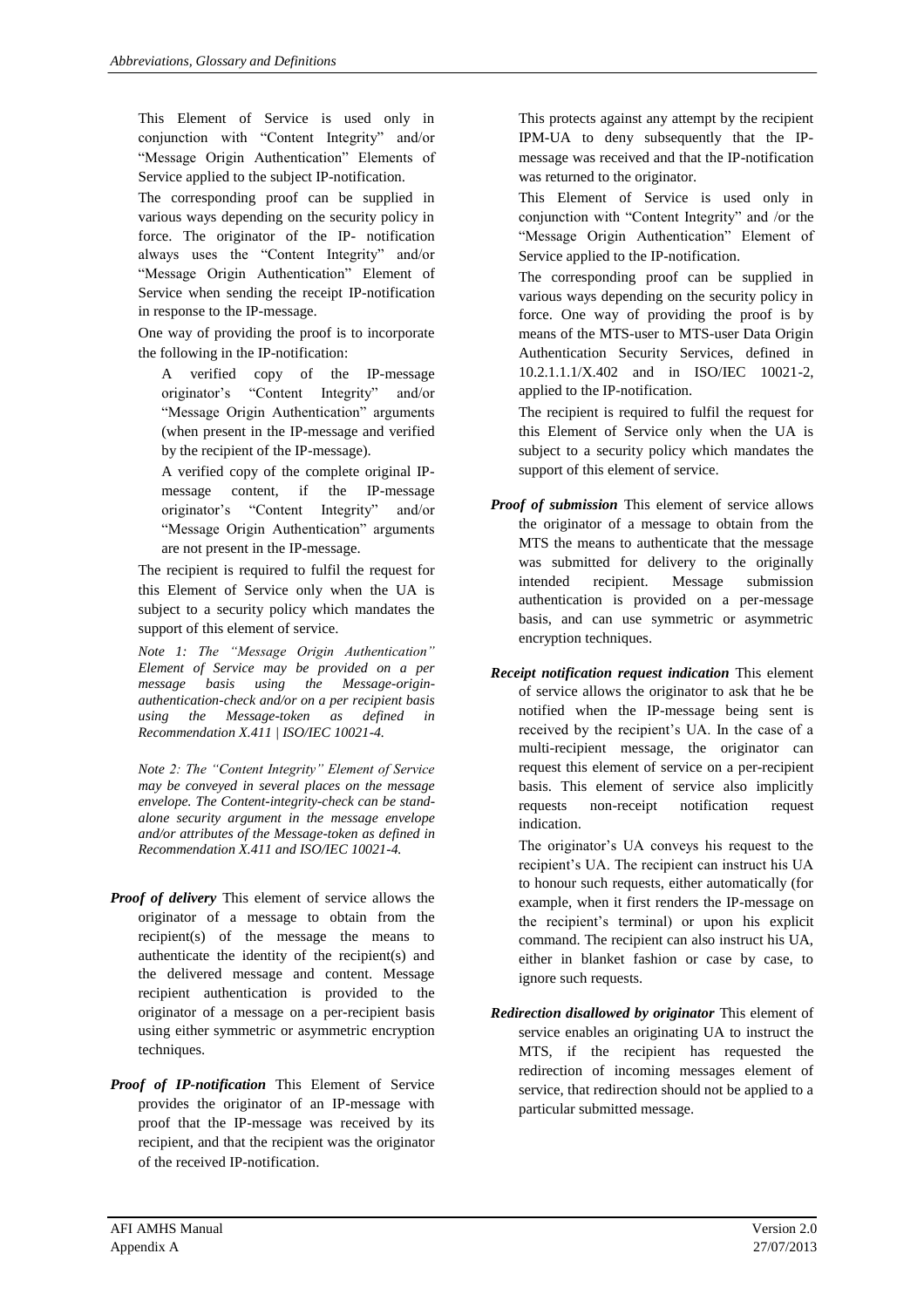This Element of Service is used only in conjunction with "Content Integrity" and/or "Message Origin Authentication" Elements of Service applied to the subject IP-notification.

The corresponding proof can be supplied in various ways depending on the security policy in force. The originator of the IP- notification always uses the "Content Integrity" and/or "Message Origin Authentication" Element of Service when sending the receipt IP-notification in response to the IP-message.

One way of providing the proof is to incorporate the following in the IP-notification:

- A verified copy of the IP-message originator's "Content Integrity" and/or "Message Origin Authentication" arguments (when present in the IP-message and verified by the recipient of the IP-message).
- A verified copy of the complete original IPmessage content, if the IP-message originator's "Content Integrity" and/or "Message Origin Authentication" arguments are not present in the IP-message.

The recipient is required to fulfil the request for this Element of Service only when the UA is subject to a security policy which mandates the support of this element of service.

*Note 1: The "Message Origin Authentication" Element of Service may be provided on a per message basis using the Message-originauthentication-check and/or on a per recipient basis using the Message-token as defined in Recommendation X.411 | ISO/IEC 10021-4.*

*Note 2: The "Content Integrity" Element of Service may be conveyed in several places on the message envelope. The Content-integrity-check can be standalone security argument in the message envelope and/or attributes of the Message-token as defined in Recommendation X.411 and ISO/IEC 10021-4.*

- *Proof of delivery* This element of service allows the originator of a message to obtain from the recipient(s) of the message the means to authenticate the identity of the recipient(s) and the delivered message and content. Message recipient authentication is provided to the originator of a message on a per-recipient basis using either symmetric or asymmetric encryption techniques.
- *Proof of IP-notification* This Element of Service provides the originator of an IP-message with proof that the IP-message was received by its recipient, and that the recipient was the originator of the received IP-notification.

This protects against any attempt by the recipient IPM-UA to deny subsequently that the IPmessage was received and that the IP-notification was returned to the originator.

This Element of Service is used only in conjunction with "Content Integrity" and /or the "Message Origin Authentication" Element of Service applied to the IP-notification.

The corresponding proof can be supplied in various ways depending on the security policy in force. One way of providing the proof is by means of the MTS-user to MTS-user Data Origin Authentication Security Services, defined in 10.2.1.1.1/X.402 and in ISO/IEC 10021-2, applied to the IP-notification.

The recipient is required to fulfil the request for this Element of Service only when the UA is subject to a security policy which mandates the support of this element of service.

- *Proof of submission* This element of service allows the originator of a message to obtain from the MTS the means to authenticate that the message was submitted for delivery to the originally intended recipient. Message submission authentication is provided on a per-message basis, and can use symmetric or asymmetric encryption techniques.
- *Receipt notification request indication* This element of service allows the originator to ask that he be notified when the IP-message being sent is received by the recipient's UA. In the case of a multi-recipient message, the originator can request this element of service on a per-recipient basis. This element of service also implicitly requests non-receipt notification request indication.

The originator's UA conveys his request to the recipient's UA. The recipient can instruct his UA to honour such requests, either automatically (for example, when it first renders the IP-message on the recipient's terminal) or upon his explicit command. The recipient can also instruct his UA, either in blanket fashion or case by case, to ignore such requests.

*Redirection disallowed by originator* This element of service enables an originating UA to instruct the MTS, if the recipient has requested the redirection of incoming messages element of service, that redirection should not be applied to a particular submitted message.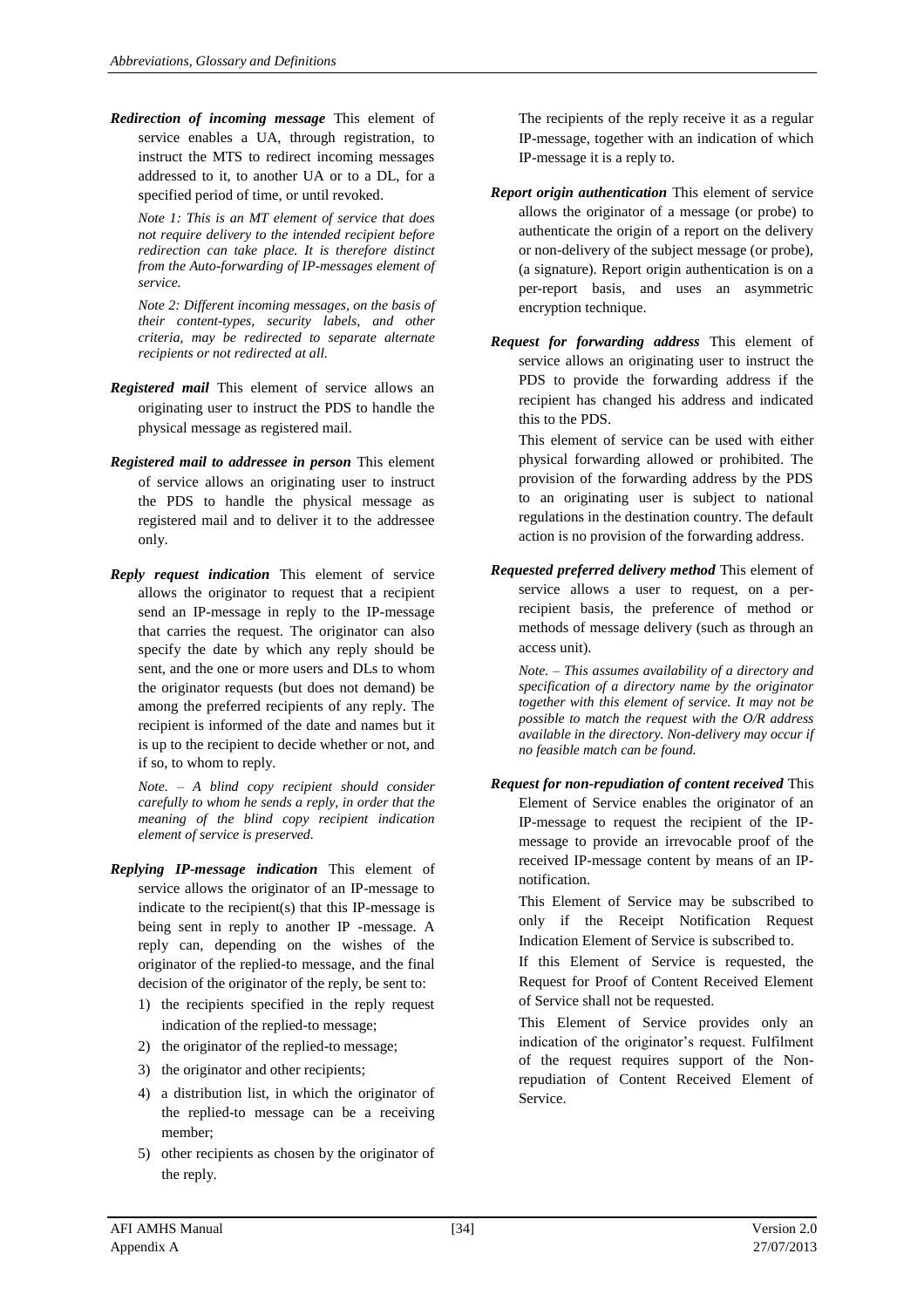*Redirection of incoming message* This element of service enables a UA, through registration, to instruct the MTS to redirect incoming messages addressed to it, to another UA or to a DL, for a specified period of time, or until revoked.

*Note 1: This is an MT element of service that does not require delivery to the intended recipient before redirection can take place. It is therefore distinct from the Auto-forwarding of IP-messages element of service.*

*Note 2: Different incoming messages, on the basis of their content-types, security labels, and other criteria, may be redirected to separate alternate recipients or not redirected at all.*

- *Registered mail* This element of service allows an originating user to instruct the PDS to handle the physical message as registered mail.
- *Registered mail to addressee in person* This element of service allows an originating user to instruct the PDS to handle the physical message as registered mail and to deliver it to the addressee only.
- *Reply request indication* This element of service allows the originator to request that a recipient send an IP-message in reply to the IP-message that carries the request. The originator can also specify the date by which any reply should be sent, and the one or more users and DLs to whom the originator requests (but does not demand) be among the preferred recipients of any reply. The recipient is informed of the date and names but it is up to the recipient to decide whether or not, and if so, to whom to reply.

*Note. – A blind copy recipient should consider carefully to whom he sends a reply, in order that the meaning of the blind copy recipient indication element of service is preserved.*

- *Replying IP-message indication* This element of service allows the originator of an IP-message to indicate to the recipient(s) that this IP-message is being sent in reply to another IP -message. A reply can, depending on the wishes of the originator of the replied-to message, and the final decision of the originator of the reply, be sent to:
	- 1) the recipients specified in the reply request indication of the replied-to message;
	- 2) the originator of the replied-to message;
	- 3) the originator and other recipients;
	- 4) a distribution list, in which the originator of the replied-to message can be a receiving member;
	- 5) other recipients as chosen by the originator of the reply.

The recipients of the reply receive it as a regular IP-message, together with an indication of which IP-message it is a reply to.

- *Report origin authentication* This element of service allows the originator of a message (or probe) to authenticate the origin of a report on the delivery or non-delivery of the subject message (or probe), (a signature). Report origin authentication is on a per-report basis, and uses an asymmetric encryption technique.
- *Request for forwarding address* This element of service allows an originating user to instruct the PDS to provide the forwarding address if the recipient has changed his address and indicated this to the PDS.

This element of service can be used with either physical forwarding allowed or prohibited. The provision of the forwarding address by the PDS to an originating user is subject to national regulations in the destination country. The default action is no provision of the forwarding address.

*Requested preferred delivery method* This element of service allows a user to request, on a perrecipient basis, the preference of method or methods of message delivery (such as through an access unit).

*Note. – This assumes availability of a directory and specification of a directory name by the originator together with this element of service. It may not be possible to match the request with the O/R address available in the directory. Non-delivery may occur if no feasible match can be found.*

*Request for non-repudiation of content received* This Element of Service enables the originator of an IP-message to request the recipient of the IPmessage to provide an irrevocable proof of the received IP-message content by means of an IPnotification.

This Element of Service may be subscribed to only if the Receipt Notification Request Indication Element of Service is subscribed to.

If this Element of Service is requested, the Request for Proof of Content Received Element of Service shall not be requested.

This Element of Service provides only an indication of the originator's request. Fulfilment of the request requires support of the Nonrepudiation of Content Received Element of Service.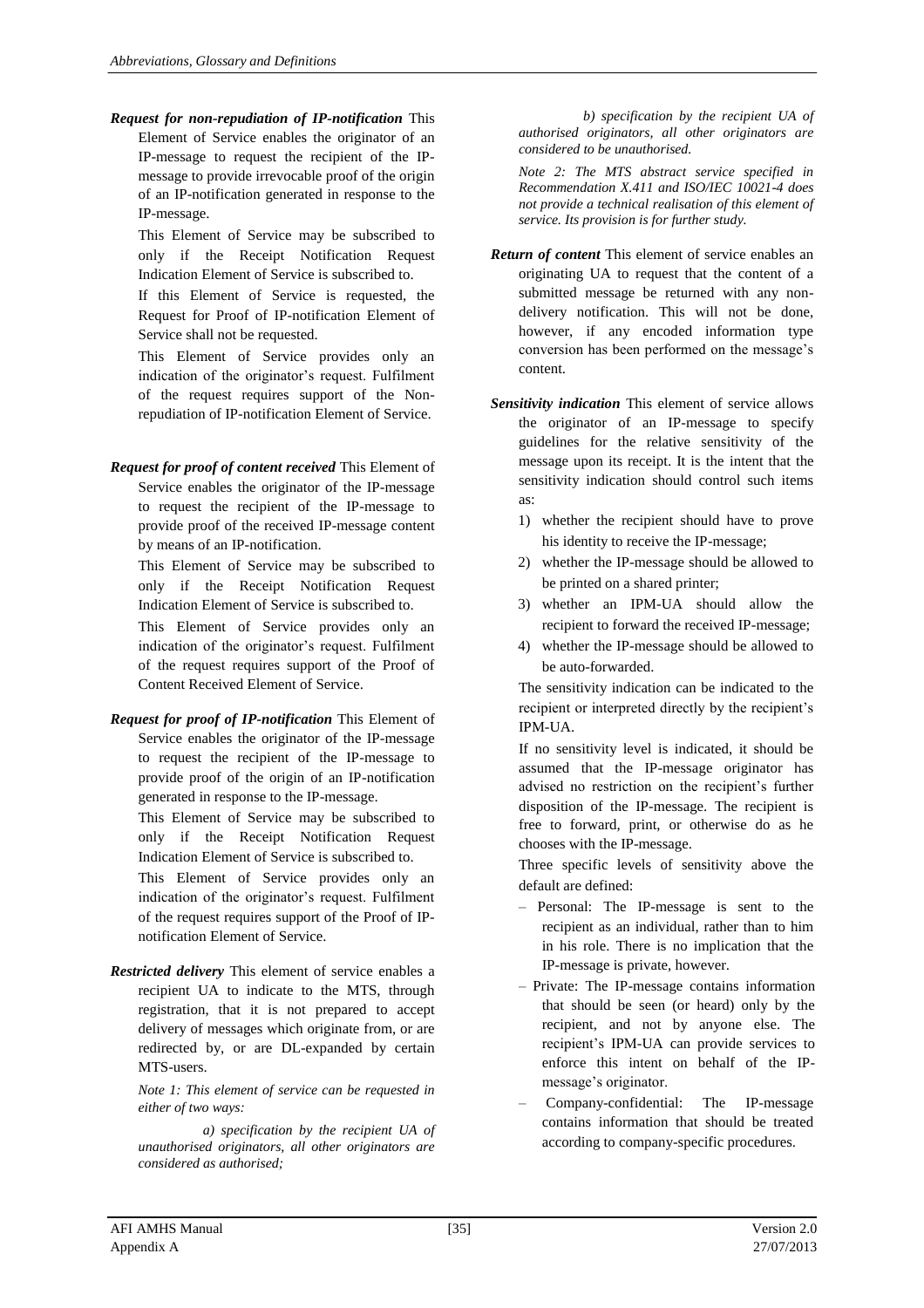*Request for non-repudiation of IP-notification* This Element of Service enables the originator of an IP-message to request the recipient of the IPmessage to provide irrevocable proof of the origin of an IP-notification generated in response to the IP-message.

This Element of Service may be subscribed to only if the Receipt Notification Request Indication Element of Service is subscribed to.

If this Element of Service is requested, the Request for Proof of IP-notification Element of Service shall not be requested.

This Element of Service provides only an indication of the originator's request. Fulfilment of the request requires support of the Nonrepudiation of IP-notification Element of Service.

*Request for proof of content received* This Element of Service enables the originator of the IP-message to request the recipient of the IP-message to provide proof of the received IP-message content by means of an IP-notification.

This Element of Service may be subscribed to only if the Receipt Notification Request Indication Element of Service is subscribed to.

This Element of Service provides only an indication of the originator's request. Fulfilment of the request requires support of the Proof of Content Received Element of Service.

*Request for proof of IP-notification* This Element of Service enables the originator of the IP-message to request the recipient of the IP-message to provide proof of the origin of an IP-notification generated in response to the IP-message.

This Element of Service may be subscribed to only if the Receipt Notification Request Indication Element of Service is subscribed to.

This Element of Service provides only an indication of the originator's request. Fulfilment of the request requires support of the Proof of IPnotification Element of Service.

*Restricted delivery* This element of service enables a recipient UA to indicate to the MTS, through registration, that it is not prepared to accept delivery of messages which originate from, or are redirected by, or are DL-expanded by certain MTS-users.

*Note 1: This element of service can be requested in either of two ways:*

*a) specification by the recipient UA of unauthorised originators, all other originators are considered as authorised;*

*b) specification by the recipient UA of authorised originators, all other originators are considered to be unauthorised.*

*Note 2: The MTS abstract service specified in Recommendation X.411 and ISO/IEC 10021-4 does not provide a technical realisation of this element of service. Its provision is for further study.*

- *Return of content* This element of service enables an originating UA to request that the content of a submitted message be returned with any nondelivery notification. This will not be done, however, if any encoded information type conversion has been performed on the message's content.
- *Sensitivity indication* This element of service allows the originator of an IP-message to specify guidelines for the relative sensitivity of the message upon its receipt. It is the intent that the sensitivity indication should control such items as:
	- 1) whether the recipient should have to prove his identity to receive the IP-message;
	- 2) whether the IP-message should be allowed to be printed on a shared printer;
	- 3) whether an IPM-UA should allow the recipient to forward the received IP-message;
	- 4) whether the IP-message should be allowed to be auto-forwarded.

The sensitivity indication can be indicated to the recipient or interpreted directly by the recipient's IPM-UA.

If no sensitivity level is indicated, it should be assumed that the IP-message originator has advised no restriction on the recipient's further disposition of the IP-message. The recipient is free to forward, print, or otherwise do as he chooses with the IP-message.

Three specific levels of sensitivity above the default are defined:

- Personal: The IP-message is sent to the recipient as an individual, rather than to him in his role. There is no implication that the IP-message is private, however.
- Private: The IP-message contains information that should be seen (or heard) only by the recipient, and not by anyone else. The recipient's IPM-UA can provide services to enforce this intent on behalf of the IPmessage's originator.
- Company-confidential: The IP-message contains information that should be treated according to company-specific procedures.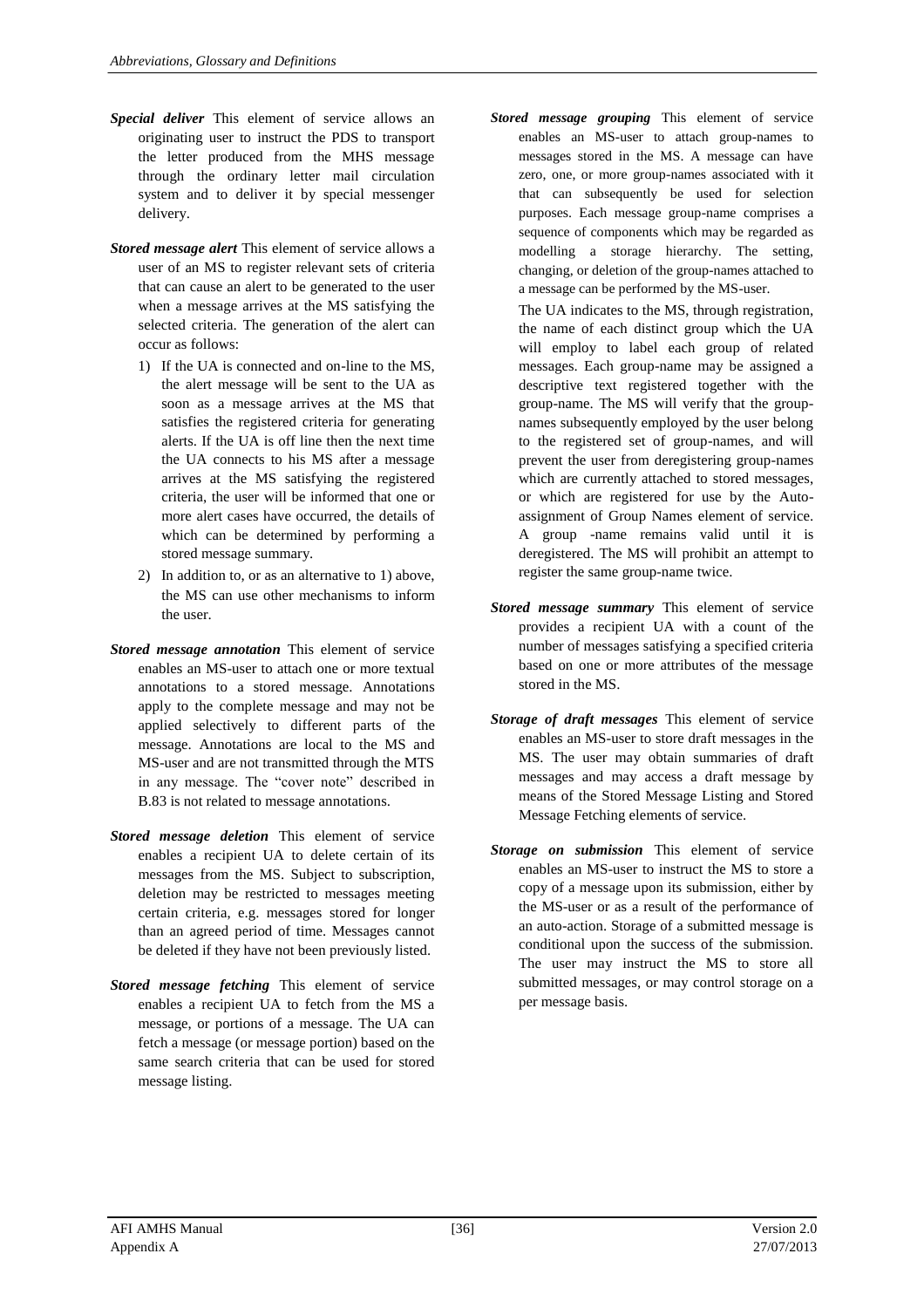- *Special deliver* This element of service allows an originating user to instruct the PDS to transport the letter produced from the MHS message through the ordinary letter mail circulation system and to deliver it by special messenger delivery.
- *Stored message alert* This element of service allows a user of an MS to register relevant sets of criteria that can cause an alert to be generated to the user when a message arrives at the MS satisfying the selected criteria. The generation of the alert can occur as follows:
	- 1) If the UA is connected and on-line to the MS, the alert message will be sent to the UA as soon as a message arrives at the MS that satisfies the registered criteria for generating alerts. If the UA is off line then the next time the UA connects to his MS after a message arrives at the MS satisfying the registered criteria, the user will be informed that one or more alert cases have occurred, the details of which can be determined by performing a stored message summary.
	- 2) In addition to, or as an alternative to 1) above, the MS can use other mechanisms to inform the user.
- *Stored message annotation* This element of service enables an MS-user to attach one or more textual annotations to a stored message. Annotations apply to the complete message and may not be applied selectively to different parts of the message. Annotations are local to the MS and MS-user and are not transmitted through the MTS in any message. The "cover note" described in B.83 is not related to message annotations.
- *Stored message deletion* This element of service enables a recipient UA to delete certain of its messages from the MS. Subject to subscription, deletion may be restricted to messages meeting certain criteria, e.g. messages stored for longer than an agreed period of time. Messages cannot be deleted if they have not been previously listed.
- *Stored message fetching* This element of service enables a recipient UA to fetch from the MS a message, or portions of a message. The UA can fetch a message (or message portion) based on the same search criteria that can be used for stored message listing.

*Stored message grouping* This element of service enables an MS-user to attach group-names to messages stored in the MS. A message can have zero, one, or more group-names associated with it that can subsequently be used for selection purposes. Each message group-name comprises a sequence of components which may be regarded as modelling a storage hierarchy. The setting, changing, or deletion of the group-names attached to a message can be performed by the MS-user.

The UA indicates to the MS, through registration, the name of each distinct group which the UA will employ to label each group of related messages. Each group-name may be assigned a descriptive text registered together with the group-name. The MS will verify that the groupnames subsequently employed by the user belong to the registered set of group-names, and will prevent the user from deregistering group-names which are currently attached to stored messages, or which are registered for use by the Autoassignment of Group Names element of service. A group -name remains valid until it is deregistered. The MS will prohibit an attempt to register the same group-name twice.

- *Stored message summary* This element of service provides a recipient UA with a count of the number of messages satisfying a specified criteria based on one or more attributes of the message stored in the MS.
- *Storage of draft messages* This element of service enables an MS-user to store draft messages in the MS. The user may obtain summaries of draft messages and may access a draft message by means of the Stored Message Listing and Stored Message Fetching elements of service.
- *Storage on submission* This element of service enables an MS-user to instruct the MS to store a copy of a message upon its submission, either by the MS-user or as a result of the performance of an auto-action. Storage of a submitted message is conditional upon the success of the submission. The user may instruct the MS to store all submitted messages, or may control storage on a per message basis.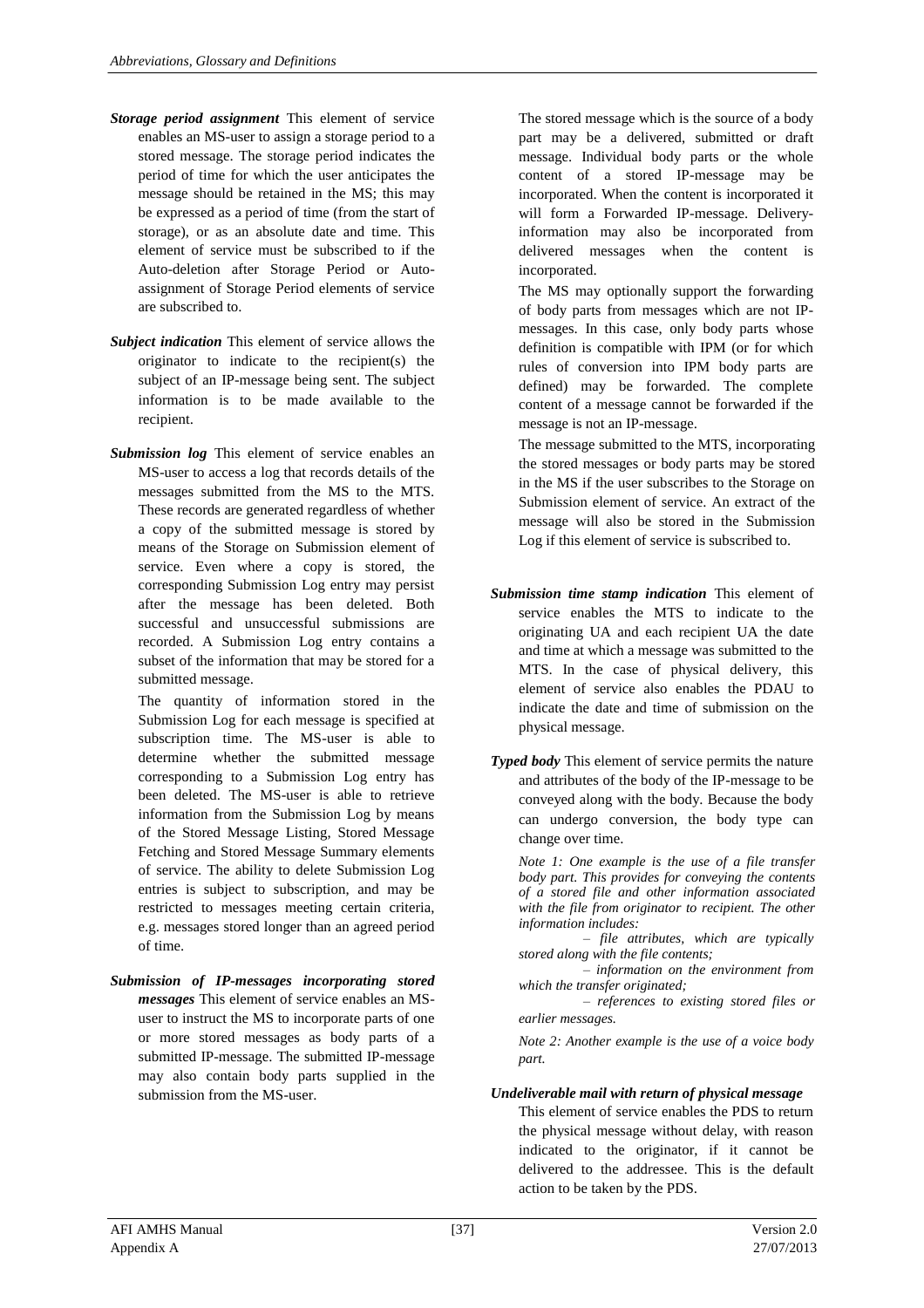- *Storage period assignment* This element of service enables an MS-user to assign a storage period to a stored message. The storage period indicates the period of time for which the user anticipates the message should be retained in the MS; this may be expressed as a period of time (from the start of storage), or as an absolute date and time. This element of service must be subscribed to if the Auto-deletion after Storage Period or Autoassignment of Storage Period elements of service are subscribed to.
- *Subject indication* This element of service allows the originator to indicate to the recipient(s) the subject of an IP-message being sent. The subject information is to be made available to the recipient.
- *Submission log* This element of service enables an MS-user to access a log that records details of the messages submitted from the MS to the MTS. These records are generated regardless of whether a copy of the submitted message is stored by means of the Storage on Submission element of service. Even where a copy is stored, the corresponding Submission Log entry may persist after the message has been deleted. Both successful and unsuccessful submissions are recorded. A Submission Log entry contains a subset of the information that may be stored for a submitted message.

The quantity of information stored in the Submission Log for each message is specified at subscription time. The MS-user is able to determine whether the submitted message corresponding to a Submission Log entry has been deleted. The MS-user is able to retrieve information from the Submission Log by means of the Stored Message Listing, Stored Message Fetching and Stored Message Summary elements of service. The ability to delete Submission Log entries is subject to subscription, and may be restricted to messages meeting certain criteria, e.g. messages stored longer than an agreed period of time.

*Submission of IP-messages incorporating stored messages* This element of service enables an MSuser to instruct the MS to incorporate parts of one or more stored messages as body parts of a submitted IP-message. The submitted IP-message may also contain body parts supplied in the submission from the MS-user.

The stored message which is the source of a body part may be a delivered, submitted or draft message. Individual body parts or the whole content of a stored IP-message may be incorporated. When the content is incorporated it will form a Forwarded IP-message. Deliveryinformation may also be incorporated from delivered messages when the content is incorporated.

The MS may optionally support the forwarding of body parts from messages which are not IPmessages. In this case, only body parts whose definition is compatible with IPM (or for which rules of conversion into IPM body parts are defined) may be forwarded. The complete content of a message cannot be forwarded if the message is not an IP-message.

The message submitted to the MTS, incorporating the stored messages or body parts may be stored in the MS if the user subscribes to the Storage on Submission element of service. An extract of the message will also be stored in the Submission Log if this element of service is subscribed to.

- *Submission time stamp indication* This element of service enables the MTS to indicate to the originating UA and each recipient UA the date and time at which a message was submitted to the MTS. In the case of physical delivery, this element of service also enables the PDAU to indicate the date and time of submission on the physical message.
- *Typed body* This element of service permits the nature and attributes of the body of the IP-message to be conveyed along with the body. Because the body can undergo conversion, the body type can change over time.

*Note 1: One example is the use of a file transfer body part. This provides for conveying the contents of a stored file and other information associated with the file from originator to recipient. The other information includes:*

*– file attributes, which are typically stored along with the file contents;* 

*– information on the environment from which the transfer originated;* 

*– references to existing stored files or earlier messages.* 

*Note 2: Another example is the use of a voice body part.*

#### *Undeliverable mail with return of physical message*

This element of service enables the PDS to return the physical message without delay, with reason indicated to the originator, if it cannot be delivered to the addressee. This is the default action to be taken by the PDS.